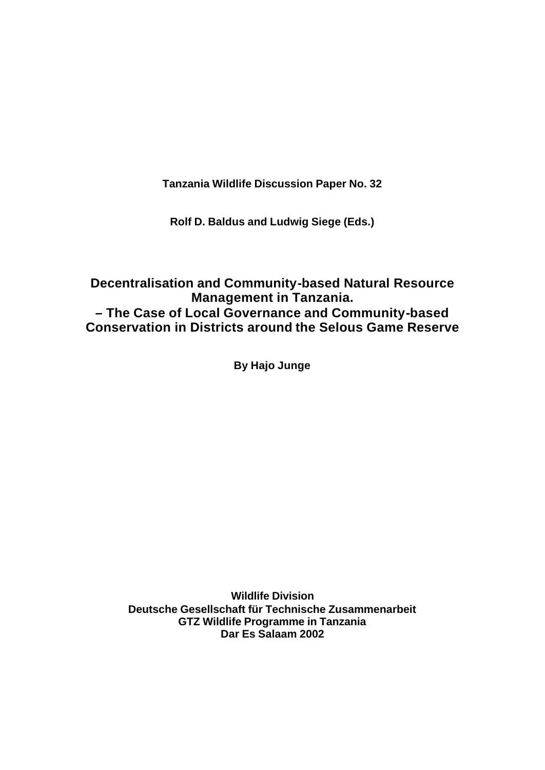**Tanzania Wildlife Discussion Paper No. 32**

**Rolf D. Baldus and Ludwig Siege (Eds.)**

### **Decentralisation and Community-based Natural Resource Management in Tanzania. – The Case of Local Governance and Community-based Conservation in Districts around the Selous Game Reserve**

**By Hajo Junge**

**Wildlife Division Deutsche Gesellschaft für Technische Zusammenarbeit GTZ Wildlife Programme in Tanzania Dar Es Salaam 2002**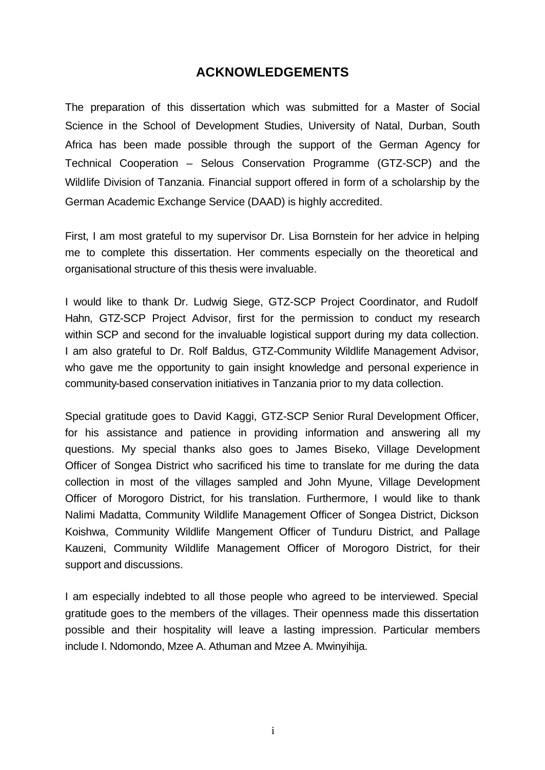### **ACKNOWLEDGEMENTS**

The preparation of this dissertation which was submitted for a Master of Social Science in the School of Development Studies, University of Natal, Durban, South Africa has been made possible through the support of the German Agency for Technical Cooperation – Selous Conservation Programme (GTZ-SCP) and the Wildlife Division of Tanzania. Financial support offered in form of a scholarship by the German Academic Exchange Service (DAAD) is highly accredited.

First, I am most grateful to my supervisor Dr. Lisa Bornstein for her advice in helping me to complete this dissertation. Her comments especially on the theoretical and organisational structure of this thesis were invaluable.

I would like to thank Dr. Ludwig Siege, GTZ-SCP Project Coordinator, and Rudolf Hahn, GTZ-SCP Project Advisor, first for the permission to conduct my research within SCP and second for the invaluable logistical support during my data collection. I am also grateful to Dr. Rolf Baldus, GTZ-Community Wildlife Management Advisor, who gave me the opportunity to gain insight knowledge and personal experience in community-based conservation initiatives in Tanzania prior to my data collection.

Special gratitude goes to David Kaggi, GTZ-SCP Senior Rural Development Officer, for his assistance and patience in providing information and answering all my questions. My special thanks also goes to James Biseko, Village Development Officer of Songea District who sacrificed his time to translate for me during the data collection in most of the villages sampled and John Myune, Village Development Officer of Morogoro District, for his translation. Furthermore, I would like to thank Nalimi Madatta, Community Wildlife Management Officer of Songea District, Dickson Koishwa, Community Wildlife Mangement Officer of Tunduru District, and Pallage Kauzeni, Community Wildlife Management Officer of Morogoro District, for their support and discussions.

I am especially indebted to all those people who agreed to be interviewed. Special gratitude goes to the members of the villages. Their openness made this dissertation possible and their hospitality will leave a lasting impression. Particular members include I. Ndomondo, Mzee A. Athuman and Mzee A. Mwinyihija.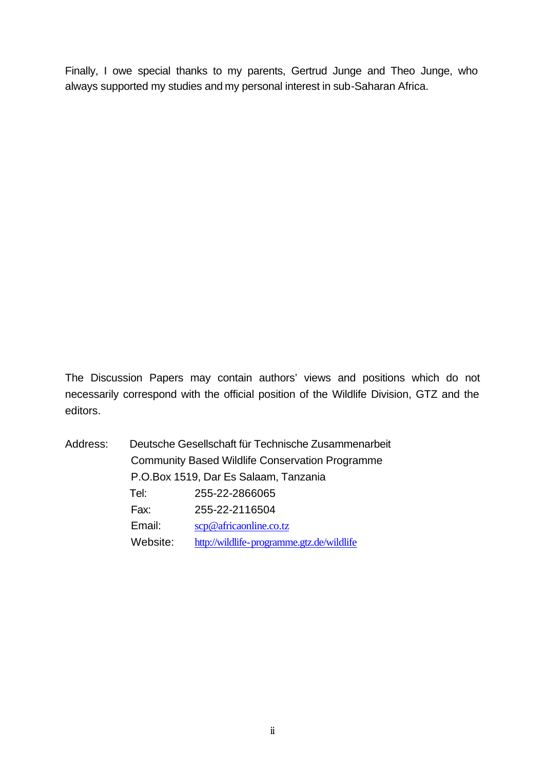Finally, I owe special thanks to my parents, Gertrud Junge and Theo Junge, who always supported my studies and my personal interest in sub-Saharan Africa.

The Discussion Papers may contain authors' views and positions which do not necessarily correspond with the official position of the Wildlife Division, GTZ and the editors.

| Address: |                                                        | Deutsche Gesellschaft für Technische Zusammenarbeit |
|----------|--------------------------------------------------------|-----------------------------------------------------|
|          | <b>Community Based Wildlife Conservation Programme</b> |                                                     |
|          | P.O.Box 1519, Dar Es Salaam, Tanzania                  |                                                     |
|          | Tel:                                                   | 255-22-2866065                                      |
|          | Fax:                                                   | 255-22-2116504                                      |
|          | Email:                                                 | $\sc{c}$ africa online.co.tz                        |
|          | Website:                                               | http://wildlife-programme.gtz.de/wildlife           |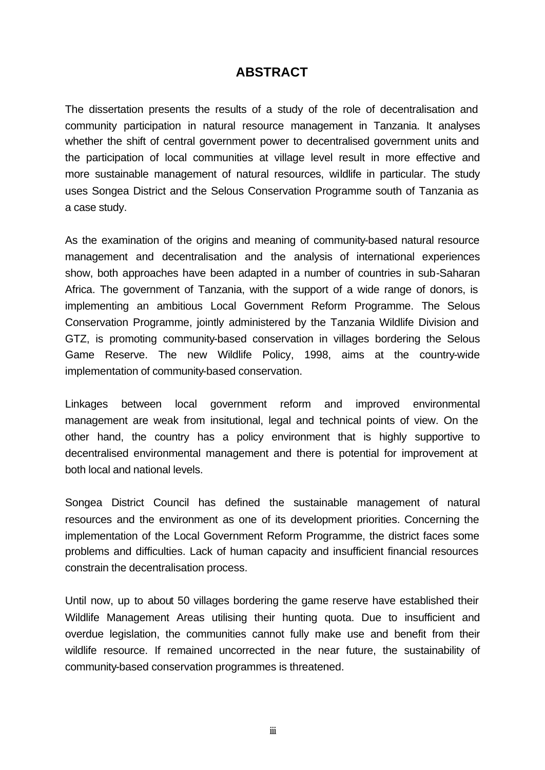### **ABSTRACT**

The dissertation presents the results of a study of the role of decentralisation and community participation in natural resource management in Tanzania. It analyses whether the shift of central government power to decentralised government units and the participation of local communities at village level result in more effective and more sustainable management of natural resources, wildlife in particular. The study uses Songea District and the Selous Conservation Programme south of Tanzania as a case study.

As the examination of the origins and meaning of community-based natural resource management and decentralisation and the analysis of international experiences show, both approaches have been adapted in a number of countries in sub-Saharan Africa. The government of Tanzania, with the support of a wide range of donors, is implementing an ambitious Local Government Reform Programme. The Selous Conservation Programme, jointly administered by the Tanzania Wildlife Division and GTZ, is promoting community-based conservation in villages bordering the Selous Game Reserve. The new Wildlife Policy, 1998, aims at the country-wide implementation of community-based conservation.

Linkages between local government reform and improved environmental management are weak from insitutional, legal and technical points of view. On the other hand, the country has a policy environment that is highly supportive to decentralised environmental management and there is potential for improvement at both local and national levels.

Songea District Council has defined the sustainable management of natural resources and the environment as one of its development priorities. Concerning the implementation of the Local Government Reform Programme, the district faces some problems and difficulties. Lack of human capacity and insufficient financial resources constrain the decentralisation process.

Until now, up to about 50 villages bordering the game reserve have established their Wildlife Management Areas utilising their hunting quota. Due to insufficient and overdue legislation, the communities cannot fully make use and benefit from their wildlife resource. If remained uncorrected in the near future, the sustainability of community-based conservation programmes is threatened.

iii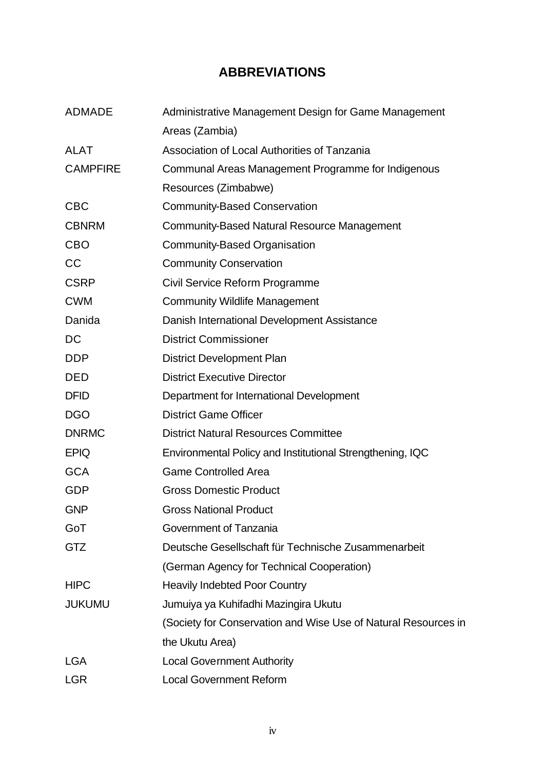### **ABBREVIATIONS**

| <b>ADMADE</b>   | Administrative Management Design for Game Management           |  |
|-----------------|----------------------------------------------------------------|--|
|                 | Areas (Zambia)                                                 |  |
| <b>ALAT</b>     | Association of Local Authorities of Tanzania                   |  |
| <b>CAMPFIRE</b> | Communal Areas Management Programme for Indigenous             |  |
|                 | Resources (Zimbabwe)                                           |  |
| <b>CBC</b>      | <b>Community-Based Conservation</b>                            |  |
| <b>CBNRM</b>    | <b>Community-Based Natural Resource Management</b>             |  |
| <b>CBO</b>      | Community-Based Organisation                                   |  |
| CC              | <b>Community Conservation</b>                                  |  |
| <b>CSRP</b>     | Civil Service Reform Programme                                 |  |
| <b>CWM</b>      | <b>Community Wildlife Management</b>                           |  |
| Danida          | Danish International Development Assistance                    |  |
| DC              | <b>District Commissioner</b>                                   |  |
| <b>DDP</b>      | <b>District Development Plan</b>                               |  |
| <b>DED</b>      | <b>District Executive Director</b>                             |  |
| <b>DFID</b>     | Department for International Development                       |  |
| <b>DGO</b>      | <b>District Game Officer</b>                                   |  |
| <b>DNRMC</b>    | <b>District Natural Resources Committee</b>                    |  |
| <b>EPIQ</b>     | Environmental Policy and Institutional Strengthening, IQC      |  |
| <b>GCA</b>      | <b>Game Controlled Area</b>                                    |  |
| <b>GDP</b>      | <b>Gross Domestic Product</b>                                  |  |
| <b>GNP</b>      | <b>Gross National Product</b>                                  |  |
| GoT             | Government of Tanzania                                         |  |
| <b>GTZ</b>      | Deutsche Gesellschaft für Technische Zusammenarbeit            |  |
|                 | (German Agency for Technical Cooperation)                      |  |
| <b>HIPC</b>     | <b>Heavily Indebted Poor Country</b>                           |  |
| <b>JUKUMU</b>   | Jumuiya ya Kuhifadhi Mazingira Ukutu                           |  |
|                 | (Society for Conservation and Wise Use of Natural Resources in |  |
|                 | the Ukutu Area)                                                |  |
| <b>LGA</b>      | <b>Local Government Authority</b>                              |  |
| <b>LGR</b>      | <b>Local Government Reform</b>                                 |  |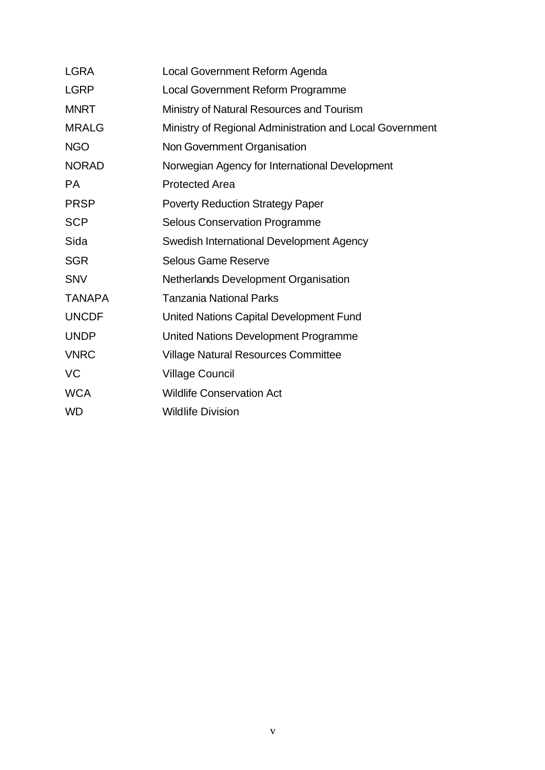| <b>LGRA</b>   | Local Government Reform Agenda                           |
|---------------|----------------------------------------------------------|
| <b>LGRP</b>   | Local Government Reform Programme                        |
| <b>MNRT</b>   | Ministry of Natural Resources and Tourism                |
| <b>MRALG</b>  | Ministry of Regional Administration and Local Government |
| <b>NGO</b>    | Non Government Organisation                              |
| <b>NORAD</b>  | Norwegian Agency for International Development           |
| <b>PA</b>     | <b>Protected Area</b>                                    |
| <b>PRSP</b>   | <b>Poverty Reduction Strategy Paper</b>                  |
| <b>SCP</b>    | <b>Selous Conservation Programme</b>                     |
| Sida          | Swedish International Development Agency                 |
| <b>SGR</b>    | <b>Selous Game Reserve</b>                               |
| <b>SNV</b>    | Netherlands Development Organisation                     |
| <b>TANAPA</b> | <b>Tanzania National Parks</b>                           |
| <b>UNCDF</b>  | United Nations Capital Development Fund                  |
| <b>UNDP</b>   | United Nations Development Programme                     |
| <b>VNRC</b>   | <b>Village Natural Resources Committee</b>               |
| VC            | <b>Village Council</b>                                   |
| <b>WCA</b>    | <b>Wildlife Conservation Act</b>                         |
| <b>WD</b>     | <b>Wildlife Division</b>                                 |
|               |                                                          |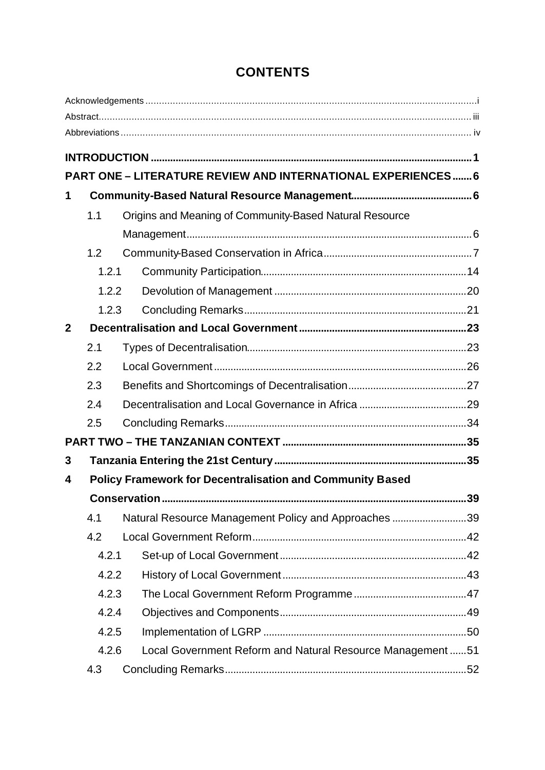|                  |       | PART ONE - LITERATURE REVIEW AND INTERNATIONAL EXPERIENCES 6     |    |
|------------------|-------|------------------------------------------------------------------|----|
| 1                |       |                                                                  |    |
|                  | 1.1   | Origins and Meaning of Community-Based Natural Resource          |    |
|                  |       |                                                                  |    |
|                  | 1.2   |                                                                  |    |
|                  | 1.2.1 |                                                                  |    |
|                  | 1.2.2 |                                                                  |    |
|                  | 1.2.3 |                                                                  |    |
| $\boldsymbol{2}$ |       |                                                                  |    |
|                  | 2.1   |                                                                  |    |
|                  | 2.2   |                                                                  |    |
|                  | 2.3   |                                                                  |    |
|                  | 2.4   |                                                                  |    |
|                  | 2.5   |                                                                  |    |
|                  |       |                                                                  |    |
| 3                |       |                                                                  |    |
| 4                |       | <b>Policy Framework for Decentralisation and Community Based</b> |    |
|                  |       |                                                                  | 39 |
|                  | 4.1   | Natural Resource Management Policy and Approaches 39             |    |
|                  | 4.2   |                                                                  |    |
|                  | 4.2.1 |                                                                  |    |
|                  | 4.2.2 |                                                                  |    |
|                  | 4.2.3 |                                                                  |    |
|                  | 4.2.4 |                                                                  |    |
|                  | 4.2.5 |                                                                  |    |
|                  | 4.2.6 | Local Government Reform and Natural Resource Management 51       |    |
|                  | 4.3   |                                                                  |    |

## **CONTENTS**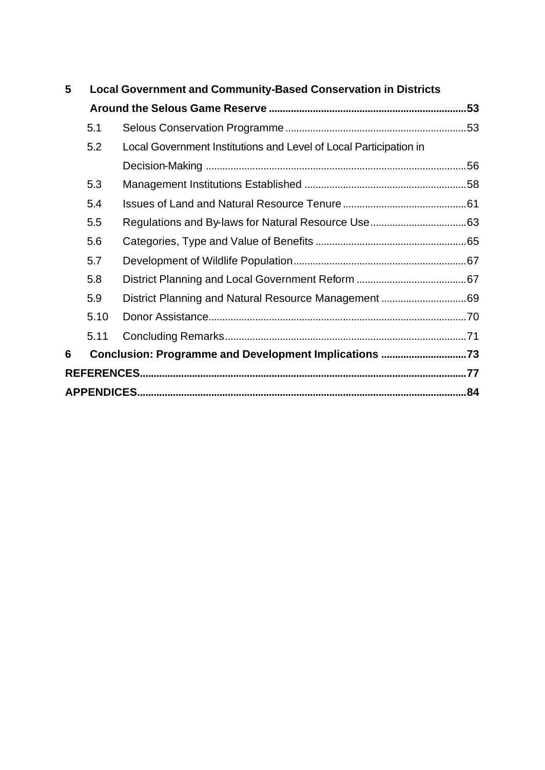| 5 | <b>Local Government and Community-Based Conservation in Districts</b> |                                                                   |  |
|---|-----------------------------------------------------------------------|-------------------------------------------------------------------|--|
|   |                                                                       |                                                                   |  |
|   | 5.1                                                                   |                                                                   |  |
|   | 5.2                                                                   | Local Government Institutions and Level of Local Participation in |  |
|   |                                                                       |                                                                   |  |
|   | 5.3                                                                   |                                                                   |  |
|   | 5.4                                                                   |                                                                   |  |
|   | 5.5                                                                   |                                                                   |  |
|   | 5.6                                                                   |                                                                   |  |
|   | 5.7                                                                   |                                                                   |  |
|   | 5.8                                                                   |                                                                   |  |
|   | 5.9                                                                   | District Planning and Natural Resource Management 69              |  |
|   | 5.10                                                                  |                                                                   |  |
|   | 5.11                                                                  |                                                                   |  |
| 6 |                                                                       | Conclusion: Programme and Development Implications 73             |  |
|   |                                                                       |                                                                   |  |
|   |                                                                       |                                                                   |  |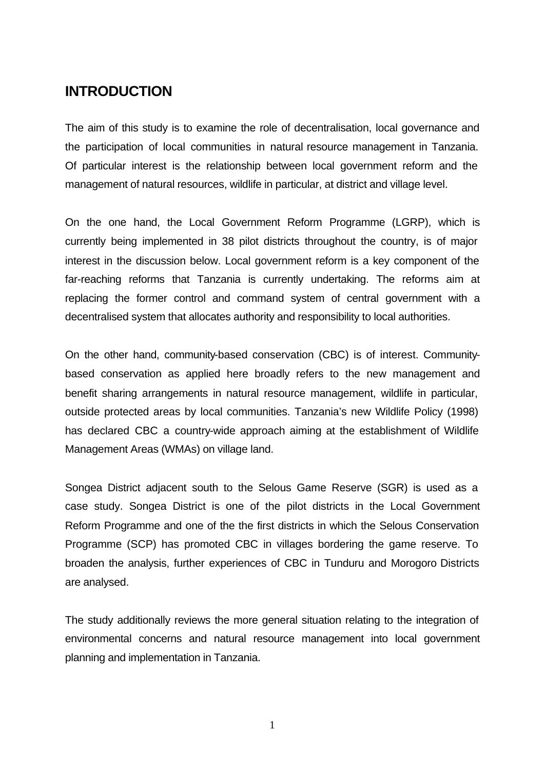### **INTRODUCTION**

The aim of this study is to examine the role of decentralisation, local governance and the participation of local communities in natural resource management in Tanzania. Of particular interest is the relationship between local government reform and the management of natural resources, wildlife in particular, at district and village level.

On the one hand, the Local Government Reform Programme (LGRP), which is currently being implemented in 38 pilot districts throughout the country, is of major interest in the discussion below. Local government reform is a key component of the far-reaching reforms that Tanzania is currently undertaking. The reforms aim at replacing the former control and command system of central government with a decentralised system that allocates authority and responsibility to local authorities.

On the other hand, community-based conservation (CBC) is of interest. Communitybased conservation as applied here broadly refers to the new management and benefit sharing arrangements in natural resource management, wildlife in particular, outside protected areas by local communities. Tanzania's new Wildlife Policy (1998) has declared CBC a country-wide approach aiming at the establishment of Wildlife Management Areas (WMAs) on village land.

Songea District adjacent south to the Selous Game Reserve (SGR) is used as a case study. Songea District is one of the pilot districts in the Local Government Reform Programme and one of the the first districts in which the Selous Conservation Programme (SCP) has promoted CBC in villages bordering the game reserve. To broaden the analysis, further experiences of CBC in Tunduru and Morogoro Districts are analysed.

The study additionally reviews the more general situation relating to the integration of environmental concerns and natural resource management into local government planning and implementation in Tanzania.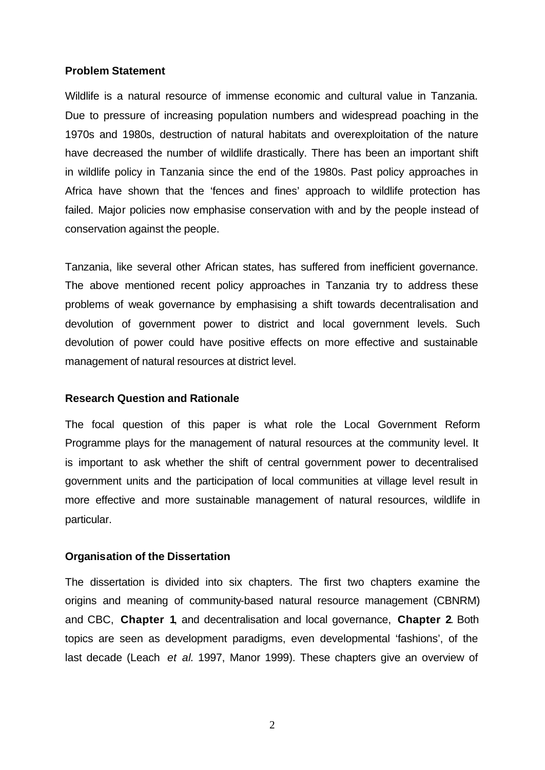### **Problem Statement**

Wildlife is a natural resource of immense economic and cultural value in Tanzania. Due to pressure of increasing population numbers and widespread poaching in the 1970s and 1980s, destruction of natural habitats and overexploitation of the nature have decreased the number of wildlife drastically. There has been an important shift in wildlife policy in Tanzania since the end of the 1980s. Past policy approaches in Africa have shown that the 'fences and fines' approach to wildlife protection has failed. Major policies now emphasise conservation with and by the people instead of conservation against the people.

Tanzania, like several other African states, has suffered from inefficient governance. The above mentioned recent policy approaches in Tanzania try to address these problems of weak governance by emphasising a shift towards decentralisation and devolution of government power to district and local government levels. Such devolution of power could have positive effects on more effective and sustainable management of natural resources at district level.

### **Research Question and Rationale**

The focal question of this paper is what role the Local Government Reform Programme plays for the management of natural resources at the community level. It is important to ask whether the shift of central government power to decentralised government units and the participation of local communities at village level result in more effective and more sustainable management of natural resources, wildlife in particular.

### **Organisation of the Dissertation**

The dissertation is divided into six chapters. The first two chapters examine the origins and meaning of community-based natural resource management (CBNRM) and CBC, **Chapter 1**, and decentralisation and local governance, **Chapter 2**. Both topics are seen as development paradigms, even developmental 'fashions', of the last decade (Leach *et al.* 1997, Manor 1999). These chapters give an overview of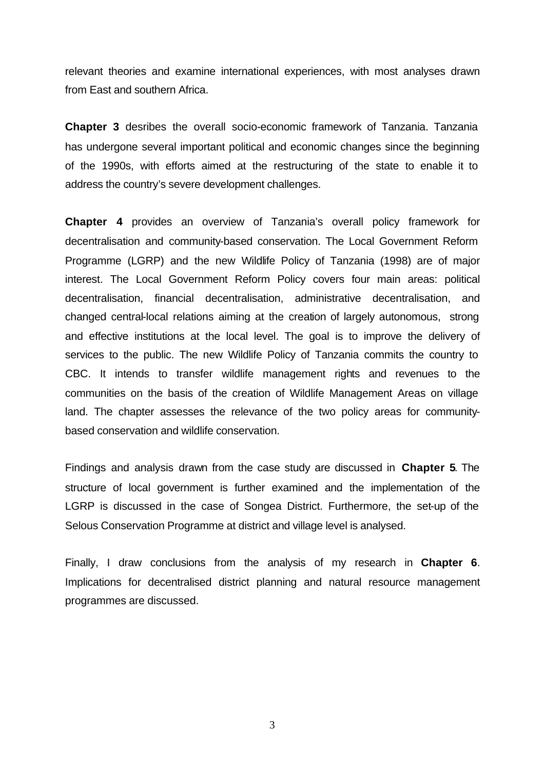relevant theories and examine international experiences, with most analyses drawn from East and southern Africa.

**Chapter 3** desribes the overall socio-economic framework of Tanzania. Tanzania has undergone several important political and economic changes since the beginning of the 1990s, with efforts aimed at the restructuring of the state to enable it to address the country's severe development challenges.

**Chapter 4** provides an overview of Tanzania's overall policy framework for decentralisation and community-based conservation. The Local Government Reform Programme (LGRP) and the new Wildlife Policy of Tanzania (1998) are of major interest. The Local Government Reform Policy covers four main areas: political decentralisation, financial decentralisation, administrative decentralisation, and changed central-local relations aiming at the creation of largely autonomous, strong and effective institutions at the local level. The goal is to improve the delivery of services to the public. The new Wildlife Policy of Tanzania commits the country to CBC. It intends to transfer wildlife management rights and revenues to the communities on the basis of the creation of Wildlife Management Areas on village land. The chapter assesses the relevance of the two policy areas for communitybased conservation and wildlife conservation.

Findings and analysis drawn from the case study are discussed in **Chapter 5**. The structure of local government is further examined and the implementation of the LGRP is discussed in the case of Songea District. Furthermore, the set-up of the Selous Conservation Programme at district and village level is analysed.

Finally, I draw conclusions from the analysis of my research in **Chapter 6**. Implications for decentralised district planning and natural resource management programmes are discussed.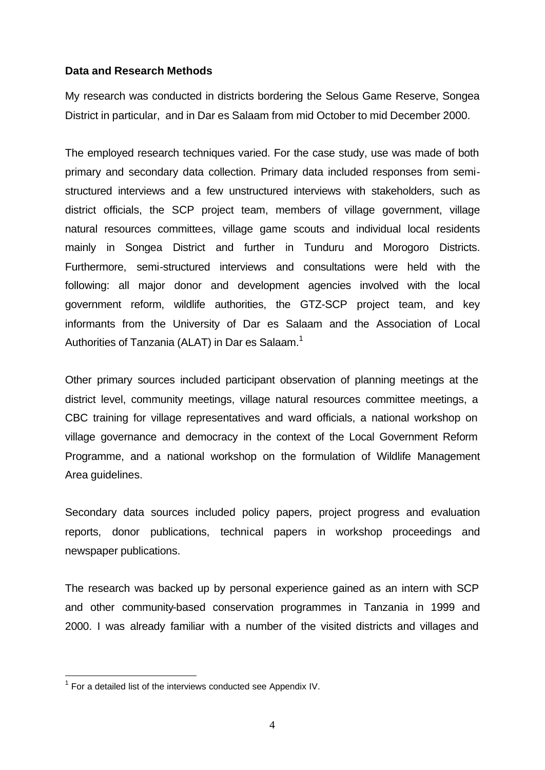### **Data and Research Methods**

My research was conducted in districts bordering the Selous Game Reserve, Songea District in particular, and in Dar es Salaam from mid October to mid December 2000.

The employed research techniques varied. For the case study, use was made of both primary and secondary data collection. Primary data included responses from semistructured interviews and a few unstructured interviews with stakeholders, such as district officials, the SCP project team, members of village government, village natural resources committees, village game scouts and individual local residents mainly in Songea District and further in Tunduru and Morogoro Districts. Furthermore, semi-structured interviews and consultations were held with the following: all major donor and development agencies involved with the local government reform, wildlife authorities, the GTZ-SCP project team, and key informants from the University of Dar es Salaam and the Association of Local Authorities of Tanzania (ALAT) in Dar es Salaam.<sup>1</sup>

Other primary sources included participant observation of planning meetings at the district level, community meetings, village natural resources committee meetings, a CBC training for village representatives and ward officials, a national workshop on village governance and democracy in the context of the Local Government Reform Programme, and a national workshop on the formulation of Wildlife Management Area guidelines.

Secondary data sources included policy papers, project progress and evaluation reports, donor publications, technical papers in workshop proceedings and newspaper publications.

The research was backed up by personal experience gained as an intern with SCP and other community-based conservation programmes in Tanzania in 1999 and 2000. I was already familiar with a number of the visited districts and villages and

l

 $1$  For a detailed list of the interviews conducted see Appendix IV.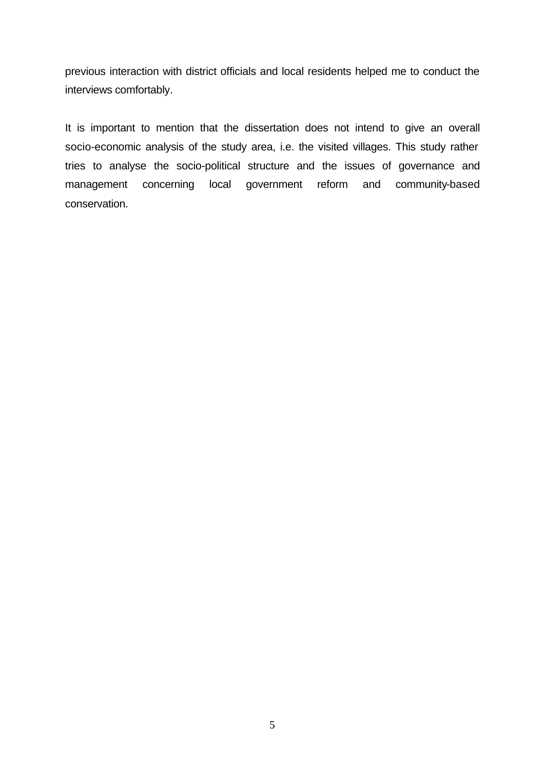previous interaction with district officials and local residents helped me to conduct the interviews comfortably.

It is important to mention that the dissertation does not intend to give an overall socio-economic analysis of the study area, i.e. the visited villages. This study rather tries to analyse the socio-political structure and the issues of governance and management concerning local government reform and community-based conservation.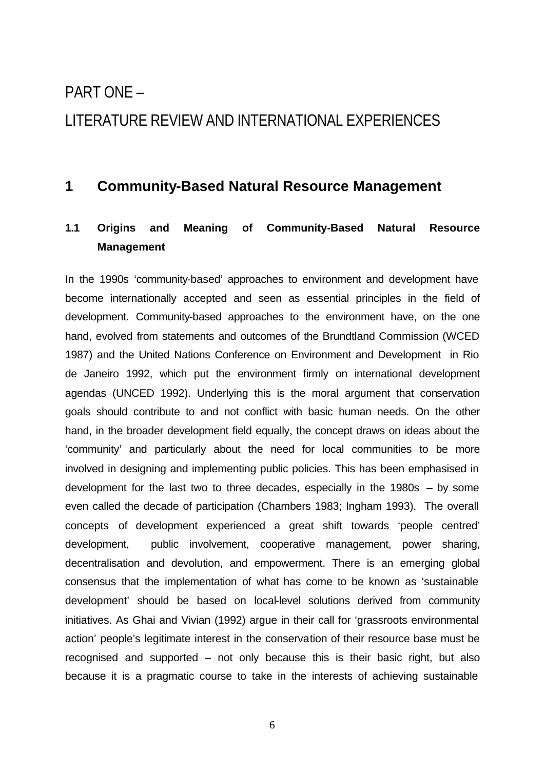# PART ONE – LITERATURE REVIEW AND INTERNATIONAL EXPERIENCES

### **1 Community-Based Natural Resource Management**

### **1.1 Origins and Meaning of Community-Based Natural Resource Management**

In the 1990s 'community-based' approaches to environment and development have become internationally accepted and seen as essential principles in the field of development. Community-based approaches to the environment have, on the one hand, evolved from statements and outcomes of the Brundtland Commission (WCED 1987) and the United Nations Conference on Environment and Development in Rio de Janeiro 1992, which put the environment firmly on international development agendas (UNCED 1992). Underlying this is the moral argument that conservation goals should contribute to and not conflict with basic human needs. On the other hand, in the broader development field equally, the concept draws on ideas about the 'community' and particularly about the need for local communities to be more involved in designing and implementing public policies. This has been emphasised in development for the last two to three decades, especially in the 1980s – by some even called the decade of participation (Chambers 1983; Ingham 1993). The overall concepts of development experienced a great shift towards 'people centred' development, public involvement, cooperative management, power sharing, decentralisation and devolution, and empowerment. There is an emerging global consensus that the implementation of what has come to be known as 'sustainable development' should be based on local-level solutions derived from community initiatives. As Ghai and Vivian (1992) argue in their call for 'grassroots environmental action' people's legitimate interest in the conservation of their resource base must be recognised and supported – not only because this is their basic right, but also because it is a pragmatic course to take in the interests of achieving sustainable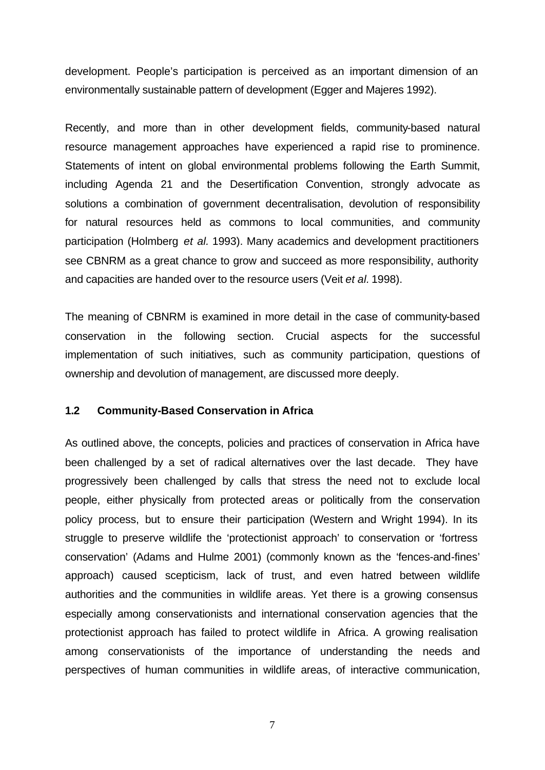development. People's participation is perceived as an important dimension of an environmentally sustainable pattern of development (Egger and Majeres 1992).

Recently, and more than in other development fields, community-based natural resource management approaches have experienced a rapid rise to prominence. Statements of intent on global environmental problems following the Earth Summit, including Agenda 21 and the Desertification Convention, strongly advocate as solutions a combination of government decentralisation, devolution of responsibility for natural resources held as commons to local communities, and community participation (Holmberg *et al.* 1993). Many academics and development practitioners see CBNRM as a great chance to grow and succeed as more responsibility, authority and capacities are handed over to the resource users (Veit *et al.* 1998).

The meaning of CBNRM is examined in more detail in the case of community-based conservation in the following section. Crucial aspects for the successful implementation of such initiatives, such as community participation, questions of ownership and devolution of management, are discussed more deeply.

#### **1.2 Community-Based Conservation in Africa**

As outlined above, the concepts, policies and practices of conservation in Africa have been challenged by a set of radical alternatives over the last decade. They have progressively been challenged by calls that stress the need not to exclude local people, either physically from protected areas or politically from the conservation policy process, but to ensure their participation (Western and Wright 1994). In its struggle to preserve wildlife the 'protectionist approach' to conservation or 'fortress conservation' (Adams and Hulme 2001) (commonly known as the 'fences-and-fines' approach) caused scepticism, lack of trust, and even hatred between wildlife authorities and the communities in wildlife areas. Yet there is a growing consensus especially among conservationists and international conservation agencies that the protectionist approach has failed to protect wildlife in Africa. A growing realisation among conservationists of the importance of understanding the needs and perspectives of human communities in wildlife areas, of interactive communication,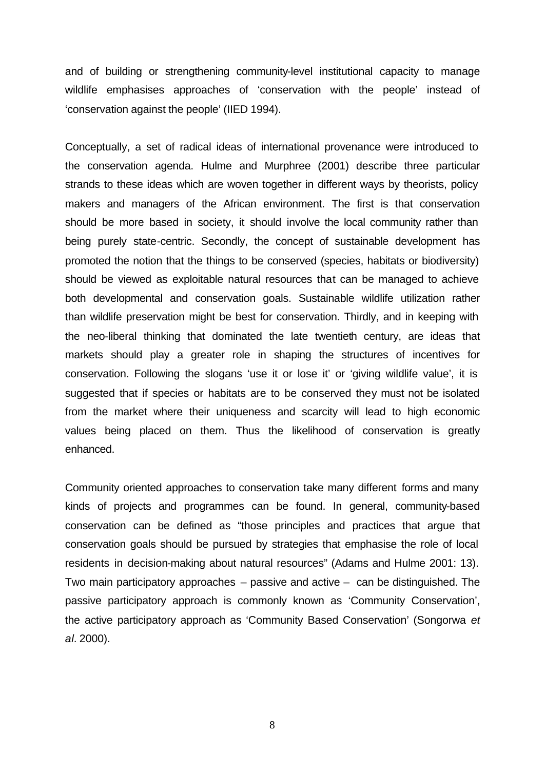and of building or strengthening community-level institutional capacity to manage wildlife emphasises approaches of 'conservation with the people' instead of 'conservation against the people' (IIED 1994).

Conceptually, a set of radical ideas of international provenance were introduced to the conservation agenda. Hulme and Murphree (2001) describe three particular strands to these ideas which are woven together in different ways by theorists, policy makers and managers of the African environment. The first is that conservation should be more based in society, it should involve the local community rather than being purely state-centric. Secondly, the concept of sustainable development has promoted the notion that the things to be conserved (species, habitats or biodiversity) should be viewed as exploitable natural resources that can be managed to achieve both developmental and conservation goals. Sustainable wildlife utilization rather than wildlife preservation might be best for conservation. Thirdly, and in keeping with the neo-liberal thinking that dominated the late twentieth century, are ideas that markets should play a greater role in shaping the structures of incentives for conservation. Following the slogans 'use it or lose it' or 'giving wildlife value', it is suggested that if species or habitats are to be conserved they must not be isolated from the market where their uniqueness and scarcity will lead to high economic values being placed on them. Thus the likelihood of conservation is greatly enhanced.

Community oriented approaches to conservation take many different forms and many kinds of projects and programmes can be found. In general, community-based conservation can be defined as "those principles and practices that argue that conservation goals should be pursued by strategies that emphasise the role of local residents in decision-making about natural resources" (Adams and Hulme 2001: 13). Two main participatory approaches – passive and active – can be distinguished. The passive participatory approach is commonly known as 'Community Conservation', the active participatory approach as 'Community Based Conservation' (Songorwa *et al.* 2000).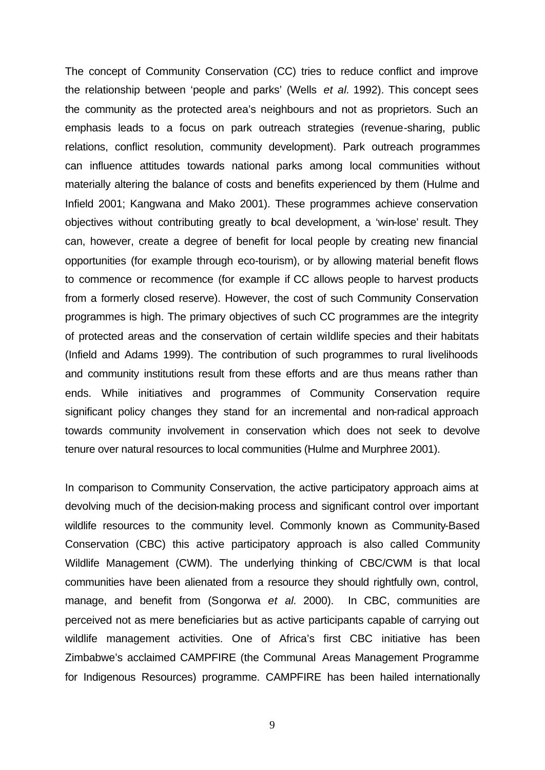The concept of Community Conservation (CC) tries to reduce conflict and improve the relationship between 'people and parks' (Wells *et al.* 1992). This concept sees the community as the protected area's neighbours and not as proprietors. Such an emphasis leads to a focus on park outreach strategies (revenue-sharing, public relations, conflict resolution, community development). Park outreach programmes can influence attitudes towards national parks among local communities without materially altering the balance of costs and benefits experienced by them (Hulme and Infield 2001; Kangwana and Mako 2001). These programmes achieve conservation objectives without contributing greatly to bcal development, a 'win-lose' result. They can, however, create a degree of benefit for local people by creating new financial opportunities (for example through eco-tourism), or by allowing material benefit flows to commence or recommence (for example if CC allows people to harvest products from a formerly closed reserve). However, the cost of such Community Conservation programmes is high. The primary objectives of such CC programmes are the integrity of protected areas and the conservation of certain wildlife species and their habitats (Infield and Adams 1999). The contribution of such programmes to rural livelihoods and community institutions result from these efforts and are thus means rather than ends. While initiatives and programmes of Community Conservation require significant policy changes they stand for an incremental and non-radical approach towards community involvement in conservation which does not seek to devolve tenure over natural resources to local communities (Hulme and Murphree 2001).

In comparison to Community Conservation, the active participatory approach aims at devolving much of the decision-making process and significant control over important wildlife resources to the community level. Commonly known as Community-Based Conservation (CBC) this active participatory approach is also called Community Wildlife Management (CWM). The underlying thinking of CBC/CWM is that local communities have been alienated from a resource they should rightfully own, control, manage, and benefit from (Songorwa *et al.* 2000). In CBC, communities are perceived not as mere beneficiaries but as active participants capable of carrying out wildlife management activities. One of Africa's first CBC initiative has been Zimbabwe's acclaimed CAMPFIRE (the Communal Areas Management Programme for Indigenous Resources) programme. CAMPFIRE has been hailed internationally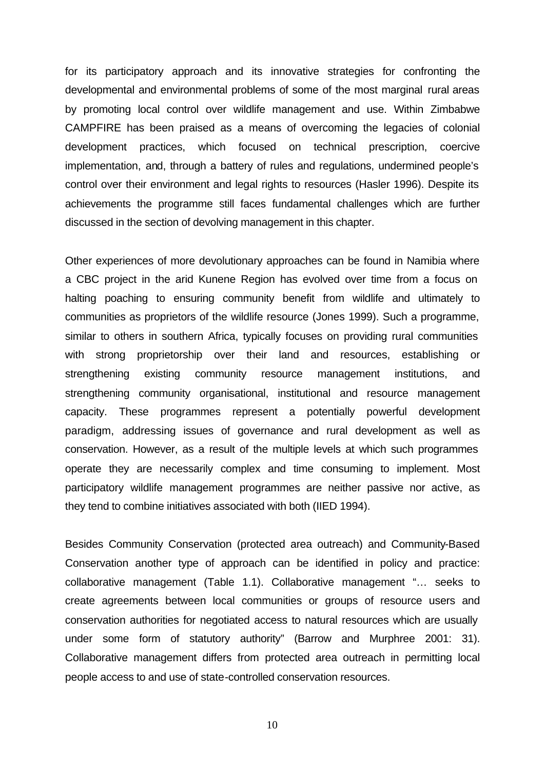for its participatory approach and its innovative strategies for confronting the developmental and environmental problems of some of the most marginal rural areas by promoting local control over wildlife management and use. Within Zimbabwe CAMPFIRE has been praised as a means of overcoming the legacies of colonial development practices, which focused on technical prescription, coercive implementation, and, through a battery of rules and regulations, undermined people's control over their environment and legal rights to resources (Hasler 1996). Despite its achievements the programme still faces fundamental challenges which are further discussed in the section of devolving management in this chapter.

Other experiences of more devolutionary approaches can be found in Namibia where a CBC project in the arid Kunene Region has evolved over time from a focus on halting poaching to ensuring community benefit from wildlife and ultimately to communities as proprietors of the wildlife resource (Jones 1999). Such a programme, similar to others in southern Africa, typically focuses on providing rural communities with strong proprietorship over their land and resources, establishing or strengthening existing community resource management institutions, and strengthening community organisational, institutional and resource management capacity. These programmes represent a potentially powerful development paradigm, addressing issues of governance and rural development as well as conservation. However, as a result of the multiple levels at which such programmes operate they are necessarily complex and time consuming to implement. Most participatory wildlife management programmes are neither passive nor active, as they tend to combine initiatives associated with both (IIED 1994).

Besides Community Conservation (protected area outreach) and Community-Based Conservation another type of approach can be identified in policy and practice: collaborative management (Table 1.1). Collaborative management "… seeks to create agreements between local communities or groups of resource users and conservation authorities for negotiated access to natural resources which are usually under some form of statutory authority" (Barrow and Murphree 2001: 31). Collaborative management differs from protected area outreach in permitting local people access to and use of state-controlled conservation resources.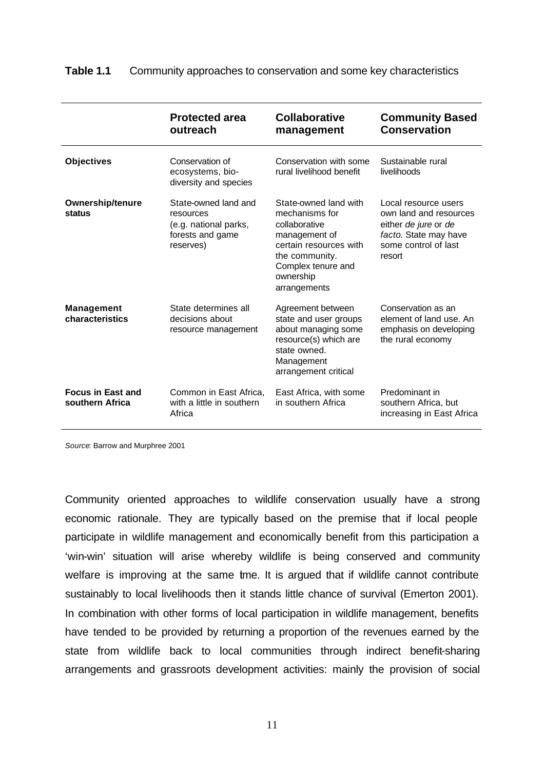### **Table 1.1** Community approaches to conservation and some key characteristics

|                                             | <b>Protected area</b><br>outreach                                                           | <b>Collaborative</b><br>management                                                                                                                                       | <b>Community Based</b><br><b>Conservation</b>                                                                                     |
|---------------------------------------------|---------------------------------------------------------------------------------------------|--------------------------------------------------------------------------------------------------------------------------------------------------------------------------|-----------------------------------------------------------------------------------------------------------------------------------|
| <b>Objectives</b>                           | Conservation of<br>ecosystems, bio-<br>diversity and species                                | Conservation with some<br>rural livelihood benefit                                                                                                                       | Sustainable rural<br>livelihoods                                                                                                  |
| <b>Ownership/tenure</b><br>status           | State-owned land and<br>resources<br>(e.g. national parks,<br>forests and game<br>reserves) | State-owned land with<br>mechanisms for<br>collaborative<br>management of<br>certain resources with<br>the community.<br>Complex tenure and<br>ownership<br>arrangements | Local resource users<br>own land and resources<br>either de jure or de<br>facto. State may have<br>some control of last<br>resort |
| <b>Management</b><br>characteristics        | State determines all<br>decisions about<br>resource management                              | Agreement between<br>state and user groups<br>about managing some<br>resource(s) which are<br>state owned.<br>Management<br>arrangement critical                         | Conservation as an<br>element of land use. An<br>emphasis on developing<br>the rural economy                                      |
| <b>Focus in East and</b><br>southern Africa | Common in East Africa.<br>with a little in southern<br>Africa                               | East Africa, with some<br>in southern Africa                                                                                                                             | Predominant in<br>southern Africa, but<br>increasing in East Africa                                                               |

*Source*: Barrow and Murphree 2001

Community oriented approaches to wildlife conservation usually have a strong economic rationale. They are typically based on the premise that if local people participate in wildlife management and economically benefit from this participation a 'win-win' situation will arise whereby wildlife is being conserved and community welfare is improving at the same tme. It is argued that if wildlife cannot contribute sustainably to local livelihoods then it stands little chance of survival (Emerton 2001). In combination with other forms of local participation in wildlife management, benefits have tended to be provided by returning a proportion of the revenues earned by the state from wildlife back to local communities through indirect benefit-sharing arrangements and grassroots development activities: mainly the provision of social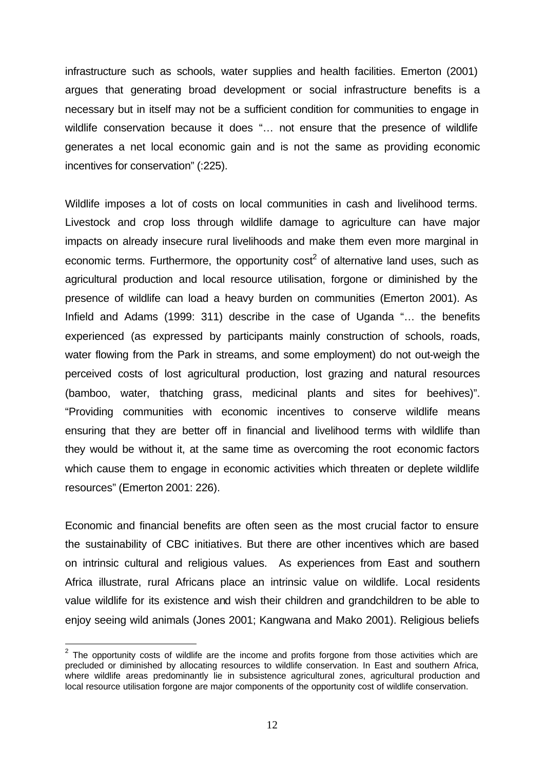infrastructure such as schools, water supplies and health facilities. Emerton (2001) argues that generating broad development or social infrastructure benefits is a necessary but in itself may not be a sufficient condition for communities to engage in wildlife conservation because it does "… not ensure that the presence of wildlife generates a net local economic gain and is not the same as providing economic incentives for conservation" (:225).

Wildlife imposes a lot of costs on local communities in cash and livelihood terms. Livestock and crop loss through wildlife damage to agriculture can have major impacts on already insecure rural livelihoods and make them even more marginal in economic terms. Furthermore, the opportunity cost<sup>2</sup> of alternative land uses, such as agricultural production and local resource utilisation, forgone or diminished by the presence of wildlife can load a heavy burden on communities (Emerton 2001). As Infield and Adams (1999: 311) describe in the case of Uganda "… the benefits experienced (as expressed by participants mainly construction of schools, roads, water flowing from the Park in streams, and some employment) do not out-weigh the perceived costs of lost agricultural production, lost grazing and natural resources (bamboo, water, thatching grass, medicinal plants and sites for beehives)". "Providing communities with economic incentives to conserve wildlife means ensuring that they are better off in financial and livelihood terms with wildlife than they would be without it, at the same time as overcoming the root economic factors which cause them to engage in economic activities which threaten or deplete wildlife resources" (Emerton 2001: 226).

Economic and financial benefits are often seen as the most crucial factor to ensure the sustainability of CBC initiatives. But there are other incentives which are based on intrinsic cultural and religious values. As experiences from East and southern Africa illustrate, rural Africans place an intrinsic value on wildlife. Local residents value wildlife for its existence and wish their children and grandchildren to be able to enjoy seeing wild animals (Jones 2001; Kangwana and Mako 2001). Religious beliefs

l

 $2$  The opportunity costs of wildlife are the income and profits forgone from those activities which are precluded or diminished by allocating resources to wildlife conservation. In East and southern Africa. where wildlife areas predominantly lie in subsistence agricultural zones, agricultural production and local resource utilisation forgone are major components of the opportunity cost of wildlife conservation.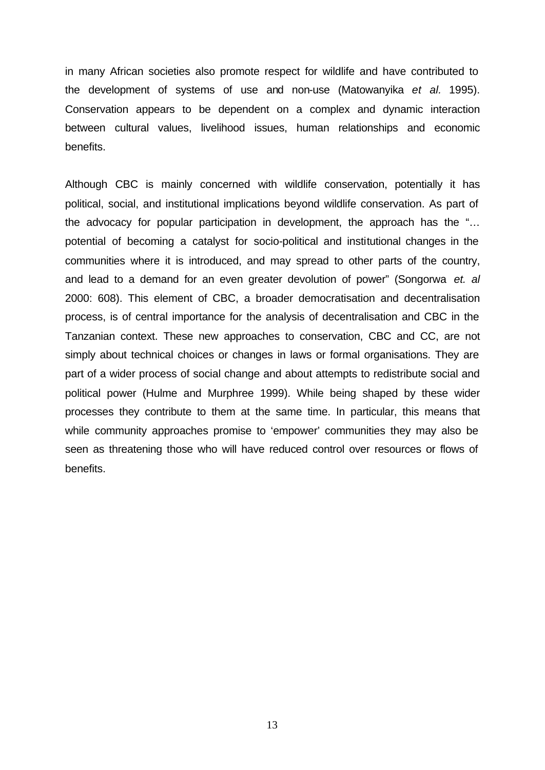in many African societies also promote respect for wildlife and have contributed to the development of systems of use and non-use (Matowanyika *et al.* 1995). Conservation appears to be dependent on a complex and dynamic interaction between cultural values, livelihood issues, human relationships and economic benefits.

Although CBC is mainly concerned with wildlife conservation, potentially it has political, social, and institutional implications beyond wildlife conservation. As part of the advocacy for popular participation in development, the approach has the "… potential of becoming a catalyst for socio-political and institutional changes in the communities where it is introduced, and may spread to other parts of the country, and lead to a demand for an even greater devolution of power" (Songorwa *et. al* 2000: 608). This element of CBC, a broader democratisation and decentralisation process, is of central importance for the analysis of decentralisation and CBC in the Tanzanian context. These new approaches to conservation, CBC and CC, are not simply about technical choices or changes in laws or formal organisations. They are part of a wider process of social change and about attempts to redistribute social and political power (Hulme and Murphree 1999). While being shaped by these wider processes they contribute to them at the same time. In particular, this means that while community approaches promise to 'empower' communities they may also be seen as threatening those who will have reduced control over resources or flows of benefits.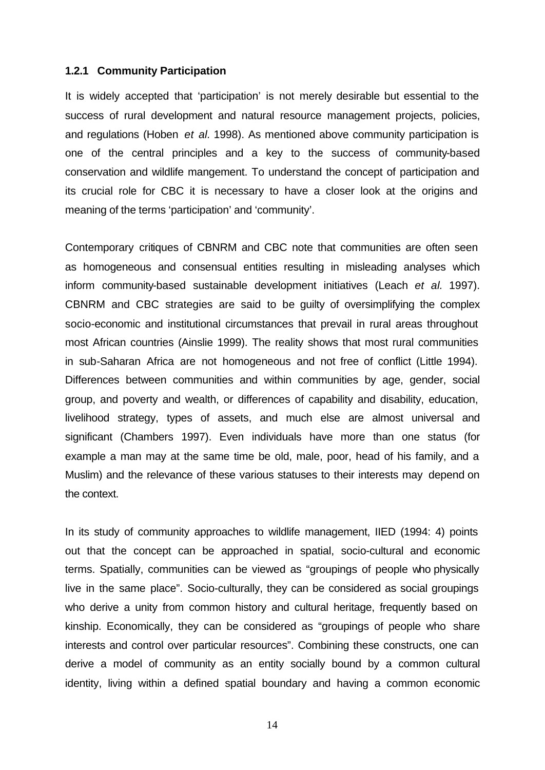### **1.2.1 Community Participation**

It is widely accepted that 'participation' is not merely desirable but essential to the success of rural development and natural resource management projects, policies, and regulations (Hoben *et al.* 1998). As mentioned above community participation is one of the central principles and a key to the success of community-based conservation and wildlife mangement. To understand the concept of participation and its crucial role for CBC it is necessary to have a closer look at the origins and meaning of the terms 'participation' and 'community'.

Contemporary critiques of CBNRM and CBC note that communities are often seen as homogeneous and consensual entities resulting in misleading analyses which inform community-based sustainable development initiatives (Leach *et al.* 1997). CBNRM and CBC strategies are said to be guilty of oversimplifying the complex socio-economic and institutional circumstances that prevail in rural areas throughout most African countries (Ainslie 1999). The reality shows that most rural communities in sub-Saharan Africa are not homogeneous and not free of conflict (Little 1994). Differences between communities and within communities by age, gender, social group, and poverty and wealth, or differences of capability and disability, education, livelihood strategy, types of assets, and much else are almost universal and significant (Chambers 1997). Even individuals have more than one status (for example a man may at the same time be old, male, poor, head of his family, and a Muslim) and the relevance of these various statuses to their interests may depend on the context.

In its study of community approaches to wildlife management, IIED (1994: 4) points out that the concept can be approached in spatial, socio-cultural and economic terms. Spatially, communities can be viewed as "groupings of people who physically live in the same place". Socio-culturally, they can be considered as social groupings who derive a unity from common history and cultural heritage, frequently based on kinship. Economically, they can be considered as "groupings of people who share interests and control over particular resources". Combining these constructs, one can derive a model of community as an entity socially bound by a common cultural identity, living within a defined spatial boundary and having a common economic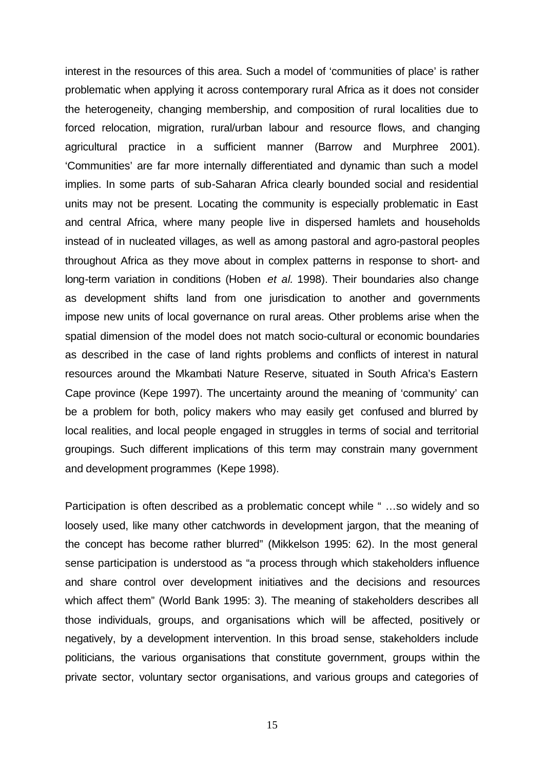interest in the resources of this area. Such a model of 'communities of place' is rather problematic when applying it across contemporary rural Africa as it does not consider the heterogeneity, changing membership, and composition of rural localities due to forced relocation, migration, rural/urban labour and resource flows, and changing agricultural practice in a sufficient manner (Barrow and Murphree 2001). 'Communities' are far more internally differentiated and dynamic than such a model implies. In some parts of sub-Saharan Africa clearly bounded social and residential units may not be present. Locating the community is especially problematic in East and central Africa, where many people live in dispersed hamlets and households instead of in nucleated villages, as well as among pastoral and agro-pastoral peoples throughout Africa as they move about in complex patterns in response to short- and long-term variation in conditions (Hoben *et al.* 1998). Their boundaries also change as development shifts land from one jurisdication to another and governments impose new units of local governance on rural areas. Other problems arise when the spatial dimension of the model does not match socio-cultural or economic boundaries as described in the case of land rights problems and conflicts of interest in natural resources around the Mkambati Nature Reserve, situated in South Africa's Eastern Cape province (Kepe 1997). The uncertainty around the meaning of 'community' can be a problem for both, policy makers who may easily get confused and blurred by local realities, and local people engaged in struggles in terms of social and territorial groupings. Such different implications of this term may constrain many government and development programmes (Kepe 1998).

Participation is often described as a problematic concept while " …so widely and so loosely used, like many other catchwords in development jargon, that the meaning of the concept has become rather blurred" (Mikkelson 1995: 62). In the most general sense participation is understood as "a process through which stakeholders influence and share control over development initiatives and the decisions and resources which affect them" (World Bank 1995: 3). The meaning of stakeholders describes all those individuals, groups, and organisations which will be affected, positively or negatively, by a development intervention. In this broad sense, stakeholders include politicians, the various organisations that constitute government, groups within the private sector, voluntary sector organisations, and various groups and categories of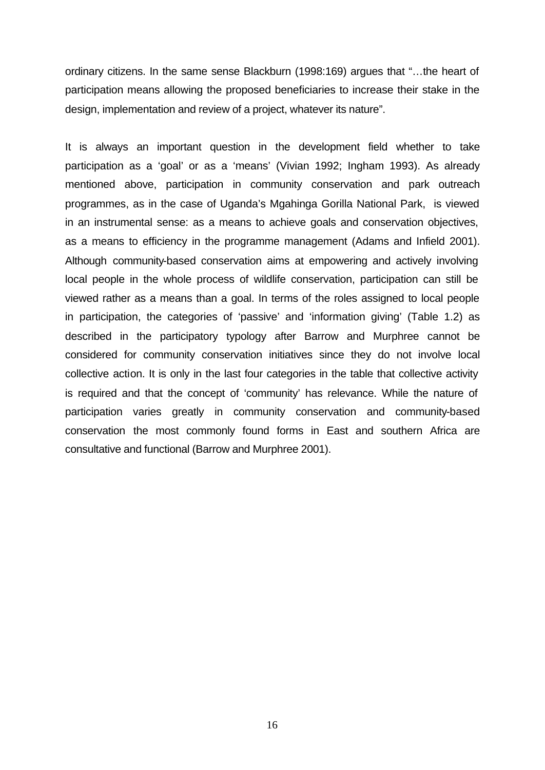ordinary citizens. In the same sense Blackburn (1998:169) argues that "…the heart of participation means allowing the proposed beneficiaries to increase their stake in the design, implementation and review of a project, whatever its nature".

It is always an important question in the development field whether to take participation as a 'goal' or as a 'means' (Vivian 1992; Ingham 1993). As already mentioned above, participation in community conservation and park outreach programmes, as in the case of Uganda's Mgahinga Gorilla National Park, is viewed in an instrumental sense: as a means to achieve goals and conservation objectives, as a means to efficiency in the programme management (Adams and Infield 2001). Although community-based conservation aims at empowering and actively involving local people in the whole process of wildlife conservation, participation can still be viewed rather as a means than a goal. In terms of the roles assigned to local people in participation, the categories of 'passive' and 'information giving' (Table 1.2) as described in the participatory typology after Barrow and Murphree cannot be considered for community conservation initiatives since they do not involve local collective action. It is only in the last four categories in the table that collective activity is required and that the concept of 'community' has relevance. While the nature of participation varies greatly in community conservation and community-based conservation the most commonly found forms in East and southern Africa are consultative and functional (Barrow and Murphree 2001).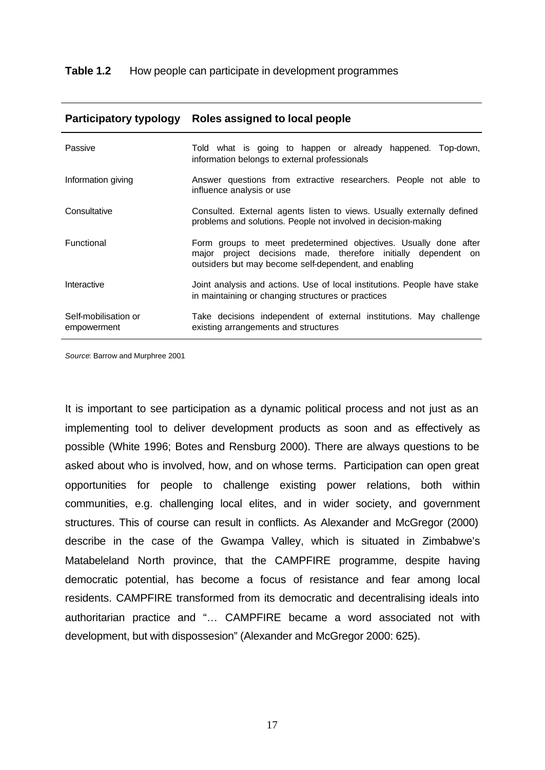| Passive                             | Told what is going to happen or already happened. Top-down,<br>information belongs to external professionals                                                                                |
|-------------------------------------|---------------------------------------------------------------------------------------------------------------------------------------------------------------------------------------------|
| Information giving                  | Answer questions from extractive researchers. People not able to<br>influence analysis or use                                                                                               |
| Consultative                        | Consulted. External agents listen to views. Usually externally defined<br>problems and solutions. People not involved in decision-making                                                    |
| Functional                          | Form groups to meet predetermined objectives. Usually done after<br>major project decisions made, therefore initially dependent on<br>outsiders but may become self-dependent, and enabling |
| Interactive                         | Joint analysis and actions. Use of local institutions. People have stake<br>in maintaining or changing structures or practices                                                              |
| Self-mobilisation or<br>empowerment | Take decisions independent of external institutions. May challenge<br>existing arrangements and structures                                                                                  |

#### **Participatory typology Roles assigned to local people**

*Source*: Barrow and Murphree 2001

It is important to see participation as a dynamic political process and not just as an implementing tool to deliver development products as soon and as effectively as possible (White 1996; Botes and Rensburg 2000). There are always questions to be asked about who is involved, how, and on whose terms. Participation can open great opportunities for people to challenge existing power relations, both within communities, e.g. challenging local elites, and in wider society, and government structures. This of course can result in conflicts. As Alexander and McGregor (2000) describe in the case of the Gwampa Valley, which is situated in Zimbabwe's Matabeleland North province, that the CAMPFIRE programme, despite having democratic potential, has become a focus of resistance and fear among local residents. CAMPFIRE transformed from its democratic and decentralising ideals into authoritarian practice and "… CAMPFIRE became a word associated not with development, but with dispossesion" (Alexander and McGregor 2000: 625).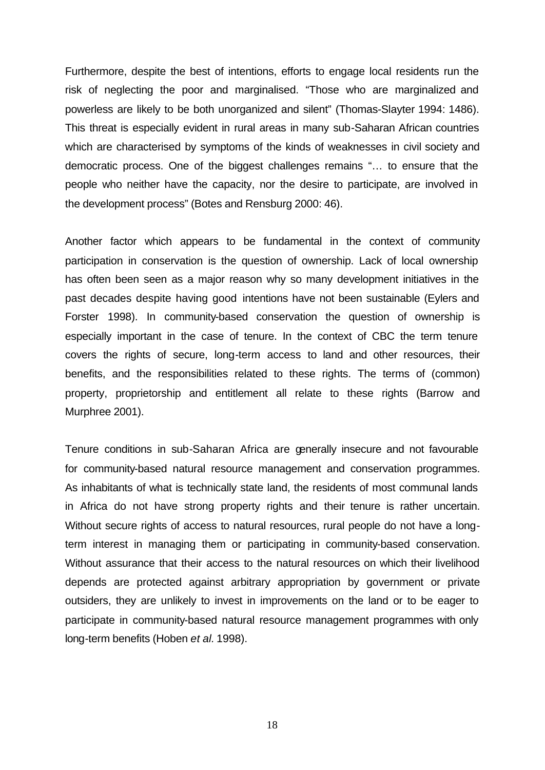Furthermore, despite the best of intentions, efforts to engage local residents run the risk of neglecting the poor and marginalised. "Those who are marginalized and powerless are likely to be both unorganized and silent" (Thomas-Slayter 1994: 1486). This threat is especially evident in rural areas in many sub-Saharan African countries which are characterised by symptoms of the kinds of weaknesses in civil society and democratic process. One of the biggest challenges remains "… to ensure that the people who neither have the capacity, nor the desire to participate, are involved in the development process" (Botes and Rensburg 2000: 46).

Another factor which appears to be fundamental in the context of community participation in conservation is the question of ownership. Lack of local ownership has often been seen as a major reason why so many development initiatives in the past decades despite having good intentions have not been sustainable (Eylers and Forster 1998). In community-based conservation the question of ownership is especially important in the case of tenure. In the context of CBC the term tenure covers the rights of secure, long-term access to land and other resources, their benefits, and the responsibilities related to these rights. The terms of (common) property, proprietorship and entitlement all relate to these rights (Barrow and Murphree 2001).

Tenure conditions in sub-Saharan Africa are generally insecure and not favourable for community-based natural resource management and conservation programmes. As inhabitants of what is technically state land, the residents of most communal lands in Africa do not have strong property rights and their tenure is rather uncertain. Without secure rights of access to natural resources, rural people do not have a longterm interest in managing them or participating in community-based conservation. Without assurance that their access to the natural resources on which their livelihood depends are protected against arbitrary appropriation by government or private outsiders, they are unlikely to invest in improvements on the land or to be eager to participate in community-based natural resource management programmes with only long-term benefits (Hoben *et al.* 1998).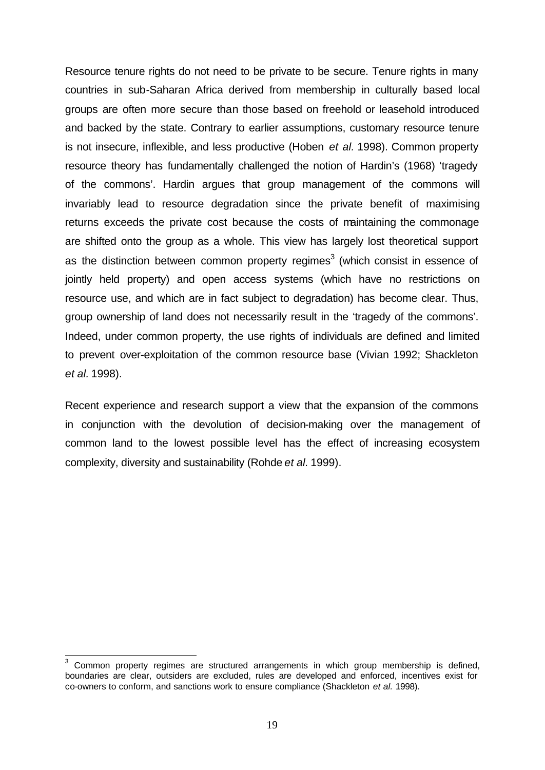Resource tenure rights do not need to be private to be secure. Tenure rights in many countries in sub-Saharan Africa derived from membership in culturally based local groups are often more secure than those based on freehold or leasehold introduced and backed by the state. Contrary to earlier assumptions, customary resource tenure is not insecure, inflexible, and less productive (Hoben *et al.* 1998). Common property resource theory has fundamentally challenged the notion of Hardin's (1968) 'tragedy of the commons'. Hardin argues that group management of the commons will invariably lead to resource degradation since the private benefit of maximising returns exceeds the private cost because the costs of maintaining the commonage are shifted onto the group as a whole. This view has largely lost theoretical support as the distinction between common property regimes<sup>3</sup> (which consist in essence of jointly held property) and open access systems (which have no restrictions on resource use, and which are in fact subject to degradation) has become clear. Thus, group ownership of land does not necessarily result in the 'tragedy of the commons'. Indeed, under common property, the use rights of individuals are defined and limited to prevent over-exploitation of the common resource base (Vivian 1992; Shackleton *et al.* 1998).

Recent experience and research support a view that the expansion of the commons in conjunction with the devolution of decision-making over the management of common land to the lowest possible level has the effect of increasing ecosystem complexity, diversity and sustainability (Rohde *et al.* 1999).

 $\overline{\phantom{a}}$ 

<sup>3</sup> Common property regimes are structured arrangements in which group membership is defined, boundaries are clear, outsiders are excluded, rules are developed and enforced, incentives exist for co-owners to conform, and sanctions work to ensure compliance (Shackleton *et al.* 1998).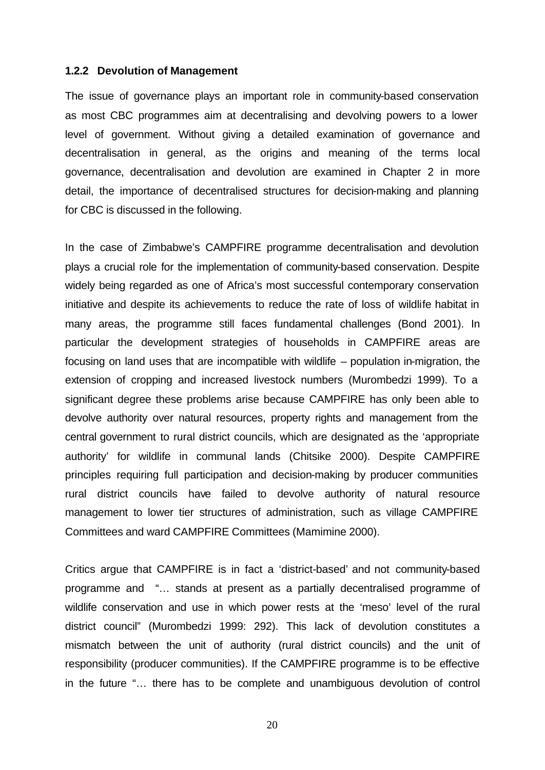#### **1.2.2 Devolution of Management**

The issue of governance plays an important role in community-based conservation as most CBC programmes aim at decentralising and devolving powers to a lower level of government. Without giving a detailed examination of governance and decentralisation in general, as the origins and meaning of the terms local governance, decentralisation and devolution are examined in Chapter 2 in more detail, the importance of decentralised structures for decision-making and planning for CBC is discussed in the following.

In the case of Zimbabwe's CAMPFIRE programme decentralisation and devolution plays a crucial role for the implementation of community-based conservation. Despite widely being regarded as one of Africa's most successful contemporary conservation initiative and despite its achievements to reduce the rate of loss of wildlife habitat in many areas, the programme still faces fundamental challenges (Bond 2001). In particular the development strategies of households in CAMPFIRE areas are focusing on land uses that are incompatible with wildlife – population in-migration, the extension of cropping and increased livestock numbers (Murombedzi 1999). To a significant degree these problems arise because CAMPFIRE has only been able to devolve authority over natural resources, property rights and management from the central government to rural district councils, which are designated as the 'appropriate authority' for wildlife in communal lands (Chitsike 2000). Despite CAMPFIRE principles requiring full participation and decision-making by producer communities rural district councils have failed to devolve authority of natural resource management to lower tier structures of administration, such as village CAMPFIRE Committees and ward CAMPFIRE Committees (Mamimine 2000).

Critics argue that CAMPFIRE is in fact a 'district-based' and not community-based programme and "… stands at present as a partially decentralised programme of wildlife conservation and use in which power rests at the 'meso' level of the rural district council" (Murombedzi 1999: 292). This lack of devolution constitutes a mismatch between the unit of authority (rural district councils) and the unit of responsibility (producer communities). If the CAMPFIRE programme is to be effective in the future "… there has to be complete and unambiguous devolution of control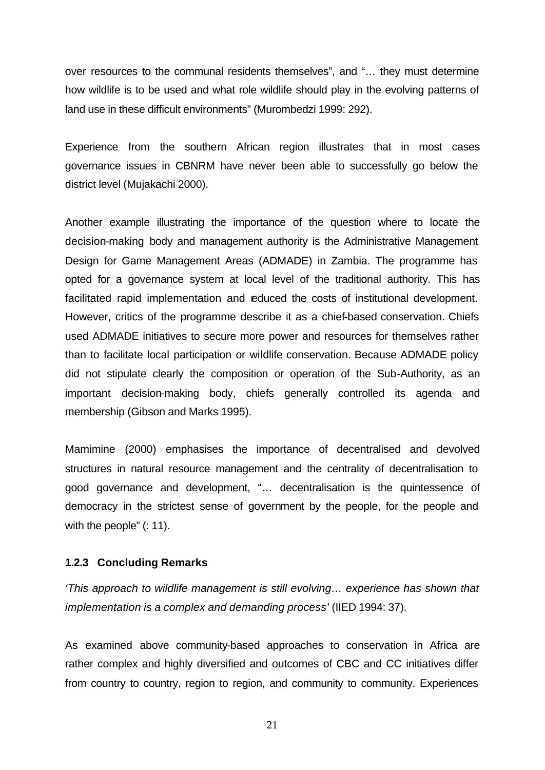over resources to the communal residents themselves", and "… they must determine how wildlife is to be used and what role wildlife should play in the evolving patterns of land use in these difficult environments" (Murombedzi 1999: 292).

Experience from the southern African region illustrates that in most cases governance issues in CBNRM have never been able to successfully go below the district level (Mujakachi 2000).

Another example illustrating the importance of the question where to locate the decision-making body and management authority is the Administrative Management Design for Game Management Areas (ADMADE) in Zambia. The programme has opted for a governance system at local level of the traditional authority. This has facilitated rapid implementation and reduced the costs of institutional development. However, critics of the programme describe it as a chief-based conservation. Chiefs used ADMADE initiatives to secure more power and resources for themselves rather than to facilitate local participation or wildlife conservation. Because ADMADE policy did not stipulate clearly the composition or operation of the Sub-Authority, as an important decision-making body, chiefs generally controlled its agenda and membership (Gibson and Marks 1995).

Mamimine (2000) emphasises the importance of decentralised and devolved structures in natural resource management and the centrality of decentralisation to good governance and development, "… decentralisation is the quintessence of democracy in the strictest sense of government by the people, for the people and with the people" (: 11).

### **1.2.3 Concluding Remarks**

*'This approach to wildlife management is still evolving… experience has shown that implementation is a complex and demanding process'* (IIED 1994: 37).

As examined above community-based approaches to conservation in Africa are rather complex and highly diversified and outcomes of CBC and CC initiatives differ from country to country, region to region, and community to community. Experiences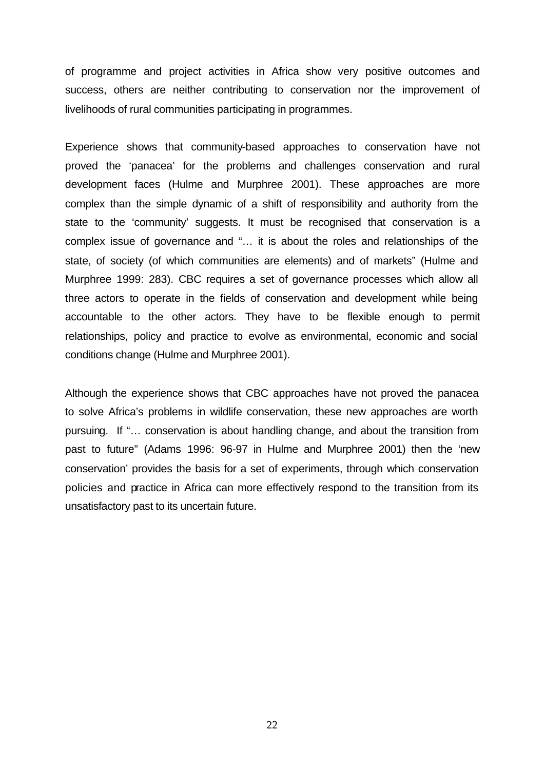of programme and project activities in Africa show very positive outcomes and success, others are neither contributing to conservation nor the improvement of livelihoods of rural communities participating in programmes.

Experience shows that community-based approaches to conservation have not proved the 'panacea' for the problems and challenges conservation and rural development faces (Hulme and Murphree 2001). These approaches are more complex than the simple dynamic of a shift of responsibility and authority from the state to the 'community' suggests. It must be recognised that conservation is a complex issue of governance and "… it is about the roles and relationships of the state, of society (of which communities are elements) and of markets" (Hulme and Murphree 1999: 283). CBC requires a set of governance processes which allow all three actors to operate in the fields of conservation and development while being accountable to the other actors. They have to be flexible enough to permit relationships, policy and practice to evolve as environmental, economic and social conditions change (Hulme and Murphree 2001).

Although the experience shows that CBC approaches have not proved the panacea to solve Africa's problems in wildlife conservation, these new approaches are worth pursuing. If "… conservation is about handling change, and about the transition from past to future" (Adams 1996: 96-97 in Hulme and Murphree 2001) then the 'new conservation' provides the basis for a set of experiments, through which conservation policies and practice in Africa can more effectively respond to the transition from its unsatisfactory past to its uncertain future.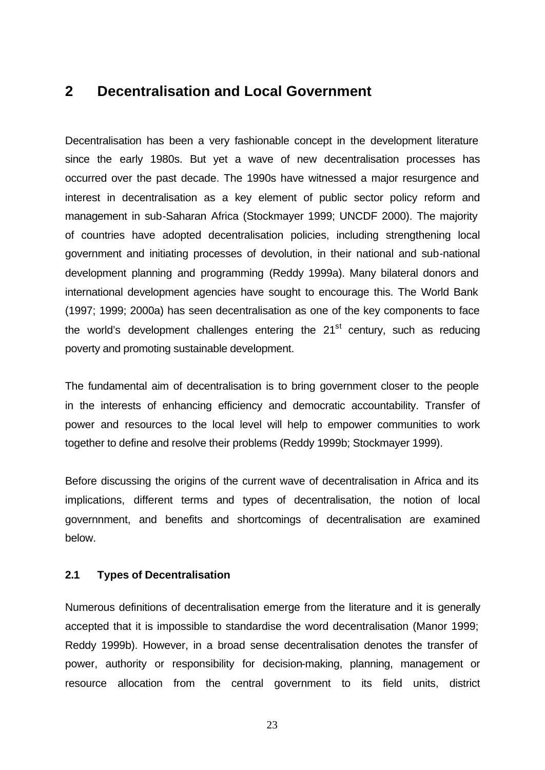### **2 Decentralisation and Local Government**

Decentralisation has been a very fashionable concept in the development literature since the early 1980s. But yet a wave of new decentralisation processes has occurred over the past decade. The 1990s have witnessed a major resurgence and interest in decentralisation as a key element of public sector policy reform and management in sub-Saharan Africa (Stockmayer 1999; UNCDF 2000). The majority of countries have adopted decentralisation policies, including strengthening local government and initiating processes of devolution, in their national and sub-national development planning and programming (Reddy 1999a). Many bilateral donors and international development agencies have sought to encourage this. The World Bank (1997; 1999; 2000a) has seen decentralisation as one of the key components to face the world's development challenges entering the  $21<sup>st</sup>$  century, such as reducing poverty and promoting sustainable development.

The fundamental aim of decentralisation is to bring government closer to the people in the interests of enhancing efficiency and democratic accountability. Transfer of power and resources to the local level will help to empower communities to work together to define and resolve their problems (Reddy 1999b; Stockmayer 1999).

Before discussing the origins of the current wave of decentralisation in Africa and its implications, different terms and types of decentralisation, the notion of local governnment, and benefits and shortcomings of decentralisation are examined below.

### **2.1 Types of Decentralisation**

Numerous definitions of decentralisation emerge from the literature and it is generally accepted that it is impossible to standardise the word decentralisation (Manor 1999; Reddy 1999b). However, in a broad sense decentralisation denotes the transfer of power, authority or responsibility for decision-making, planning, management or resource allocation from the central government to its field units, district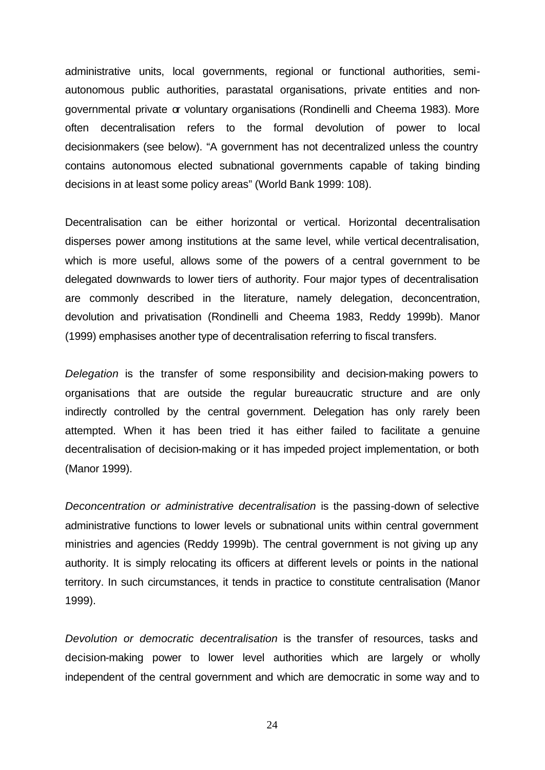administrative units, local governments, regional or functional authorities, semiautonomous public authorities, parastatal organisations, private entities and nongovernmental private or voluntary organisations (Rondinelli and Cheema 1983). More often decentralisation refers to the formal devolution of power to local decisionmakers (see below). "A government has not decentralized unless the country contains autonomous elected subnational governments capable of taking binding decisions in at least some policy areas" (World Bank 1999: 108).

Decentralisation can be either horizontal or vertical. Horizontal decentralisation disperses power among institutions at the same level, while vertical decentralisation, which is more useful, allows some of the powers of a central government to be delegated downwards to lower tiers of authority. Four major types of decentralisation are commonly described in the literature, namely delegation, deconcentration, devolution and privatisation (Rondinelli and Cheema 1983, Reddy 1999b). Manor (1999) emphasises another type of decentralisation referring to fiscal transfers.

*Delegation* is the transfer of some responsibility and decision-making powers to organisations that are outside the regular bureaucratic structure and are only indirectly controlled by the central government. Delegation has only rarely been attempted. When it has been tried it has either failed to facilitate a genuine decentralisation of decision-making or it has impeded project implementation, or both (Manor 1999).

*Deconcentration or administrative decentralisation* is the passing-down of selective administrative functions to lower levels or subnational units within central government ministries and agencies (Reddy 1999b). The central government is not giving up any authority. It is simply relocating its officers at different levels or points in the national territory. In such circumstances, it tends in practice to constitute centralisation (Manor 1999).

*Devolution or democratic decentralisation* is the transfer of resources, tasks and decision-making power to lower level authorities which are largely or wholly independent of the central government and which are democratic in some way and to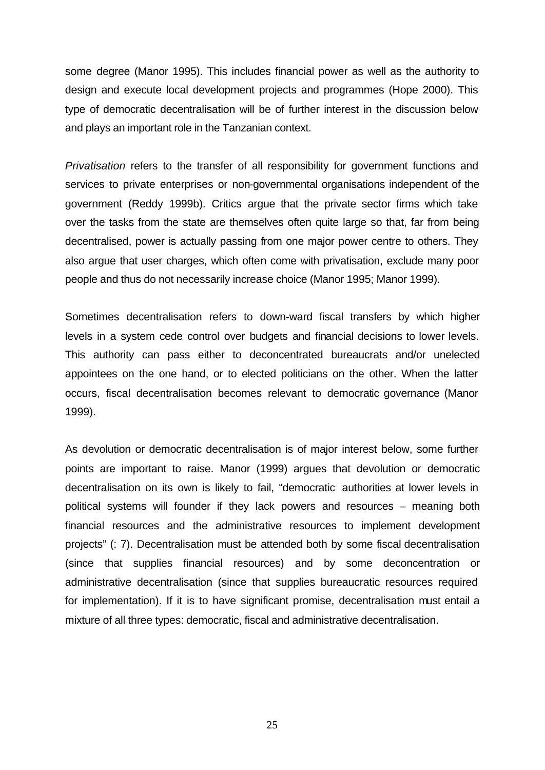some degree (Manor 1995). This includes financial power as well as the authority to design and execute local development projects and programmes (Hope 2000). This type of democratic decentralisation will be of further interest in the discussion below and plays an important role in the Tanzanian context.

*Privatisation* refers to the transfer of all responsibility for government functions and services to private enterprises or non-governmental organisations independent of the government (Reddy 1999b). Critics argue that the private sector firms which take over the tasks from the state are themselves often quite large so that, far from being decentralised, power is actually passing from one major power centre to others. They also argue that user charges, which often come with privatisation, exclude many poor people and thus do not necessarily increase choice (Manor 1995; Manor 1999).

Sometimes decentralisation refers to down-ward fiscal transfers by which higher levels in a system cede control over budgets and financial decisions to lower levels. This authority can pass either to deconcentrated bureaucrats and/or unelected appointees on the one hand, or to elected politicians on the other. When the latter occurs, fiscal decentralisation becomes relevant to democratic governance (Manor 1999).

As devolution or democratic decentralisation is of major interest below, some further points are important to raise. Manor (1999) argues that devolution or democratic decentralisation on its own is likely to fail, "democratic authorities at lower levels in political systems will founder if they lack powers and resources – meaning both financial resources and the administrative resources to implement development projects" (: 7). Decentralisation must be attended both by some fiscal decentralisation (since that supplies financial resources) and by some deconcentration or administrative decentralisation (since that supplies bureaucratic resources required for implementation). If it is to have significant promise, decentralisation must entail a mixture of all three types: democratic, fiscal and administrative decentralisation.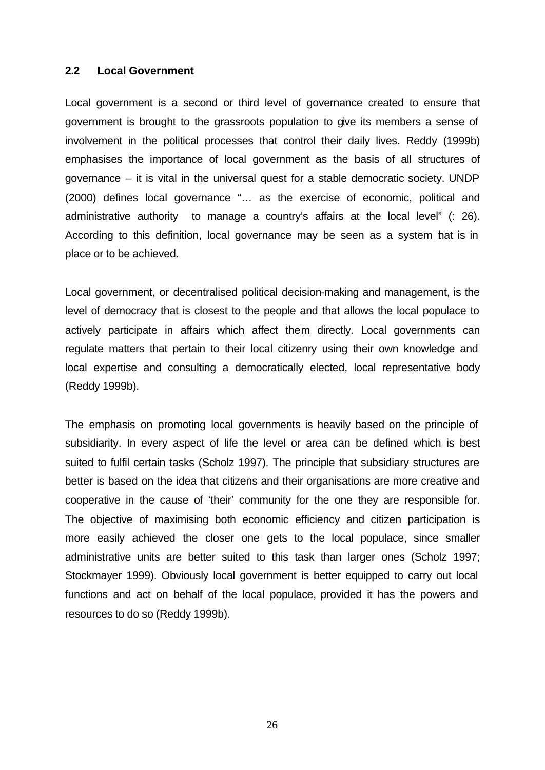#### **2.2 Local Government**

Local government is a second or third level of governance created to ensure that government is brought to the grassroots population to give its members a sense of involvement in the political processes that control their daily lives. Reddy (1999b) emphasises the importance of local government as the basis of all structures of governance – it is vital in the universal quest for a stable democratic society. UNDP (2000) defines local governance "… as the exercise of economic, political and administrative authority to manage a country's affairs at the local level" (: 26). According to this definition, local governance may be seen as a system that is in place or to be achieved.

Local government, or decentralised political decision-making and management, is the level of democracy that is closest to the people and that allows the local populace to actively participate in affairs which affect them directly. Local governments can regulate matters that pertain to their local citizenry using their own knowledge and local expertise and consulting a democratically elected, local representative body (Reddy 1999b).

The emphasis on promoting local governments is heavily based on the principle of subsidiarity. In every aspect of life the level or area can be defined which is best suited to fulfil certain tasks (Scholz 1997). The principle that subsidiary structures are better is based on the idea that citizens and their organisations are more creative and cooperative in the cause of 'their' community for the one they are responsible for. The objective of maximising both economic efficiency and citizen participation is more easily achieved the closer one gets to the local populace, since smaller administrative units are better suited to this task than larger ones (Scholz 1997; Stockmayer 1999). Obviously local government is better equipped to carry out local functions and act on behalf of the local populace, provided it has the powers and resources to do so (Reddy 1999b).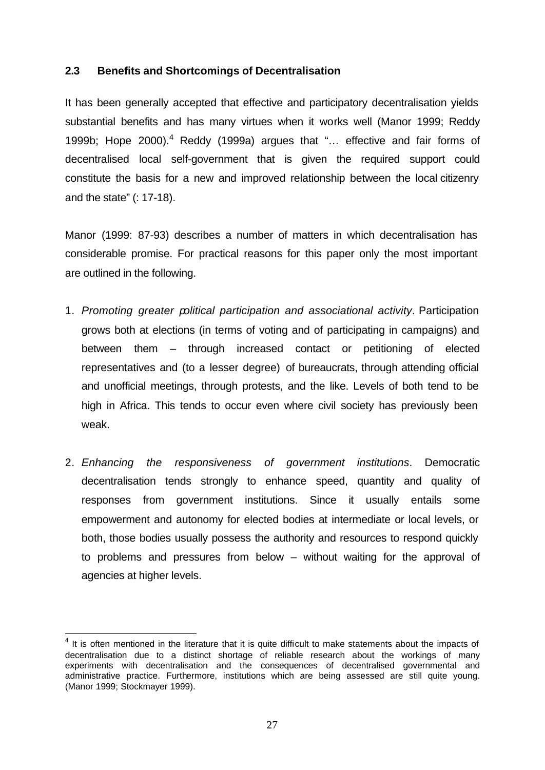### **2.3 Benefits and Shortcomings of Decentralisation**

It has been generally accepted that effective and participatory decentralisation yields substantial benefits and has many virtues when it works well (Manor 1999; Reddy 1999b; Hope 2000).<sup>4</sup> Reddy (1999a) argues that "... effective and fair forms of decentralised local self-government that is given the required support could constitute the basis for a new and improved relationship between the local citizenry and the state" (: 17-18).

Manor (1999: 87-93) describes a number of matters in which decentralisation has considerable promise. For practical reasons for this paper only the most important are outlined in the following.

- 1. *Promoting greater political participation and associational activity*. Participation grows both at elections (in terms of voting and of participating in campaigns) and between them – through increased contact or petitioning of elected representatives and (to a lesser degree) of bureaucrats, through attending official and unofficial meetings, through protests, and the like. Levels of both tend to be high in Africa. This tends to occur even where civil society has previously been weak.
- 2. *Enhancing the responsiveness of government institutions*. Democratic decentralisation tends strongly to enhance speed, quantity and quality of responses from government institutions. Since it usually entails some empowerment and autonomy for elected bodies at intermediate or local levels, or both, those bodies usually possess the authority and resources to respond quickly to problems and pressures from below – without waiting for the approval of agencies at higher levels.

 $\overline{\phantom{a}}$ 

 $4$  It is often mentioned in the literature that it is quite difficult to make statements about the impacts of decentralisation due to a distinct shortage of reliable research about the workings of many experiments with decentralisation and the consequences of decentralised governmental and administrative practice. Furthermore, institutions which are being assessed are still quite young. (Manor 1999; Stockmayer 1999).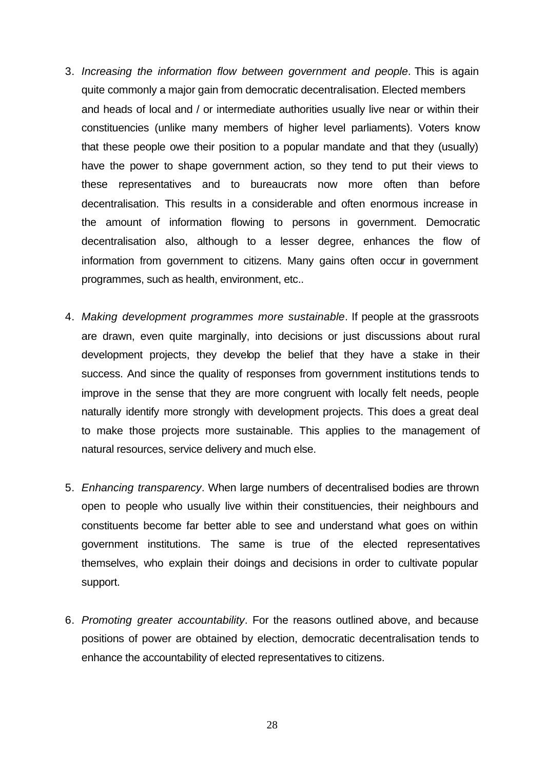- 3. *Increasing the information flow between government and people*. This is again quite commonly a major gain from democratic decentralisation. Elected members and heads of local and / or intermediate authorities usually live near or within their constituencies (unlike many members of higher level parliaments). Voters know that these people owe their position to a popular mandate and that they (usually) have the power to shape government action, so they tend to put their views to these representatives and to bureaucrats now more often than before decentralisation. This results in a considerable and often enormous increase in the amount of information flowing to persons in government. Democratic decentralisation also, although to a lesser degree, enhances the flow of information from government to citizens. Many gains often occur in government programmes, such as health, environment, etc..
- 4. *Making development programmes more sustainable*. If people at the grassroots are drawn, even quite marginally, into decisions or just discussions about rural development projects, they develop the belief that they have a stake in their success. And since the quality of responses from government institutions tends to improve in the sense that they are more congruent with locally felt needs, people naturally identify more strongly with development projects. This does a great deal to make those projects more sustainable. This applies to the management of natural resources, service delivery and much else.
- 5. *Enhancing transparency*. When large numbers of decentralised bodies are thrown open to people who usually live within their constituencies, their neighbours and constituents become far better able to see and understand what goes on within government institutions. The same is true of the elected representatives themselves, who explain their doings and decisions in order to cultivate popular support.
- 6. *Promoting greater accountability*. For the reasons outlined above, and because positions of power are obtained by election, democratic decentralisation tends to enhance the accountability of elected representatives to citizens.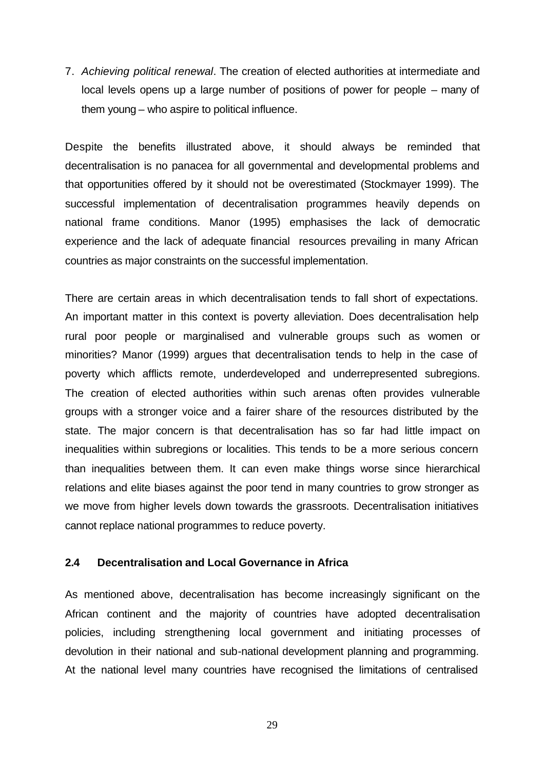7. *Achieving political renewal*. The creation of elected authorities at intermediate and local levels opens up a large number of positions of power for people – many of them young – who aspire to political influence.

Despite the benefits illustrated above, it should always be reminded that decentralisation is no panacea for all governmental and developmental problems and that opportunities offered by it should not be overestimated (Stockmayer 1999). The successful implementation of decentralisation programmes heavily depends on national frame conditions. Manor (1995) emphasises the lack of democratic experience and the lack of adequate financial resources prevailing in many African countries as major constraints on the successful implementation.

There are certain areas in which decentralisation tends to fall short of expectations. An important matter in this context is poverty alleviation. Does decentralisation help rural poor people or marginalised and vulnerable groups such as women or minorities? Manor (1999) argues that decentralisation tends to help in the case of poverty which afflicts remote, underdeveloped and underrepresented subregions. The creation of elected authorities within such arenas often provides vulnerable groups with a stronger voice and a fairer share of the resources distributed by the state. The major concern is that decentralisation has so far had little impact on inequalities within subregions or localities. This tends to be a more serious concern than inequalities between them. It can even make things worse since hierarchical relations and elite biases against the poor tend in many countries to grow stronger as we move from higher levels down towards the grassroots. Decentralisation initiatives cannot replace national programmes to reduce poverty.

#### **2.4 Decentralisation and Local Governance in Africa**

As mentioned above, decentralisation has become increasingly significant on the African continent and the majority of countries have adopted decentralisation policies, including strengthening local government and initiating processes of devolution in their national and sub-national development planning and programming. At the national level many countries have recognised the limitations of centralised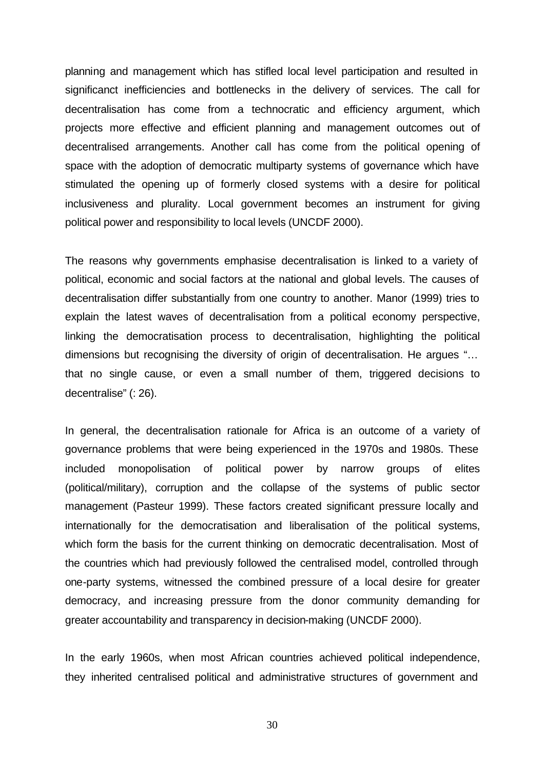planning and management which has stifled local level participation and resulted in significanct inefficiencies and bottlenecks in the delivery of services. The call for decentralisation has come from a technocratic and efficiency argument, which projects more effective and efficient planning and management outcomes out of decentralised arrangements. Another call has come from the political opening of space with the adoption of democratic multiparty systems of governance which have stimulated the opening up of formerly closed systems with a desire for political inclusiveness and plurality. Local government becomes an instrument for giving political power and responsibility to local levels (UNCDF 2000).

The reasons why governments emphasise decentralisation is linked to a variety of political, economic and social factors at the national and global levels. The causes of decentralisation differ substantially from one country to another. Manor (1999) tries to explain the latest waves of decentralisation from a political economy perspective, linking the democratisation process to decentralisation, highlighting the political dimensions but recognising the diversity of origin of decentralisation. He argues "… that no single cause, or even a small number of them, triggered decisions to decentralise" (: 26).

In general, the decentralisation rationale for Africa is an outcome of a variety of governance problems that were being experienced in the 1970s and 1980s. These included monopolisation of political power by narrow groups of elites (political/military), corruption and the collapse of the systems of public sector management (Pasteur 1999). These factors created significant pressure locally and internationally for the democratisation and liberalisation of the political systems, which form the basis for the current thinking on democratic decentralisation. Most of the countries which had previously followed the centralised model, controlled through one-party systems, witnessed the combined pressure of a local desire for greater democracy, and increasing pressure from the donor community demanding for greater accountability and transparency in decision-making (UNCDF 2000).

In the early 1960s, when most African countries achieved political independence, they inherited centralised political and administrative structures of government and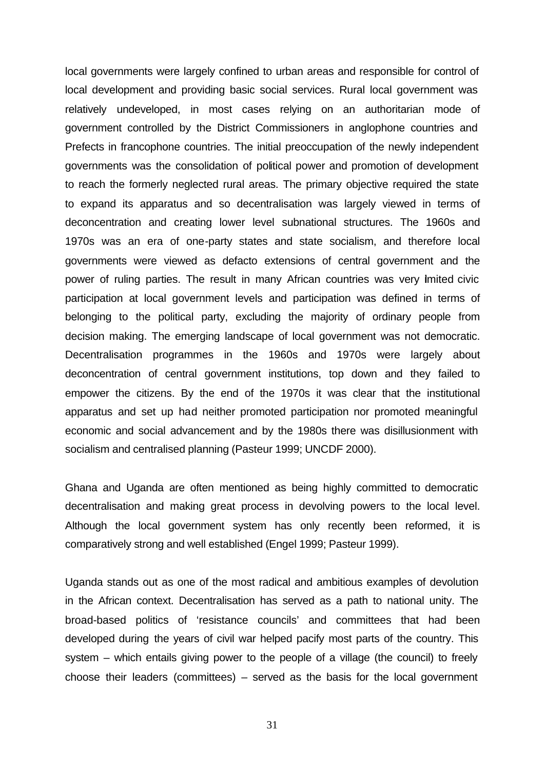local governments were largely confined to urban areas and responsible for control of local development and providing basic social services. Rural local government was relatively undeveloped, in most cases relying on an authoritarian mode of government controlled by the District Commissioners in anglophone countries and Prefects in francophone countries. The initial preoccupation of the newly independent governments was the consolidation of political power and promotion of development to reach the formerly neglected rural areas. The primary objective required the state to expand its apparatus and so decentralisation was largely viewed in terms of deconcentration and creating lower level subnational structures. The 1960s and 1970s was an era of one-party states and state socialism, and therefore local governments were viewed as defacto extensions of central government and the power of ruling parties. The result in many African countries was very Imited civic participation at local government levels and participation was defined in terms of belonging to the political party, excluding the majority of ordinary people from decision making. The emerging landscape of local government was not democratic. Decentralisation programmes in the 1960s and 1970s were largely about deconcentration of central government institutions, top down and they failed to empower the citizens. By the end of the 1970s it was clear that the institutional apparatus and set up had neither promoted participation nor promoted meaningful economic and social advancement and by the 1980s there was disillusionment with socialism and centralised planning (Pasteur 1999; UNCDF 2000).

Ghana and Uganda are often mentioned as being highly committed to democratic decentralisation and making great process in devolving powers to the local level. Although the local government system has only recently been reformed, it is comparatively strong and well established (Engel 1999; Pasteur 1999).

Uganda stands out as one of the most radical and ambitious examples of devolution in the African context. Decentralisation has served as a path to national unity. The broad-based politics of 'resistance councils' and committees that had been developed during the years of civil war helped pacify most parts of the country. This system – which entails giving power to the people of a village (the council) to freely choose their leaders (committees) – served as the basis for the local government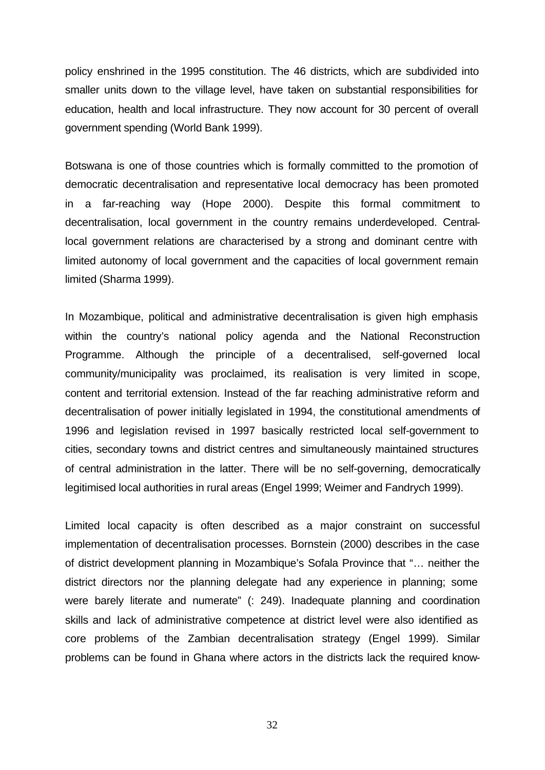policy enshrined in the 1995 constitution. The 46 districts, which are subdivided into smaller units down to the village level, have taken on substantial responsibilities for education, health and local infrastructure. They now account for 30 percent of overall government spending (World Bank 1999).

Botswana is one of those countries which is formally committed to the promotion of democratic decentralisation and representative local democracy has been promoted in a far-reaching way (Hope 2000). Despite this formal commitment to decentralisation, local government in the country remains underdeveloped. Centrallocal government relations are characterised by a strong and dominant centre with limited autonomy of local government and the capacities of local government remain limited (Sharma 1999).

In Mozambique, political and administrative decentralisation is given high emphasis within the country's national policy agenda and the National Reconstruction Programme. Although the principle of a decentralised, self-governed local community/municipality was proclaimed, its realisation is very limited in scope, content and territorial extension. Instead of the far reaching administrative reform and decentralisation of power initially legislated in 1994, the constitutional amendments of 1996 and legislation revised in 1997 basically restricted local self-government to cities, secondary towns and district centres and simultaneously maintained structures of central administration in the latter. There will be no self-governing, democratically legitimised local authorities in rural areas (Engel 1999; Weimer and Fandrych 1999).

Limited local capacity is often described as a major constraint on successful implementation of decentralisation processes. Bornstein (2000) describes in the case of district development planning in Mozambique's Sofala Province that "… neither the district directors nor the planning delegate had any experience in planning; some were barely literate and numerate" (: 249). Inadequate planning and coordination skills and lack of administrative competence at district level were also identified as core problems of the Zambian decentralisation strategy (Engel 1999). Similar problems can be found in Ghana where actors in the districts lack the required know-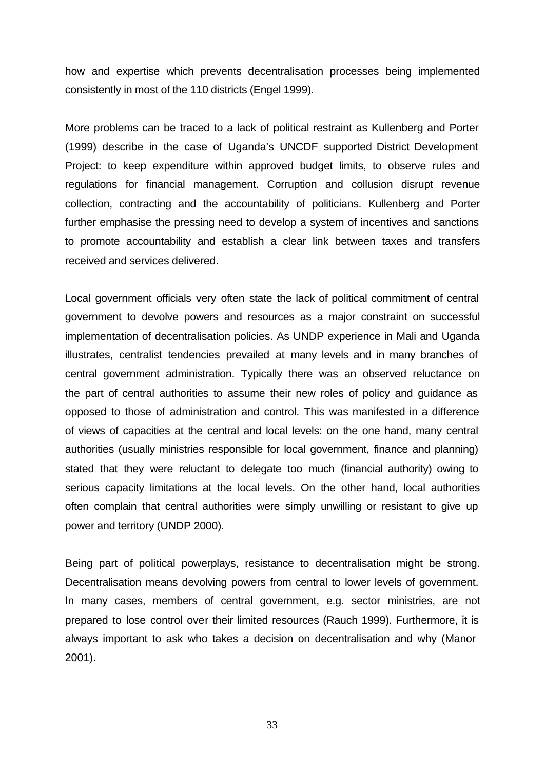how and expertise which prevents decentralisation processes being implemented consistently in most of the 110 districts (Engel 1999).

More problems can be traced to a lack of political restraint as Kullenberg and Porter (1999) describe in the case of Uganda's UNCDF supported District Development Project: to keep expenditure within approved budget limits, to observe rules and regulations for financial management. Corruption and collusion disrupt revenue collection, contracting and the accountability of politicians. Kullenberg and Porter further emphasise the pressing need to develop a system of incentives and sanctions to promote accountability and establish a clear link between taxes and transfers received and services delivered.

Local government officials very often state the lack of political commitment of central government to devolve powers and resources as a major constraint on successful implementation of decentralisation policies. As UNDP experience in Mali and Uganda illustrates, centralist tendencies prevailed at many levels and in many branches of central government administration. Typically there was an observed reluctance on the part of central authorities to assume their new roles of policy and guidance as opposed to those of administration and control. This was manifested in a difference of views of capacities at the central and local levels: on the one hand, many central authorities (usually ministries responsible for local government, finance and planning) stated that they were reluctant to delegate too much (financial authority) owing to serious capacity limitations at the local levels. On the other hand, local authorities often complain that central authorities were simply unwilling or resistant to give up power and territory (UNDP 2000).

Being part of political powerplays, resistance to decentralisation might be strong. Decentralisation means devolving powers from central to lower levels of government. In many cases, members of central government, e.g. sector ministries, are not prepared to lose control over their limited resources (Rauch 1999). Furthermore, it is always important to ask who takes a decision on decentralisation and why (Manor 2001).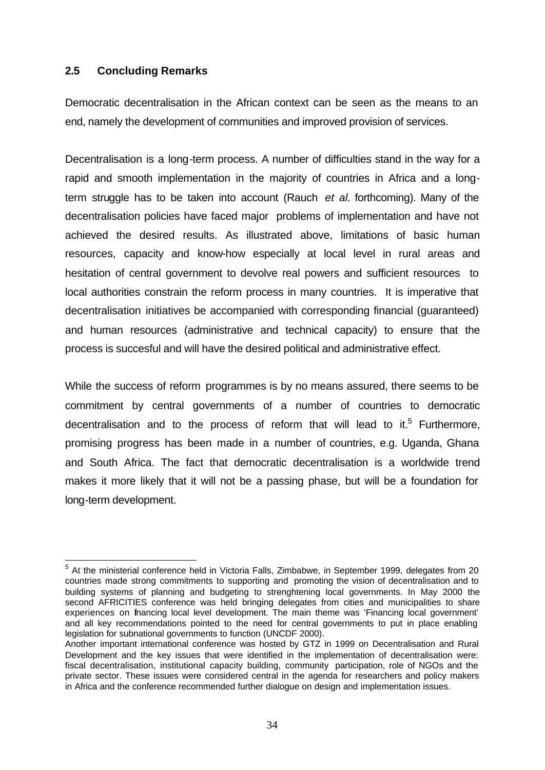#### **2.5 Concluding Remarks**

Democratic decentralisation in the African context can be seen as the means to an end, namely the development of communities and improved provision of services.

Decentralisation is a long-term process. A number of difficulties stand in the way for a rapid and smooth implementation in the majority of countries in Africa and a longterm struggle has to be taken into account (Rauch *et al.* forthcoming). Many of the decentralisation policies have faced major problems of implementation and have not achieved the desired results. As illustrated above, limitations of basic human resources, capacity and know-how especially at local level in rural areas and hesitation of central government to devolve real powers and sufficient resources to local authorities constrain the reform process in many countries. It is imperative that decentralisation initiatives be accompanied with corresponding financial (guaranteed) and human resources (administrative and technical capacity) to ensure that the process is succesful and will have the desired political and administrative effect.

While the success of reform programmes is by no means assured, there seems to be commitment by central governments of a number of countries to democratic decentralisation and to the process of reform that will lead to it.<sup>5</sup> Furthermore, promising progress has been made in a number of countries, e.g. Uganda, Ghana and South Africa. The fact that democratic decentralisation is a worldwide trend makes it more likely that it will not be a passing phase, but will be a foundation for long-term development.

 5 At the ministerial conference held in Victoria Falls, Zimbabwe, in September 1999, delegates from 20 countries made strong commitments to supporting and promoting the vision of decentralisation and to building systems of planning and budgeting to strenghtening local governments. In May 2000 the second AFRICITIES conference was held bringing delegates from cities and municipalities to share experiences on financing local level development. The main theme was 'Financing local government' and all key recommendations pointed to the need for central governments to put in place enabling legislation for subnational governments to function (UNCDF 2000).

Another important international conference was hosted by GTZ in 1999 on Decentralisation and Rural Development and the key issues that were identified in the implementation of decentralisation were: fiscal decentralisation, institutional capacity building, community participation, role of NGOs and the private sector. These issues were considered central in the agenda for researchers and policy makers in Africa and the conference recommended further dialogue on design and implementation issues.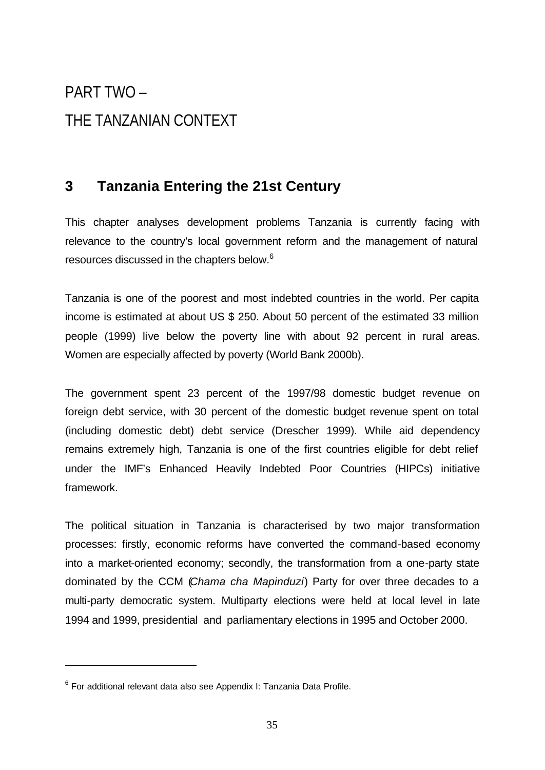# PART TWO – THE TANZANIAN CONTEXT

### **3 Tanzania Entering the 21st Century**

This chapter analyses development problems Tanzania is currently facing with relevance to the country's local government reform and the management of natural resources discussed in the chapters below.<sup>6</sup>

Tanzania is one of the poorest and most indebted countries in the world. Per capita income is estimated at about US \$ 250. About 50 percent of the estimated 33 million people (1999) live below the poverty line with about 92 percent in rural areas. Women are especially affected by poverty (World Bank 2000b).

The government spent 23 percent of the 1997/98 domestic budget revenue on foreign debt service, with 30 percent of the domestic budget revenue spent on total (including domestic debt) debt service (Drescher 1999). While aid dependency remains extremely high, Tanzania is one of the first countries eligible for debt relief under the IMF's Enhanced Heavily Indebted Poor Countries (HIPCs) initiative framework.

The political situation in Tanzania is characterised by two major transformation processes: firstly, economic reforms have converted the command-based economy into a market-oriented economy; secondly, the transformation from a one-party state dominated by the CCM (*Chama cha Mapinduzi*) Party for over three decades to a multi-party democratic system. Multiparty elections were held at local level in late 1994 and 1999, presidential and parliamentary elections in 1995 and October 2000.

l

 $^6$  For additional relevant data also see Appendix I: Tanzania Data Profile.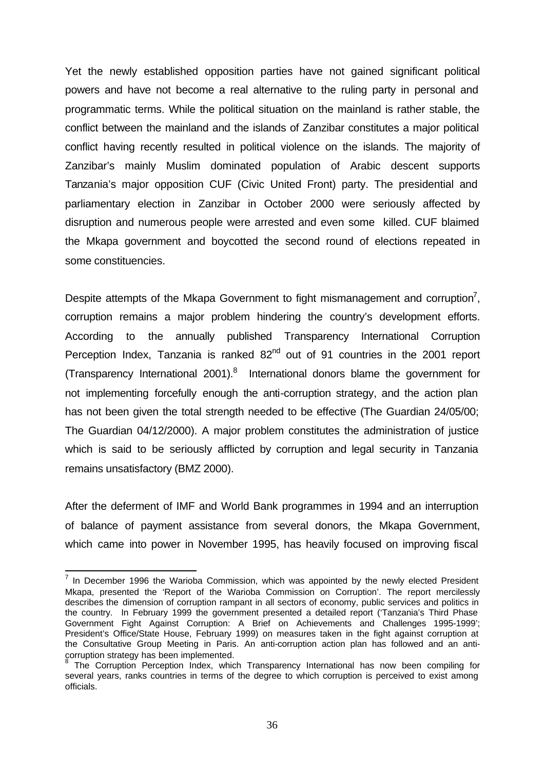Yet the newly established opposition parties have not gained significant political powers and have not become a real alternative to the ruling party in personal and programmatic terms. While the political situation on the mainland is rather stable, the conflict between the mainland and the islands of Zanzibar constitutes a major political conflict having recently resulted in political violence on the islands. The majority of Zanzibar's mainly Muslim dominated population of Arabic descent supports Tanzania's major opposition CUF (Civic United Front) party. The presidential and parliamentary election in Zanzibar in October 2000 were seriously affected by disruption and numerous people were arrested and even some killed. CUF blaimed the Mkapa government and boycotted the second round of elections repeated in some constituencies.

Despite attempts of the Mkapa Government to fight mismanagement and corruption<sup>7</sup>, corruption remains a major problem hindering the country's development efforts. According to the annually published Transparency International Corruption Perception Index, Tanzania is ranked  $82<sup>nd</sup>$  out of 91 countries in the 2001 report (Transparency International 2001). $8$  International donors blame the government for not implementing forcefully enough the anti-corruption strategy, and the action plan has not been given the total strength needed to be effective (The Guardian 24/05/00; The Guardian 04/12/2000). A major problem constitutes the administration of justice which is said to be seriously afflicted by corruption and legal security in Tanzania remains unsatisfactory (BMZ 2000).

After the deferment of IMF and World Bank programmes in 1994 and an interruption of balance of payment assistance from several donors, the Mkapa Government, which came into power in November 1995, has heavily focused on improving fiscal

 7 In December 1996 the Warioba Commission, which was appointed by the newly elected President Mkapa, presented the 'Report of the Warioba Commission on Corruption'. The report mercilessly describes the dimension of corruption rampant in all sectors of economy, public services and politics in the country. In February 1999 the government presented a detailed report ('Tanzania's Third Phase Government Fight Against Corruption: A Brief on Achievements and Challenges 1995-1999'; President's Office/State House, February 1999) on measures taken in the fight against corruption at the Consultative Group Meeting in Paris. An anti-corruption action plan has followed and an anticorruption strategy has been implemented.<br><sup>8</sup> The Cerruption Persentian Index which

The Corruption Perception Index, which Transparency International has now been compiling for several years, ranks countries in terms of the degree to which corruption is perceived to exist among officials.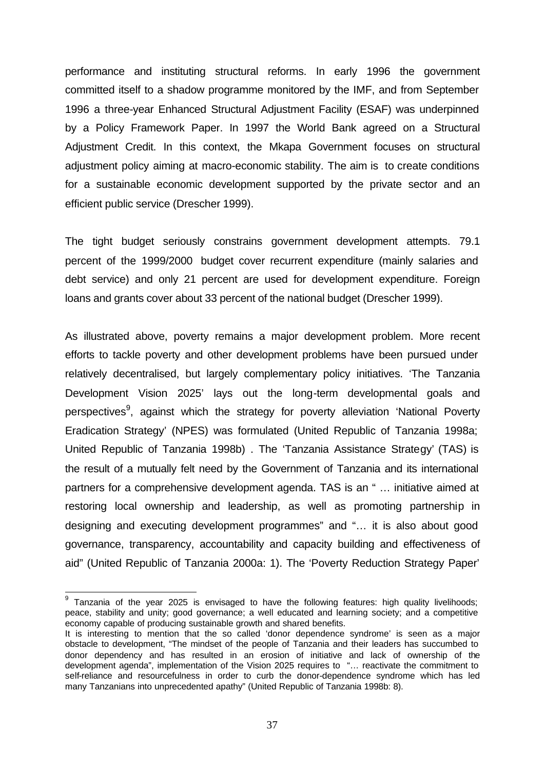performance and instituting structural reforms. In early 1996 the government committed itself to a shadow programme monitored by the IMF, and from September 1996 a three-year Enhanced Structural Adjustment Facility (ESAF) was underpinned by a Policy Framework Paper. In 1997 the World Bank agreed on a Structural Adjustment Credit. In this context, the Mkapa Government focuses on structural adjustment policy aiming at macro-economic stability. The aim is to create conditions for a sustainable economic development supported by the private sector and an efficient public service (Drescher 1999).

The tight budget seriously constrains government development attempts. 79.1 percent of the 1999/2000 budget cover recurrent expenditure (mainly salaries and debt service) and only 21 percent are used for development expenditure. Foreign loans and grants cover about 33 percent of the national budget (Drescher 1999).

As illustrated above, poverty remains a major development problem. More recent efforts to tackle poverty and other development problems have been pursued under relatively decentralised, but largely complementary policy initiatives. 'The Tanzania Development Vision 2025' lays out the long-term developmental goals and perspectives<sup>9</sup>, against which the strategy for poverty alleviation 'National Poverty Eradication Strategy' (NPES) was formulated (United Republic of Tanzania 1998a; United Republic of Tanzania 1998b) . The 'Tanzania Assistance Strategy' (TAS) is the result of a mutually felt need by the Government of Tanzania and its international partners for a comprehensive development agenda. TAS is an " … initiative aimed at restoring local ownership and leadership, as well as promoting partnership in designing and executing development programmes" and "… it is also about good governance, transparency, accountability and capacity building and effectiveness of aid" (United Republic of Tanzania 2000a: 1). The 'Poverty Reduction Strategy Paper'

**EXECTS**<br><sup>9</sup> Tanzania of the year 2025 is envisaged to have the following features: high quality livelihoods; peace, stability and unity; good governance; a well educated and learning society; and a competitive economy capable of producing sustainable growth and shared benefits.

It is interesting to mention that the so called 'donor dependence syndrome' is seen as a major obstacle to development, "The mindset of the people of Tanzania and their leaders has succumbed to donor dependency and has resulted in an erosion of initiative and lack of ownership of the development agenda", implementation of the Vision 2025 requires to "… reactivate the commitment to self-reliance and resourcefulness in order to curb the donor-dependence syndrome which has led many Tanzanians into unprecedented apathy" (United Republic of Tanzania 1998b: 8).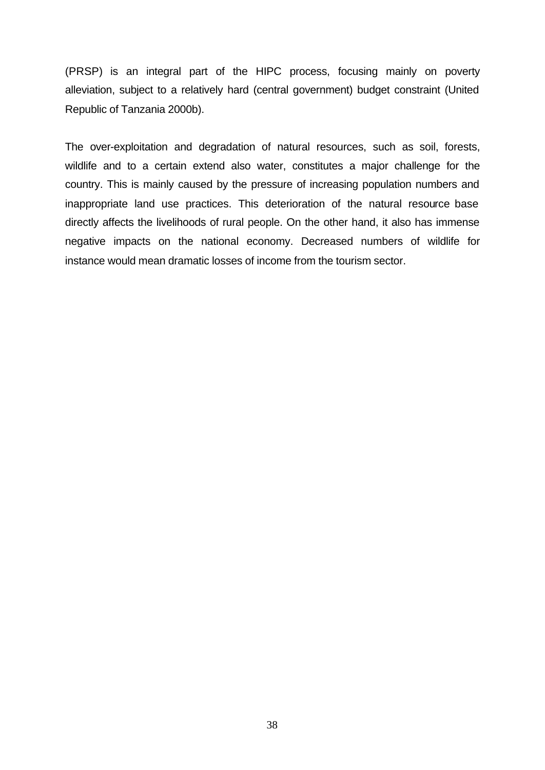(PRSP) is an integral part of the HIPC process, focusing mainly on poverty alleviation, subject to a relatively hard (central government) budget constraint (United Republic of Tanzania 2000b).

The over-exploitation and degradation of natural resources, such as soil, forests, wildlife and to a certain extend also water, constitutes a major challenge for the country. This is mainly caused by the pressure of increasing population numbers and inappropriate land use practices. This deterioration of the natural resource base directly affects the livelihoods of rural people. On the other hand, it also has immense negative impacts on the national economy. Decreased numbers of wildlife for instance would mean dramatic losses of income from the tourism sector.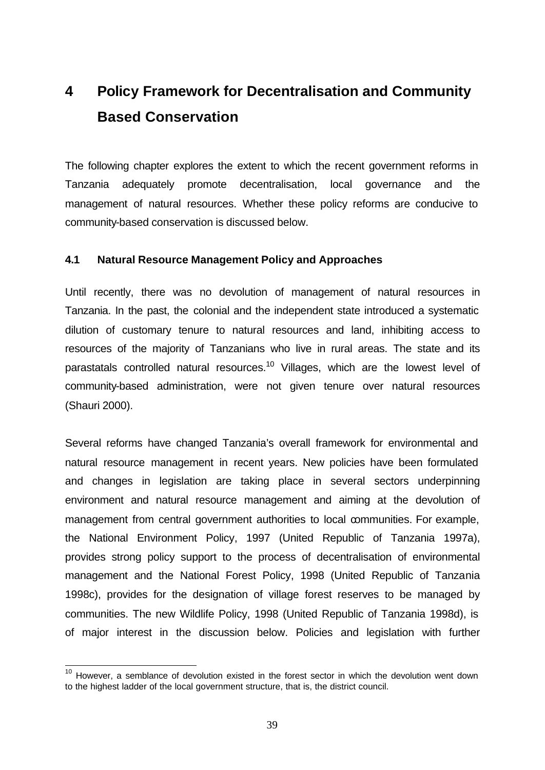## **4 Policy Framework for Decentralisation and Community Based Conservation**

The following chapter explores the extent to which the recent government reforms in Tanzania adequately promote decentralisation, local governance and the management of natural resources. Whether these policy reforms are conducive to community-based conservation is discussed below.

#### **4.1 Natural Resource Management Policy and Approaches**

Until recently, there was no devolution of management of natural resources in Tanzania. In the past, the colonial and the independent state introduced a systematic dilution of customary tenure to natural resources and land, inhibiting access to resources of the majority of Tanzanians who live in rural areas. The state and its parastatals controlled natural resources.<sup>10</sup> Villages, which are the lowest level of community-based administration, were not given tenure over natural resources (Shauri 2000).

Several reforms have changed Tanzania's overall framework for environmental and natural resource management in recent years. New policies have been formulated and changes in legislation are taking place in several sectors underpinning environment and natural resource management and aiming at the devolution of management from central government authorities to local communities. For example, the National Environment Policy, 1997 (United Republic of Tanzania 1997a), provides strong policy support to the process of decentralisation of environmental management and the National Forest Policy, 1998 (United Republic of Tanzania 1998c), provides for the designation of village forest reserves to be managed by communities. The new Wildlife Policy, 1998 (United Republic of Tanzania 1998d), is of major interest in the discussion below. Policies and legislation with further

 $\overline{a}$ 

 $10$  However, a semblance of devolution existed in the forest sector in which the devolution went down to the highest ladder of the local government structure, that is, the district council.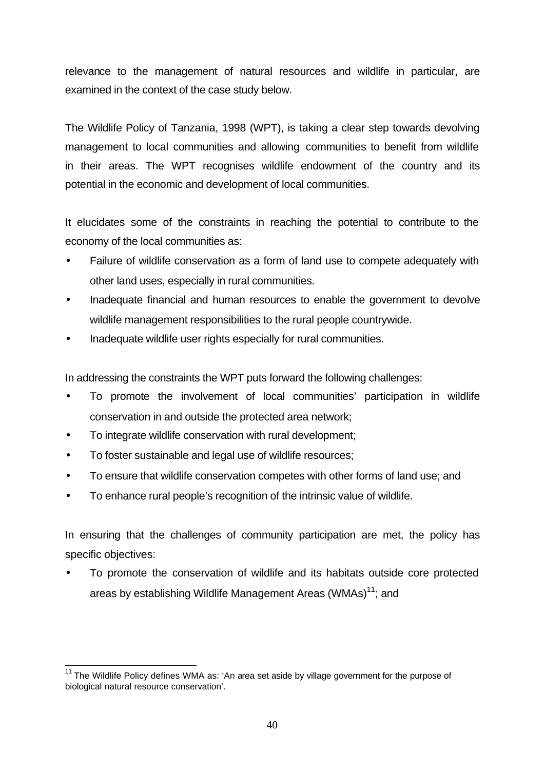relevance to the management of natural resources and wildlife in particular, are examined in the context of the case study below.

The Wildlife Policy of Tanzania, 1998 (WPT), is taking a clear step towards devolving management to local communities and allowing communities to benefit from wildlife in their areas. The WPT recognises wildlife endowment of the country and its potential in the economic and development of local communities.

It elucidates some of the constraints in reaching the potential to contribute to the economy of the local communities as:

- Failure of wildlife conservation as a form of land use to compete adequately with other land uses, especially in rural communities.
- Inadequate financial and human resources to enable the government to devolve wildlife management responsibilities to the rural people countrywide.
- Inadequate wildlife user rights especially for rural communities.

In addressing the constraints the WPT puts forward the following challenges:

- To promote the involvement of local communities' participation in wildlife conservation in and outside the protected area network;
- To integrate wildlife conservation with rural development;
- To foster sustainable and legal use of wildlife resources;
- To ensure that wildlife conservation competes with other forms of land use; and
- To enhance rural people's recognition of the intrinsic value of wildlife.

In ensuring that the challenges of community participation are met, the policy has specific objectives:

• To promote the conservation of wildlife and its habitats outside core protected areas by establishing Wildlife Management Areas (WMAs)<sup>11</sup>: and

 $\overline{a}$  $11$  The Wildlife Policy defines WMA as: 'An area set aside by village government for the purpose of biological natural resource conservation'.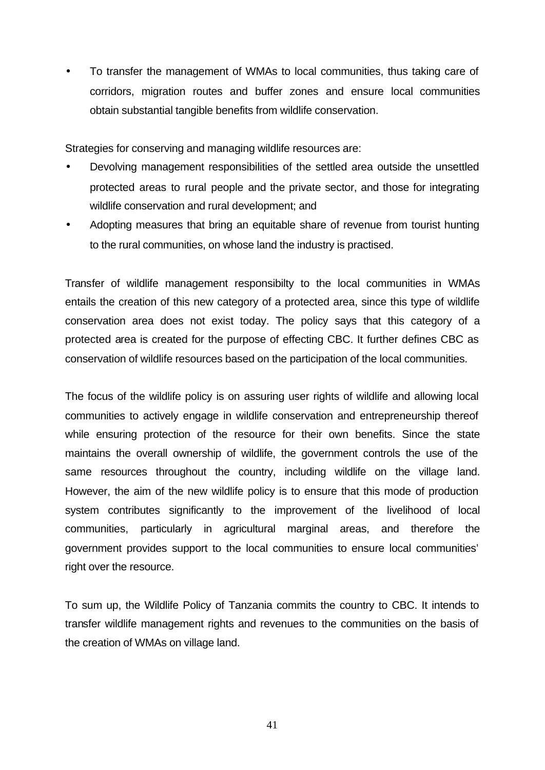• To transfer the management of WMAs to local communities, thus taking care of corridors, migration routes and buffer zones and ensure local communities obtain substantial tangible benefits from wildlife conservation.

Strategies for conserving and managing wildlife resources are:

- Devolving management responsibilities of the settled area outside the unsettled protected areas to rural people and the private sector, and those for integrating wildlife conservation and rural development; and
- Adopting measures that bring an equitable share of revenue from tourist hunting to the rural communities, on whose land the industry is practised.

Transfer of wildlife management responsibilty to the local communities in WMAs entails the creation of this new category of a protected area, since this type of wildlife conservation area does not exist today. The policy says that this category of a protected area is created for the purpose of effecting CBC. It further defines CBC as conservation of wildlife resources based on the participation of the local communities.

The focus of the wildlife policy is on assuring user rights of wildlife and allowing local communities to actively engage in wildlife conservation and entrepreneurship thereof while ensuring protection of the resource for their own benefits. Since the state maintains the overall ownership of wildlife, the government controls the use of the same resources throughout the country, including wildlife on the village land. However, the aim of the new wildlife policy is to ensure that this mode of production system contributes significantly to the improvement of the livelihood of local communities, particularly in agricultural marginal areas, and therefore the government provides support to the local communities to ensure local communities' right over the resource.

To sum up, the Wildlife Policy of Tanzania commits the country to CBC. It intends to transfer wildlife management rights and revenues to the communities on the basis of the creation of WMAs on village land.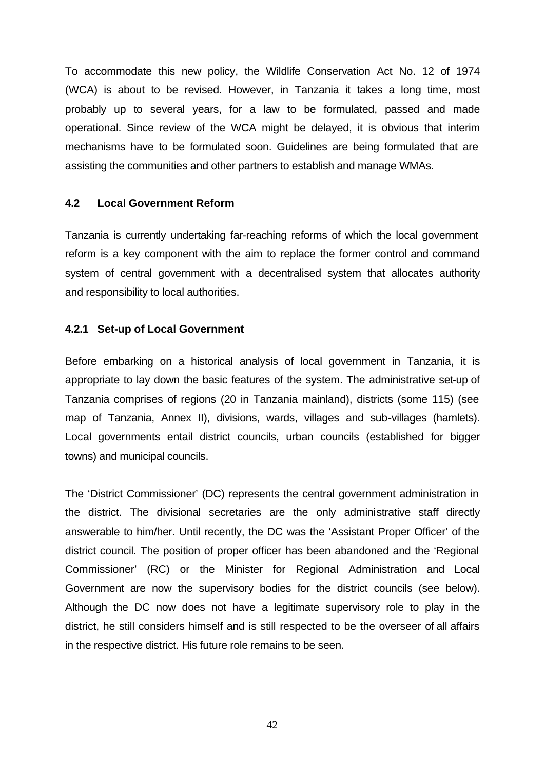To accommodate this new policy, the Wildlife Conservation Act No. 12 of 1974 (WCA) is about to be revised. However, in Tanzania it takes a long time, most probably up to several years, for a law to be formulated, passed and made operational. Since review of the WCA might be delayed, it is obvious that interim mechanisms have to be formulated soon. Guidelines are being formulated that are assisting the communities and other partners to establish and manage WMAs.

#### **4.2 Local Government Reform**

Tanzania is currently undertaking far-reaching reforms of which the local government reform is a key component with the aim to replace the former control and command system of central government with a decentralised system that allocates authority and responsibility to local authorities.

#### **4.2.1 Set-up of Local Government**

Before embarking on a historical analysis of local government in Tanzania, it is appropriate to lay down the basic features of the system. The administrative set-up of Tanzania comprises of regions (20 in Tanzania mainland), districts (some 115) (see map of Tanzania, Annex II), divisions, wards, villages and sub-villages (hamlets). Local governments entail district councils, urban councils (established for bigger towns) and municipal councils.

The 'District Commissioner' (DC) represents the central government administration in the district. The divisional secretaries are the only administrative staff directly answerable to him/her. Until recently, the DC was the 'Assistant Proper Officer' of the district council. The position of proper officer has been abandoned and the 'Regional Commissioner' (RC) or the Minister for Regional Administration and Local Government are now the supervisory bodies for the district councils (see below). Although the DC now does not have a legitimate supervisory role to play in the district, he still considers himself and is still respected to be the overseer of all affairs in the respective district. His future role remains to be seen.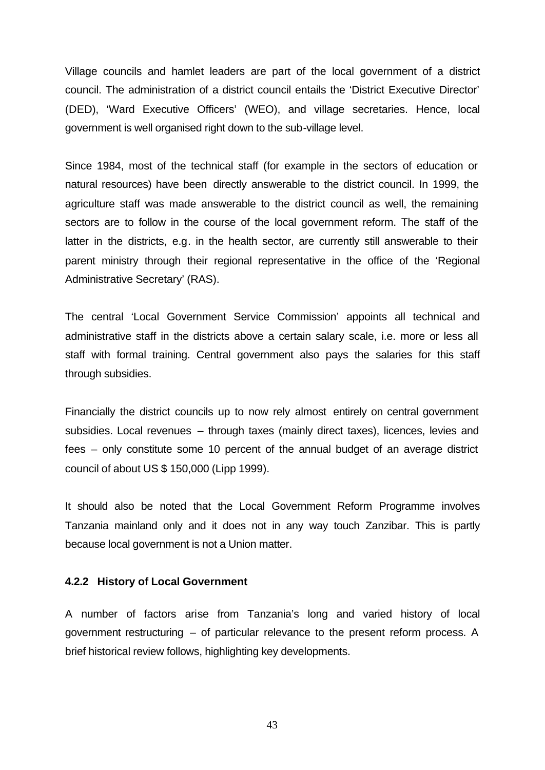Village councils and hamlet leaders are part of the local government of a district council. The administration of a district council entails the 'District Executive Director' (DED), 'Ward Executive Officers' (WEO), and village secretaries. Hence, local government is well organised right down to the sub-village level.

Since 1984, most of the technical staff (for example in the sectors of education or natural resources) have been directly answerable to the district council. In 1999, the agriculture staff was made answerable to the district council as well, the remaining sectors are to follow in the course of the local government reform. The staff of the latter in the districts, e.g. in the health sector, are currently still answerable to their parent ministry through their regional representative in the office of the 'Regional Administrative Secretary' (RAS).

The central 'Local Government Service Commission' appoints all technical and administrative staff in the districts above a certain salary scale, i.e. more or less all staff with formal training. Central government also pays the salaries for this staff through subsidies.

Financially the district councils up to now rely almost entirely on central government subsidies. Local revenues – through taxes (mainly direct taxes), licences, levies and fees – only constitute some 10 percent of the annual budget of an average district council of about US \$ 150,000 (Lipp 1999).

It should also be noted that the Local Government Reform Programme involves Tanzania mainland only and it does not in any way touch Zanzibar. This is partly because local government is not a Union matter.

#### **4.2.2 History of Local Government**

A number of factors arise from Tanzania's long and varied history of local government restructuring – of particular relevance to the present reform process. A brief historical review follows, highlighting key developments.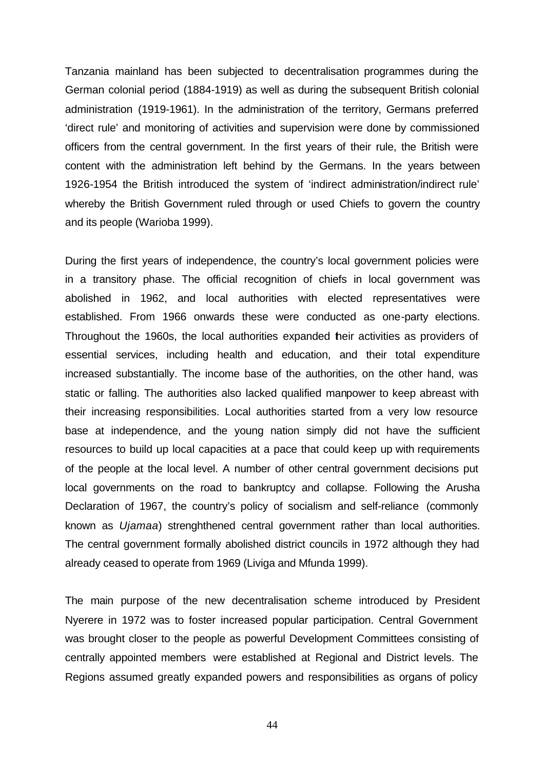Tanzania mainland has been subjected to decentralisation programmes during the German colonial period (1884-1919) as well as during the subsequent British colonial administration (1919-1961). In the administration of the territory, Germans preferred 'direct rule' and monitoring of activities and supervision were done by commissioned officers from the central government. In the first years of their rule, the British were content with the administration left behind by the Germans. In the years between 1926-1954 the British introduced the system of 'indirect administration/indirect rule' whereby the British Government ruled through or used Chiefs to govern the country and its people (Warioba 1999).

During the first years of independence, the country's local government policies were in a transitory phase. The official recognition of chiefs in local government was abolished in 1962, and local authorities with elected representatives were established. From 1966 onwards these were conducted as one-party elections. Throughout the 1960s, the local authorities expanded their activities as providers of essential services, including health and education, and their total expenditure increased substantially. The income base of the authorities, on the other hand, was static or falling. The authorities also lacked qualified manpower to keep abreast with their increasing responsibilities. Local authorities started from a very low resource base at independence, and the young nation simply did not have the sufficient resources to build up local capacities at a pace that could keep up with requirements of the people at the local level. A number of other central government decisions put local governments on the road to bankruptcy and collapse. Following the Arusha Declaration of 1967, the country's policy of socialism and self-reliance (commonly known as *Ujamaa*) strenghthened central government rather than local authorities. The central government formally abolished district councils in 1972 although they had already ceased to operate from 1969 (Liviga and Mfunda 1999).

The main purpose of the new decentralisation scheme introduced by President Nyerere in 1972 was to foster increased popular participation. Central Government was brought closer to the people as powerful Development Committees consisting of centrally appointed members were established at Regional and District levels. The Regions assumed greatly expanded powers and responsibilities as organs of policy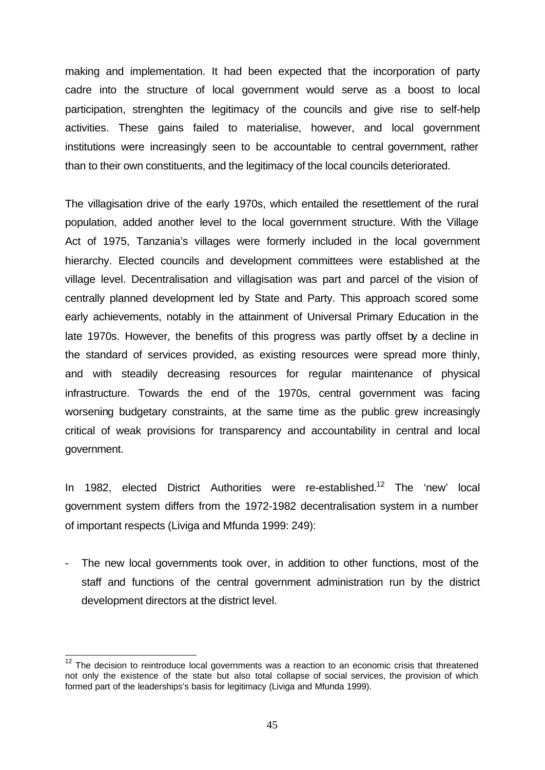making and implementation. It had been expected that the incorporation of party cadre into the structure of local government would serve as a boost to local participation, strenghten the legitimacy of the councils and give rise to self-help activities. These gains failed to materialise, however, and local government institutions were increasingly seen to be accountable to central government, rather than to their own constituents, and the legitimacy of the local councils deteriorated.

The villagisation drive of the early 1970s, which entailed the resettlement of the rural population, added another level to the local government structure. With the Village Act of 1975, Tanzania's villages were formerly included in the local government hierarchy. Elected councils and development committees were established at the village level. Decentralisation and villagisation was part and parcel of the vision of centrally planned development led by State and Party. This approach scored some early achievements, notably in the attainment of Universal Primary Education in the late 1970s. However, the benefits of this progress was partly offset by a decline in the standard of services provided, as existing resources were spread more thinly, and with steadily decreasing resources for regular maintenance of physical infrastructure. Towards the end of the 1970s, central government was facing worsening budgetary constraints, at the same time as the public grew increasingly critical of weak provisions for transparency and accountability in central and local government.

In 1982, elected District Authorities were re-established.<sup>12</sup> The 'new' local government system differs from the 1972-1982 decentralisation system in a number of important respects (Liviga and Mfunda 1999: 249):

The new local governments took over, in addition to other functions, most of the staff and functions of the central government administration run by the district development directors at the district level.

 $\overline{a}$ 

 $12$  The decision to reintroduce local governments was a reaction to an economic crisis that threatened not only the existence of the state but also total collapse of social services, the provision of which formed part of the leaderships's basis for legitimacy (Liviga and Mfunda 1999).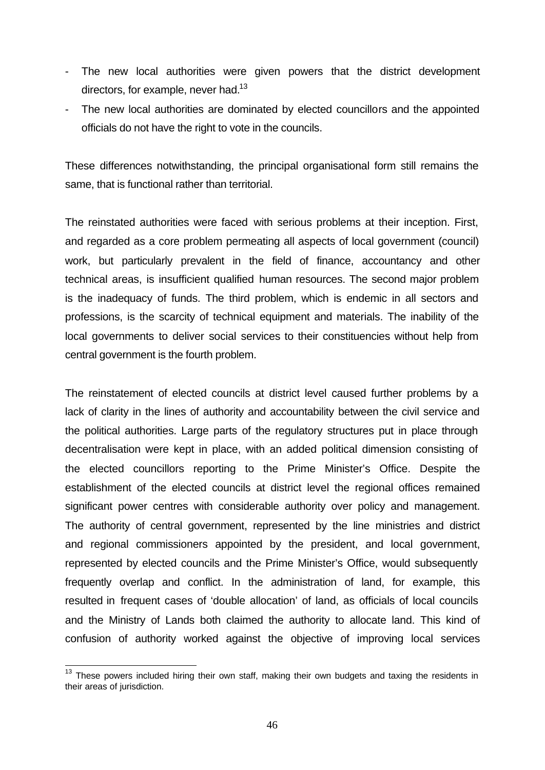- The new local authorities were given powers that the district development directors, for example, never had. $13$
- The new local authorities are dominated by elected councillors and the appointed officials do not have the right to vote in the councils.

These differences notwithstanding, the principal organisational form still remains the same, that is functional rather than territorial.

The reinstated authorities were faced with serious problems at their inception. First, and regarded as a core problem permeating all aspects of local government (council) work, but particularly prevalent in the field of finance, accountancy and other technical areas, is insufficient qualified human resources. The second major problem is the inadequacy of funds. The third problem, which is endemic in all sectors and professions, is the scarcity of technical equipment and materials. The inability of the local governments to deliver social services to their constituencies without help from central government is the fourth problem.

The reinstatement of elected councils at district level caused further problems by a lack of clarity in the lines of authority and accountability between the civil service and the political authorities. Large parts of the regulatory structures put in place through decentralisation were kept in place, with an added political dimension consisting of the elected councillors reporting to the Prime Minister's Office. Despite the establishment of the elected councils at district level the regional offices remained significant power centres with considerable authority over policy and management. The authority of central government, represented by the line ministries and district and regional commissioners appointed by the president, and local government, represented by elected councils and the Prime Minister's Office, would subsequently frequently overlap and conflict. In the administration of land, for example, this resulted in frequent cases of 'double allocation' of land, as officials of local councils and the Ministry of Lands both claimed the authority to allocate land. This kind of confusion of authority worked against the objective of improving local services

 $\overline{a}$  $13$  These powers included hiring their own staff, making their own budgets and taxing the residents in their areas of jurisdiction.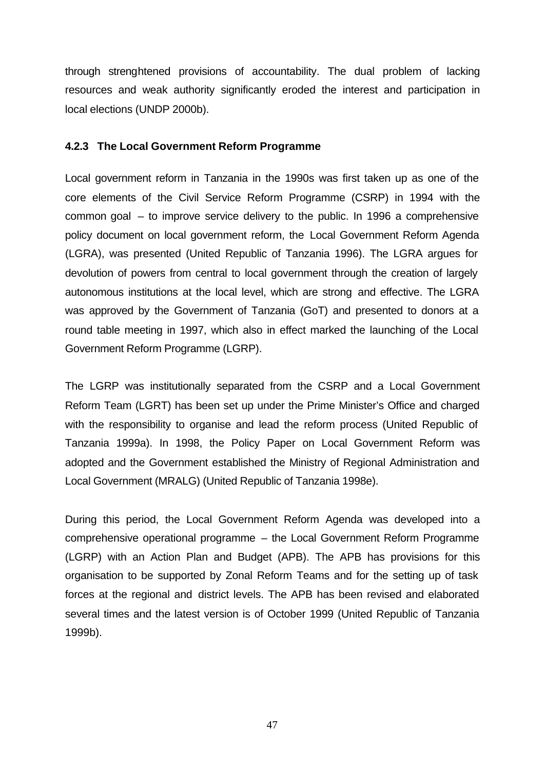through strenghtened provisions of accountability. The dual problem of lacking resources and weak authority significantly eroded the interest and participation in local elections (UNDP 2000b).

#### **4.2.3 The Local Government Reform Programme**

Local government reform in Tanzania in the 1990s was first taken up as one of the core elements of the Civil Service Reform Programme (CSRP) in 1994 with the common goal – to improve service delivery to the public. In 1996 a comprehensive policy document on local government reform, the Local Government Reform Agenda (LGRA), was presented (United Republic of Tanzania 1996). The LGRA argues for devolution of powers from central to local government through the creation of largely autonomous institutions at the local level, which are strong and effective. The LGRA was approved by the Government of Tanzania (GoT) and presented to donors at a round table meeting in 1997, which also in effect marked the launching of the Local Government Reform Programme (LGRP).

The LGRP was institutionally separated from the CSRP and a Local Government Reform Team (LGRT) has been set up under the Prime Minister's Office and charged with the responsibility to organise and lead the reform process (United Republic of Tanzania 1999a). In 1998, the Policy Paper on Local Government Reform was adopted and the Government established the Ministry of Regional Administration and Local Government (MRALG) (United Republic of Tanzania 1998e).

During this period, the Local Government Reform Agenda was developed into a comprehensive operational programme – the Local Government Reform Programme (LGRP) with an Action Plan and Budget (APB). The APB has provisions for this organisation to be supported by Zonal Reform Teams and for the setting up of task forces at the regional and district levels. The APB has been revised and elaborated several times and the latest version is of October 1999 (United Republic of Tanzania 1999b).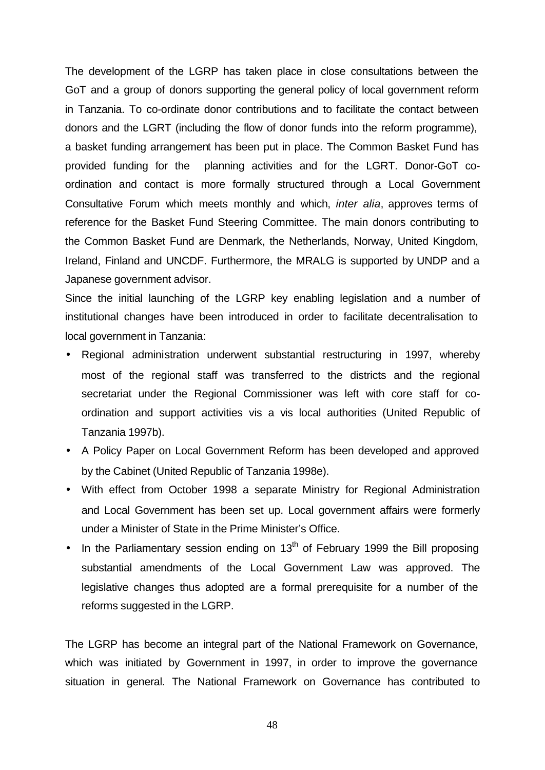The development of the LGRP has taken place in close consultations between the GoT and a group of donors supporting the general policy of local government reform in Tanzania. To co-ordinate donor contributions and to facilitate the contact between donors and the LGRT (including the flow of donor funds into the reform programme), a basket funding arrangement has been put in place. The Common Basket Fund has provided funding for the planning activities and for the LGRT. Donor-GoT coordination and contact is more formally structured through a Local Government Consultative Forum which meets monthly and which, *inter alia*, approves terms of reference for the Basket Fund Steering Committee. The main donors contributing to the Common Basket Fund are Denmark, the Netherlands, Norway, United Kingdom, Ireland, Finland and UNCDF. Furthermore, the MRALG is supported by UNDP and a Japanese government advisor.

Since the initial launching of the LGRP key enabling legislation and a number of institutional changes have been introduced in order to facilitate decentralisation to local government in Tanzania:

- Regional administration underwent substantial restructuring in 1997, whereby most of the regional staff was transferred to the districts and the regional secretariat under the Regional Commissioner was left with core staff for coordination and support activities vis a vis local authorities (United Republic of Tanzania 1997b).
- A Policy Paper on Local Government Reform has been developed and approved by the Cabinet (United Republic of Tanzania 1998e).
- With effect from October 1998 a separate Ministry for Regional Administration and Local Government has been set up. Local government affairs were formerly under a Minister of State in the Prime Minister's Office.
- In the Parliamentary session ending on 13<sup>th</sup> of February 1999 the Bill proposing substantial amendments of the Local Government Law was approved. The legislative changes thus adopted are a formal prerequisite for a number of the reforms suggested in the LGRP.

The LGRP has become an integral part of the National Framework on Governance, which was initiated by Government in 1997, in order to improve the governance situation in general. The National Framework on Governance has contributed to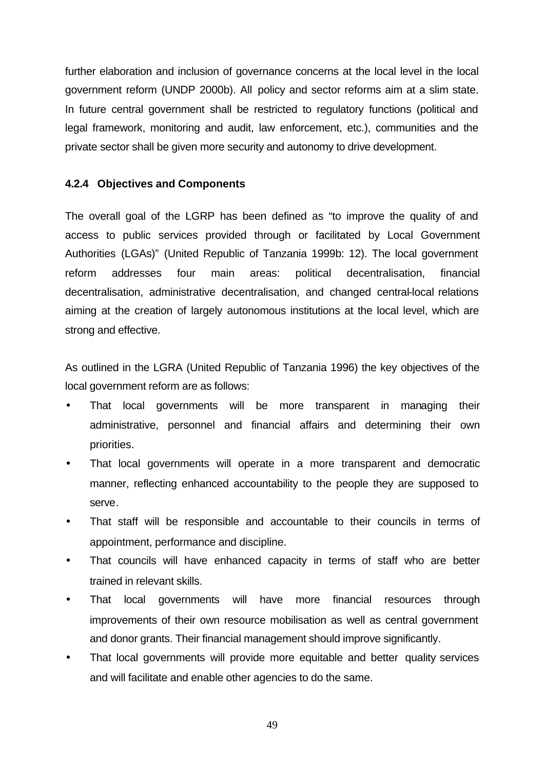further elaboration and inclusion of governance concerns at the local level in the local government reform (UNDP 2000b). All policy and sector reforms aim at a slim state. In future central government shall be restricted to regulatory functions (political and legal framework, monitoring and audit, law enforcement, etc.), communities and the private sector shall be given more security and autonomy to drive development.

#### **4.2.4 Objectives and Components**

The overall goal of the LGRP has been defined as "to improve the quality of and access to public services provided through or facilitated by Local Government Authorities (LGAs)" (United Republic of Tanzania 1999b: 12). The local government reform addresses four main areas: political decentralisation, financial decentralisation, administrative decentralisation, and changed central-local relations aiming at the creation of largely autonomous institutions at the local level, which are strong and effective.

As outlined in the LGRA (United Republic of Tanzania 1996) the key objectives of the local government reform are as follows:

- That local governments will be more transparent in managing their administrative, personnel and financial affairs and determining their own priorities.
- That local governments will operate in a more transparent and democratic manner, reflecting enhanced accountability to the people they are supposed to serve.
- That staff will be responsible and accountable to their councils in terms of appointment, performance and discipline.
- That councils will have enhanced capacity in terms of staff who are better trained in relevant skills.
- That local governments will have more financial resources through improvements of their own resource mobilisation as well as central government and donor grants. Their financial management should improve significantly.
- That local governments will provide more equitable and better quality services and will facilitate and enable other agencies to do the same.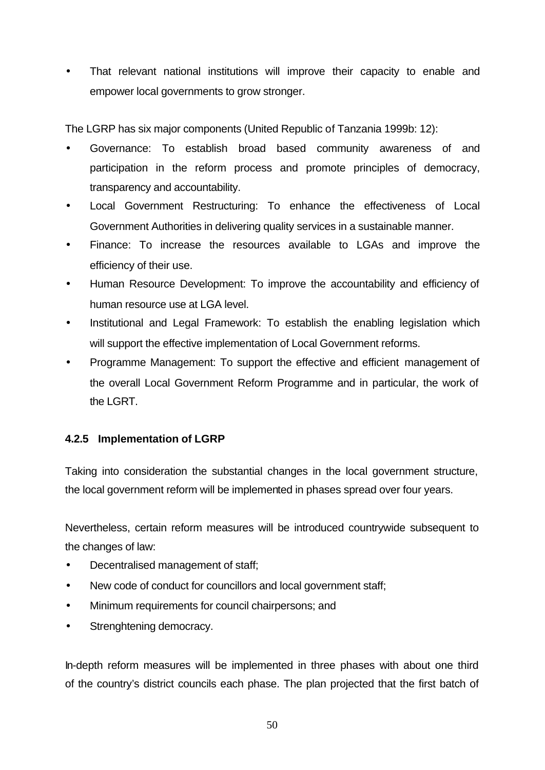• That relevant national institutions will improve their capacity to enable and empower local governments to grow stronger.

The LGRP has six major components (United Republic of Tanzania 1999b: 12):

- Governance: To establish broad based community awareness of and participation in the reform process and promote principles of democracy, transparency and accountability.
- Local Government Restructuring: To enhance the effectiveness of Local Government Authorities in delivering quality services in a sustainable manner.
- Finance: To increase the resources available to LGAs and improve the efficiency of their use.
- Human Resource Development: To improve the accountability and efficiency of human resource use at LGA level.
- Institutional and Legal Framework: To establish the enabling legislation which will support the effective implementation of Local Government reforms.
- Programme Management: To support the effective and efficient management of the overall Local Government Reform Programme and in particular, the work of the LGRT.

#### **4.2.5 Implementation of LGRP**

Taking into consideration the substantial changes in the local government structure, the local government reform will be implemented in phases spread over four years.

Nevertheless, certain reform measures will be introduced countrywide subsequent to the changes of law:

- Decentralised management of staff;
- New code of conduct for councillors and local government staff;
- Minimum requirements for council chairpersons; and
- Strenghtening democracy.

In-depth reform measures will be implemented in three phases with about one third of the country's district councils each phase. The plan projected that the first batch of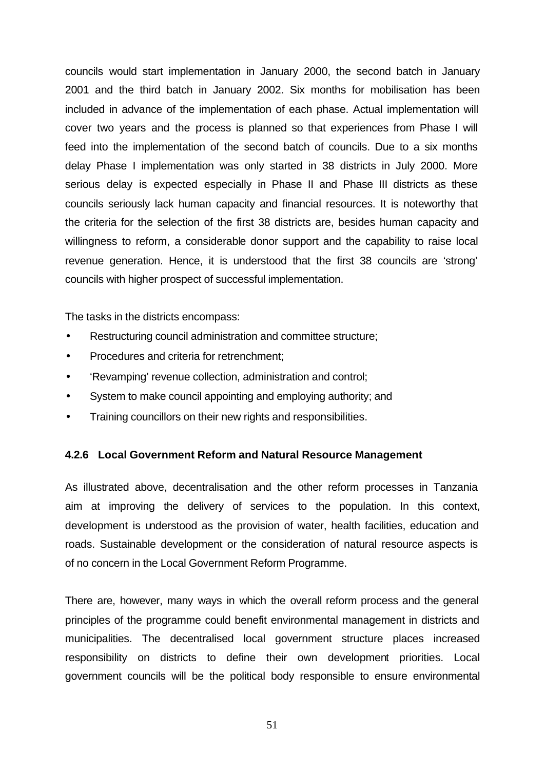councils would start implementation in January 2000, the second batch in January 2001 and the third batch in January 2002. Six months for mobilisation has been included in advance of the implementation of each phase. Actual implementation will cover two years and the process is planned so that experiences from Phase I will feed into the implementation of the second batch of councils. Due to a six months delay Phase I implementation was only started in 38 districts in July 2000. More serious delay is expected especially in Phase II and Phase III districts as these councils seriously lack human capacity and financial resources. It is noteworthy that the criteria for the selection of the first 38 districts are, besides human capacity and willingness to reform, a considerable donor support and the capability to raise local revenue generation. Hence, it is understood that the first 38 councils are 'strong' councils with higher prospect of successful implementation.

The tasks in the districts encompass:

- Restructuring council administration and committee structure;
- Procedures and criteria for retrenchment:
- 'Revamping' revenue collection, administration and control;
- System to make council appointing and employing authority; and
- Training councillors on their new rights and responsibilities.

#### **4.2.6 Local Government Reform and Natural Resource Management**

As illustrated above, decentralisation and the other reform processes in Tanzania aim at improving the delivery of services to the population. In this context, development is understood as the provision of water, health facilities, education and roads. Sustainable development or the consideration of natural resource aspects is of no concern in the Local Government Reform Programme.

There are, however, many ways in which the overall reform process and the general principles of the programme could benefit environmental management in districts and municipalities. The decentralised local government structure places increased responsibility on districts to define their own development priorities. Local government councils will be the political body responsible to ensure environmental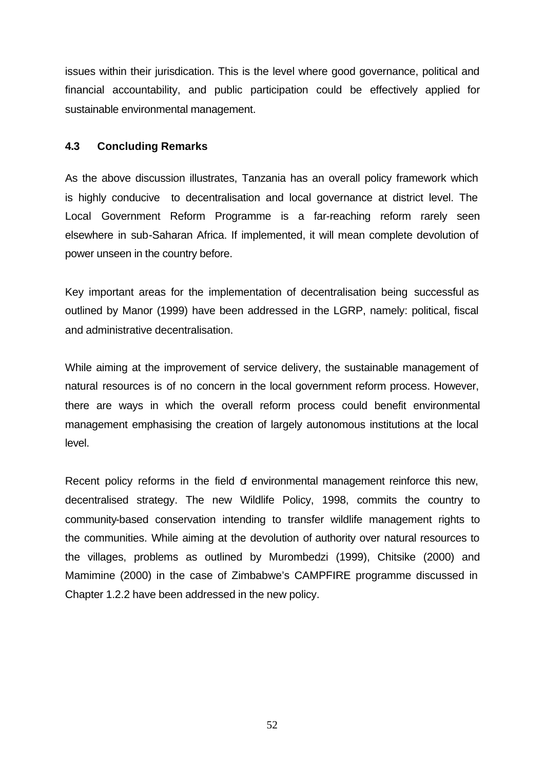issues within their jurisdication. This is the level where good governance, political and financial accountability, and public participation could be effectively applied for sustainable environmental management.

#### **4.3 Concluding Remarks**

As the above discussion illustrates, Tanzania has an overall policy framework which is highly conducive to decentralisation and local governance at district level. The Local Government Reform Programme is a far-reaching reform rarely seen elsewhere in sub-Saharan Africa. If implemented, it will mean complete devolution of power unseen in the country before.

Key important areas for the implementation of decentralisation being successful as outlined by Manor (1999) have been addressed in the LGRP, namely: political, fiscal and administrative decentralisation.

While aiming at the improvement of service delivery, the sustainable management of natural resources is of no concern in the local government reform process. However, there are ways in which the overall reform process could benefit environmental management emphasising the creation of largely autonomous institutions at the local level.

Recent policy reforms in the field of environmental management reinforce this new, decentralised strategy. The new Wildlife Policy, 1998, commits the country to community-based conservation intending to transfer wildlife management rights to the communities. While aiming at the devolution of authority over natural resources to the villages, problems as outlined by Murombedzi (1999), Chitsike (2000) and Mamimine (2000) in the case of Zimbabwe's CAMPFIRE programme discussed in Chapter 1.2.2 have been addressed in the new policy.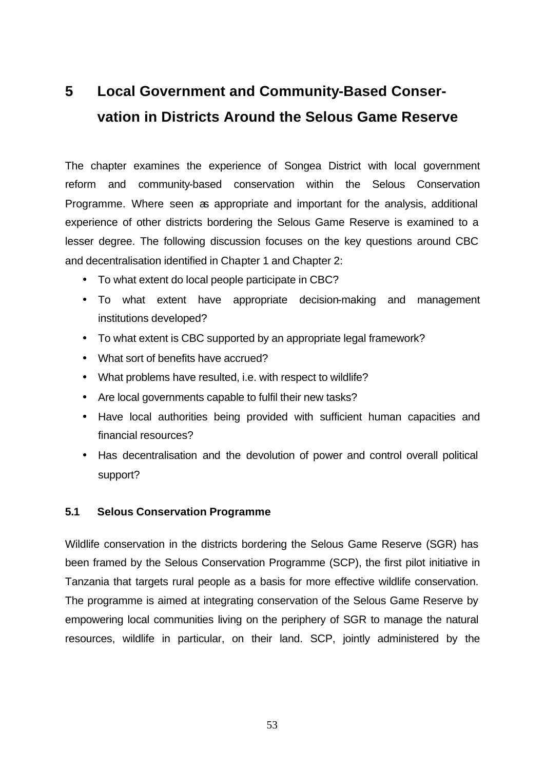## **5 Local Government and Community-Based Conservation in Districts Around the Selous Game Reserve**

The chapter examines the experience of Songea District with local government reform and community-based conservation within the Selous Conservation Programme. Where seen as appropriate and important for the analysis, additional experience of other districts bordering the Selous Game Reserve is examined to a lesser degree. The following discussion focuses on the key questions around CBC and decentralisation identified in Chapter 1 and Chapter 2:

- To what extent do local people participate in CBC?
- To what extent have appropriate decision-making and management institutions developed?
- To what extent is CBC supported by an appropriate legal framework?
- What sort of benefits have accrued?
- What problems have resulted, i.e. with respect to wildlife?
- Are local governments capable to fulfil their new tasks?
- Have local authorities being provided with sufficient human capacities and financial resources?
- Has decentralisation and the devolution of power and control overall political support?

#### **5.1 Selous Conservation Programme**

Wildlife conservation in the districts bordering the Selous Game Reserve (SGR) has been framed by the Selous Conservation Programme (SCP), the first pilot initiative in Tanzania that targets rural people as a basis for more effective wildlife conservation. The programme is aimed at integrating conservation of the Selous Game Reserve by empowering local communities living on the periphery of SGR to manage the natural resources, wildlife in particular, on their land. SCP, jointly administered by the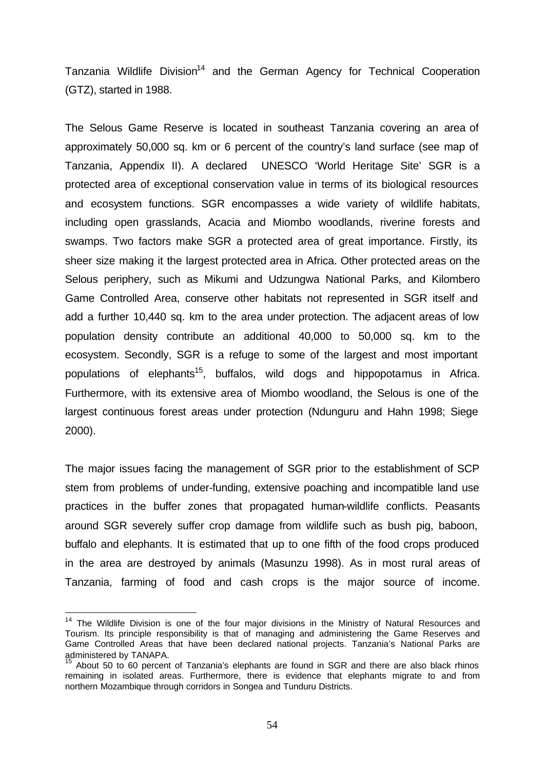Tanzania Wildlife Division<sup>14</sup> and the German Agency for Technical Cooperation (GTZ), started in 1988.

The Selous Game Reserve is located in southeast Tanzania covering an area of approximately 50,000 sq. km or 6 percent of the country's land surface (see map of Tanzania, Appendix II). A declared UNESCO 'World Heritage Site' SGR is a protected area of exceptional conservation value in terms of its biological resources and ecosystem functions. SGR encompasses a wide variety of wildlife habitats, including open grasslands, Acacia and Miombo woodlands, riverine forests and swamps. Two factors make SGR a protected area of great importance. Firstly, its sheer size making it the largest protected area in Africa. Other protected areas on the Selous periphery, such as Mikumi and Udzungwa National Parks, and Kilombero Game Controlled Area, conserve other habitats not represented in SGR itself and add a further 10,440 sq. km to the area under protection. The adjacent areas of low population density contribute an additional 40,000 to 50,000 sq. km to the ecosystem. Secondly, SGR is a refuge to some of the largest and most important populations of elephants<sup>15</sup>, buffalos, wild dogs and hippopotamus in Africa. Furthermore, with its extensive area of Miombo woodland, the Selous is one of the largest continuous forest areas under protection (Ndunguru and Hahn 1998; Siege 2000).

The major issues facing the management of SGR prior to the establishment of SCP stem from problems of under-funding, extensive poaching and incompatible land use practices in the buffer zones that propagated human-wildlife conflicts. Peasants around SGR severely suffer crop damage from wildlife such as bush pig, baboon, buffalo and elephants. It is estimated that up to one fifth of the food crops produced in the area are destroyed by animals (Masunzu 1998). As in most rural areas of Tanzania, farming of food and cash crops is the major source of income.

l

<sup>&</sup>lt;sup>14</sup> The Wildlife Division is one of the four major divisions in the Ministry of Natural Resources and Tourism. Its principle responsibility is that of managing and administering the Game Reserves and Game Controlled Areas that have been declared national projects. Tanzania's National Parks are administered by TANAPA.

About 50 to 60 percent of Tanzania's elephants are found in SGR and there are also black rhinos remaining in isolated areas. Furthermore, there is evidence that elephants migrate to and from northern Mozambique through corridors in Songea and Tunduru Districts.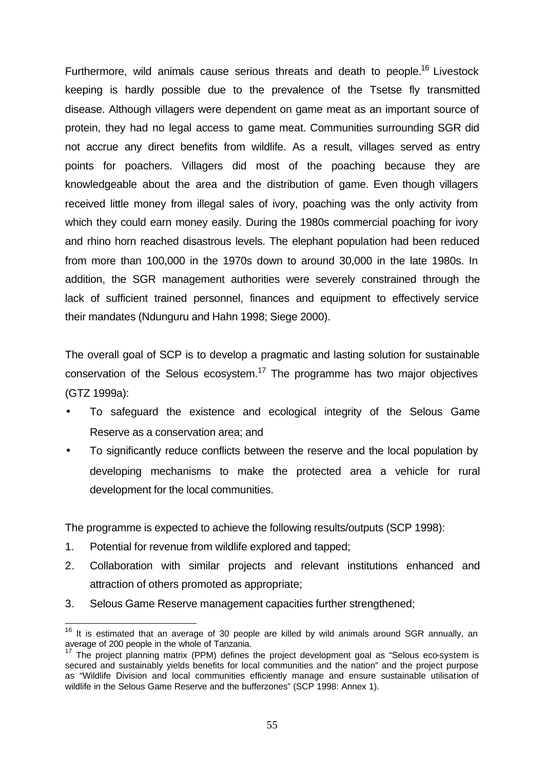Furthermore, wild animals cause serious threats and death to people.<sup>16</sup> Livestock keeping is hardly possible due to the prevalence of the Tsetse fly transmitted disease. Although villagers were dependent on game meat as an important source of protein, they had no legal access to game meat. Communities surrounding SGR did not accrue any direct benefits from wildlife. As a result, villages served as entry points for poachers. Villagers did most of the poaching because they are knowledgeable about the area and the distribution of game. Even though villagers received little money from illegal sales of ivory, poaching was the only activity from which they could earn money easily. During the 1980s commercial poaching for ivory and rhino horn reached disastrous levels. The elephant population had been reduced from more than 100,000 in the 1970s down to around 30,000 in the late 1980s. In addition, the SGR management authorities were severely constrained through the lack of sufficient trained personnel, finances and equipment to effectively service their mandates (Ndunguru and Hahn 1998; Siege 2000).

The overall goal of SCP is to develop a pragmatic and lasting solution for sustainable conservation of the Selous ecosystem.<sup>17</sup> The programme has two major objectives (GTZ 1999a):

- To safeguard the existence and ecological integrity of the Selous Game Reserve as a conservation area; and
- To significantly reduce conflicts between the reserve and the local population by developing mechanisms to make the protected area a vehicle for rural development for the local communities.

The programme is expected to achieve the following results/outputs (SCP 1998):

- 1. Potential for revenue from wildlife explored and tapped;
- 2. Collaboration with similar projects and relevant institutions enhanced and attraction of others promoted as appropriate;
- 3. Selous Game Reserve management capacities further strengthened;

 $\overline{a}$  $16$  It is estimated that an average of 30 people are killed by wild animals around SGR annually, an average of 200 people in the whole of Tanzania.

 $17$  The project planning matrix (PPM) defines the project development goal as "Selous eco-system is secured and sustainably yields benefits for local communities and the nation" and the project purpose as "Wildlife Division and local communities efficiently manage and ensure sustainable utilisation of wildlife in the Selous Game Reserve and the bufferzones" (SCP 1998: Annex 1).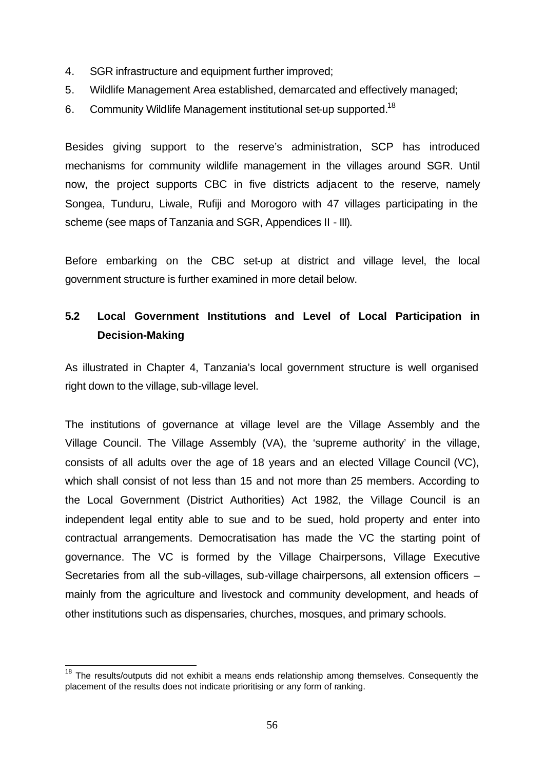- 4. SGR infrastructure and equipment further improved;
- 5. Wildlife Management Area established, demarcated and effectively managed;
- 6. Community Wildlife Management institutional set-up supported.<sup>18</sup>

Besides giving support to the reserve's administration, SCP has introduced mechanisms for community wildlife management in the villages around SGR. Until now, the project supports CBC in five districts adjacent to the reserve, namely Songea, Tunduru, Liwale, Rufiji and Morogoro with 47 villages participating in the scheme (see maps of Tanzania and SGR, Appendices II - III).

Before embarking on the CBC set-up at district and village level, the local government structure is further examined in more detail below.

### **5.2 Local Government Institutions and Level of Local Participation in Decision-Making**

As illustrated in Chapter 4, Tanzania's local government structure is well organised right down to the village, sub-village level.

The institutions of governance at village level are the Village Assembly and the Village Council. The Village Assembly (VA), the 'supreme authority' in the village, consists of all adults over the age of 18 years and an elected Village Council (VC), which shall consist of not less than 15 and not more than 25 members. According to the Local Government (District Authorities) Act 1982, the Village Council is an independent legal entity able to sue and to be sued, hold property and enter into contractual arrangements. Democratisation has made the VC the starting point of governance. The VC is formed by the Village Chairpersons, Village Executive Secretaries from all the sub-villages, sub-village chairpersons, all extension officers – mainly from the agriculture and livestock and community development, and heads of other institutions such as dispensaries, churches, mosques, and primary schools.

 $\overline{a}$ 

 $18$  The results/outputs did not exhibit a means ends relationship among themselves. Consequently the placement of the results does not indicate prioritising or any form of ranking.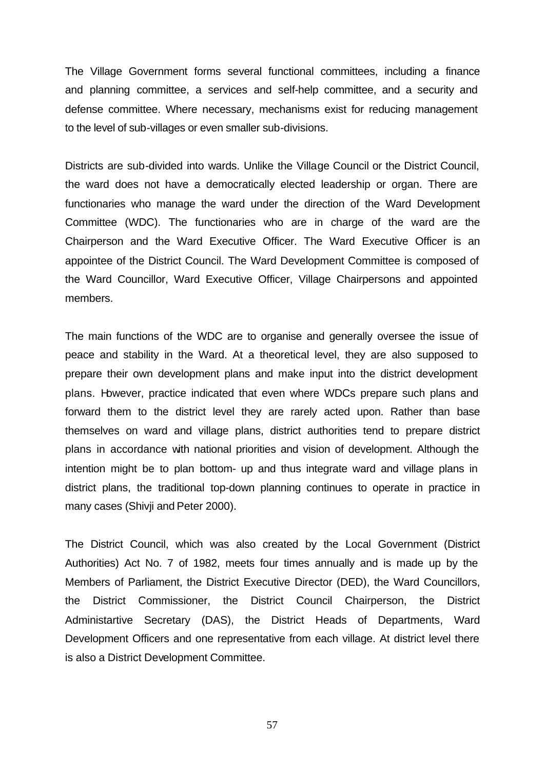The Village Government forms several functional committees, including a finance and planning committee, a services and self-help committee, and a security and defense committee. Where necessary, mechanisms exist for reducing management to the level of sub-villages or even smaller sub-divisions.

Districts are sub-divided into wards. Unlike the Village Council or the District Council, the ward does not have a democratically elected leadership or organ. There are functionaries who manage the ward under the direction of the Ward Development Committee (WDC). The functionaries who are in charge of the ward are the Chairperson and the Ward Executive Officer. The Ward Executive Officer is an appointee of the District Council. The Ward Development Committee is composed of the Ward Councillor, Ward Executive Officer, Village Chairpersons and appointed members.

The main functions of the WDC are to organise and generally oversee the issue of peace and stability in the Ward. At a theoretical level, they are also supposed to prepare their own development plans and make input into the district development plans. However, practice indicated that even where WDCs prepare such plans and forward them to the district level they are rarely acted upon. Rather than base themselves on ward and village plans, district authorities tend to prepare district plans in accordance with national priorities and vision of development. Although the intention might be to plan bottom- up and thus integrate ward and village plans in district plans, the traditional top-down planning continues to operate in practice in many cases (Shivji and Peter 2000).

The District Council, which was also created by the Local Government (District Authorities) Act No. 7 of 1982, meets four times annually and is made up by the Members of Parliament, the District Executive Director (DED), the Ward Councillors, the District Commissioner, the District Council Chairperson, the District Administartive Secretary (DAS), the District Heads of Departments, Ward Development Officers and one representative from each village. At district level there is also a District Development Committee.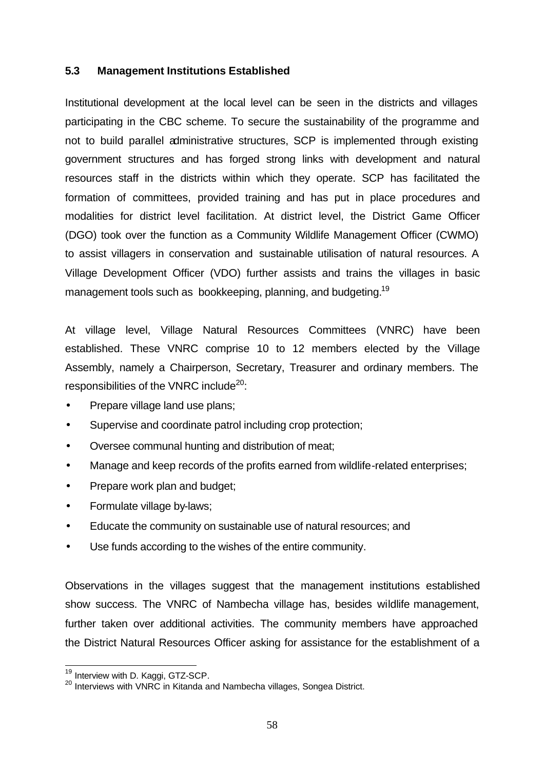#### **5.3 Management Institutions Established**

Institutional development at the local level can be seen in the districts and villages participating in the CBC scheme. To secure the sustainability of the programme and not to build parallel administrative structures, SCP is implemented through existing government structures and has forged strong links with development and natural resources staff in the districts within which they operate. SCP has facilitated the formation of committees, provided training and has put in place procedures and modalities for district level facilitation. At district level, the District Game Officer (DGO) took over the function as a Community Wildlife Management Officer (CWMO) to assist villagers in conservation and sustainable utilisation of natural resources. A Village Development Officer (VDO) further assists and trains the villages in basic management tools such as bookkeeping, planning, and budgeting.<sup>19</sup>

At village level, Village Natural Resources Committees (VNRC) have been established. These VNRC comprise 10 to 12 members elected by the Village Assembly, namely a Chairperson, Secretary, Treasurer and ordinary members. The responsibilities of the VNRC include $^{20}$ :

- Prepare village land use plans;
- Supervise and coordinate patrol including crop protection;
- Oversee communal hunting and distribution of meat;
- Manage and keep records of the profits earned from wildlife-related enterprises;
- Prepare work plan and budget;
- Formulate village by-laws;
- Educate the community on sustainable use of natural resources; and
- Use funds according to the wishes of the entire community.

Observations in the villages suggest that the management institutions established show success. The VNRC of Nambecha village has, besides wildlife management, further taken over additional activities. The community members have approached the District Natural Resources Officer asking for assistance for the establishment of a

 $\overline{a}$ 

<sup>&</sup>lt;sup>19</sup> Interview with D. Kaggi, GTZ-SCP.

<sup>20</sup> Interview with D. Raggi, C.L. Co. 1<br>20 Interviews with VNRC in Kitanda and Nambecha villages, Songea District.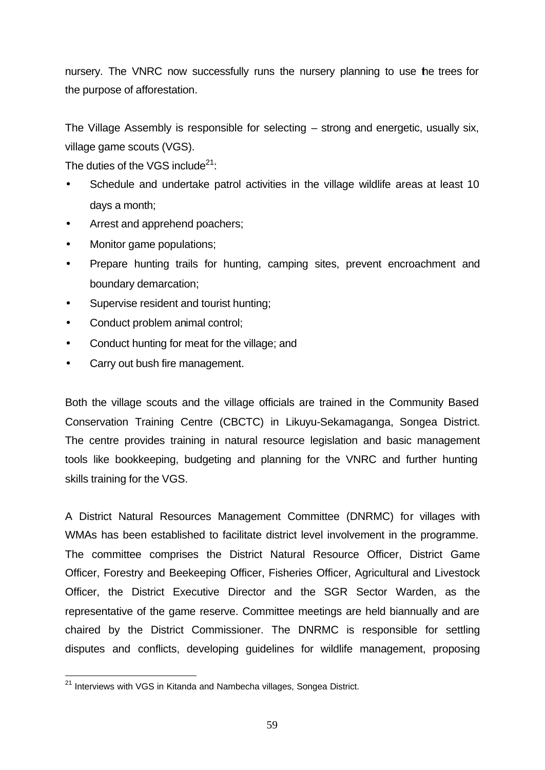nursery. The VNRC now successfully runs the nursery planning to use the trees for the purpose of afforestation.

The Village Assembly is responsible for selecting – strong and energetic, usually six, village game scouts (VGS).

The duties of the VGS include $21$ :

- Schedule and undertake patrol activities in the village wildlife areas at least 10 days a month;
- Arrest and apprehend poachers;
- Monitor game populations;
- Prepare hunting trails for hunting, camping sites, prevent encroachment and boundary demarcation;
- Supervise resident and tourist hunting;
- Conduct problem animal control;
- Conduct hunting for meat for the village; and
- Carry out bush fire management.

Both the village scouts and the village officials are trained in the Community Based Conservation Training Centre (CBCTC) in Likuyu-Sekamaganga, Songea District. The centre provides training in natural resource legislation and basic management tools like bookkeeping, budgeting and planning for the VNRC and further hunting skills training for the VGS.

A District Natural Resources Management Committee (DNRMC) for villages with WMAs has been established to facilitate district level involvement in the programme. The committee comprises the District Natural Resource Officer, District Game Officer, Forestry and Beekeeping Officer, Fisheries Officer, Agricultural and Livestock Officer, the District Executive Director and the SGR Sector Warden, as the representative of the game reserve. Committee meetings are held biannually and are chaired by the District Commissioner. The DNRMC is responsible for settling disputes and conflicts, developing guidelines for wildlife management, proposing

l

 $^{21}$  Interviews with VGS in Kitanda and Nambecha villages, Songea District.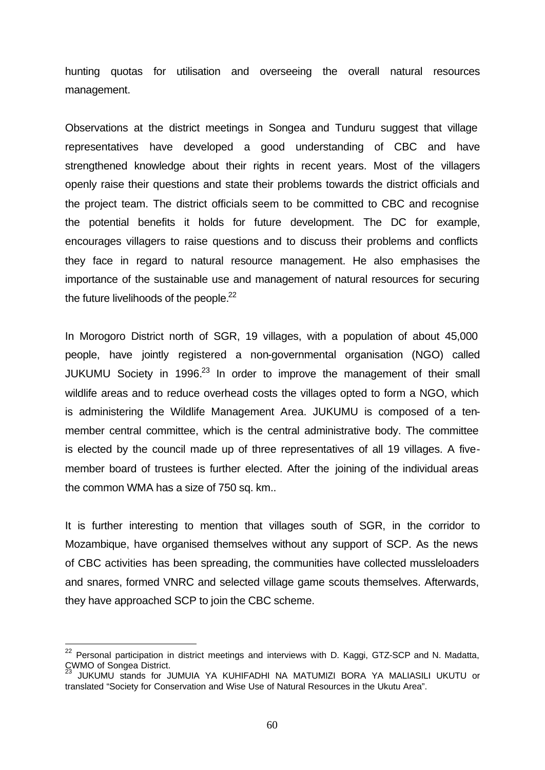hunting quotas for utilisation and overseeing the overall natural resources management.

Observations at the district meetings in Songea and Tunduru suggest that village representatives have developed a good understanding of CBC and have strengthened knowledge about their rights in recent years. Most of the villagers openly raise their questions and state their problems towards the district officials and the project team. The district officials seem to be committed to CBC and recognise the potential benefits it holds for future development. The DC for example, encourages villagers to raise questions and to discuss their problems and conflicts they face in regard to natural resource management. He also emphasises the importance of the sustainable use and management of natural resources for securing the future livelihoods of the people. $22$ 

In Morogoro District north of SGR, 19 villages, with a population of about 45,000 people, have jointly registered a non-governmental organisation (NGO) called JUKUMU Society in 1996. $^{23}$  In order to improve the management of their small wildlife areas and to reduce overhead costs the villages opted to form a NGO, which is administering the Wildlife Management Area. JUKUMU is composed of a tenmember central committee, which is the central administrative body. The committee is elected by the council made up of three representatives of all 19 villages. A fivemember board of trustees is further elected. After the joining of the individual areas the common WMA has a size of 750 sq. km..

It is further interesting to mention that villages south of SGR, in the corridor to Mozambique, have organised themselves without any support of SCP. As the news of CBC activities has been spreading, the communities have collected mussleloaders and snares, formed VNRC and selected village game scouts themselves. Afterwards, they have approached SCP to join the CBC scheme.

l

 $^{22}$  Personal participation in district meetings and interviews with D. Kaggi, GTZ-SCP and N. Madatta, CWMO of Songea District.

<sup>23</sup> JUKUMU stands for JUMUIA YA KUHIFADHI NA MATUMIZI BORA YA MALIASILI UKUTU or translated "Society for Conservation and Wise Use of Natural Resources in the Ukutu Area".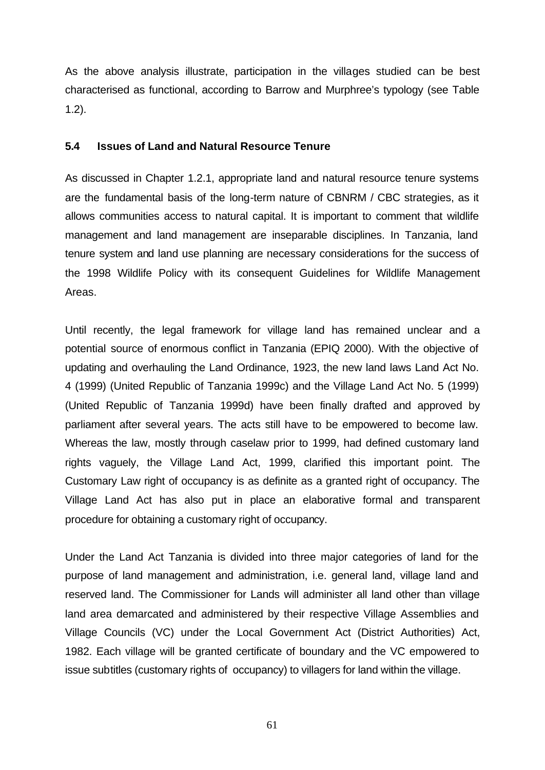As the above analysis illustrate, participation in the villages studied can be best characterised as functional, according to Barrow and Murphree's typology (see Table 1.2).

#### **5.4 Issues of Land and Natural Resource Tenure**

As discussed in Chapter 1.2.1, appropriate land and natural resource tenure systems are the fundamental basis of the long-term nature of CBNRM / CBC strategies, as it allows communities access to natural capital. It is important to comment that wildlife management and land management are inseparable disciplines. In Tanzania, land tenure system and land use planning are necessary considerations for the success of the 1998 Wildlife Policy with its consequent Guidelines for Wildlife Management Areas.

Until recently, the legal framework for village land has remained unclear and a potential source of enormous conflict in Tanzania (EPIQ 2000). With the objective of updating and overhauling the Land Ordinance, 1923, the new land laws Land Act No. 4 (1999) (United Republic of Tanzania 1999c) and the Village Land Act No. 5 (1999) (United Republic of Tanzania 1999d) have been finally drafted and approved by parliament after several years. The acts still have to be empowered to become law. Whereas the law, mostly through caselaw prior to 1999, had defined customary land rights vaguely, the Village Land Act, 1999, clarified this important point. The Customary Law right of occupancy is as definite as a granted right of occupancy. The Village Land Act has also put in place an elaborative formal and transparent procedure for obtaining a customary right of occupancy.

Under the Land Act Tanzania is divided into three major categories of land for the purpose of land management and administration, i.e. general land, village land and reserved land. The Commissioner for Lands will administer all land other than village land area demarcated and administered by their respective Village Assemblies and Village Councils (VC) under the Local Government Act (District Authorities) Act, 1982. Each village will be granted certificate of boundary and the VC empowered to issue subtitles (customary rights of occupancy) to villagers for land within the village.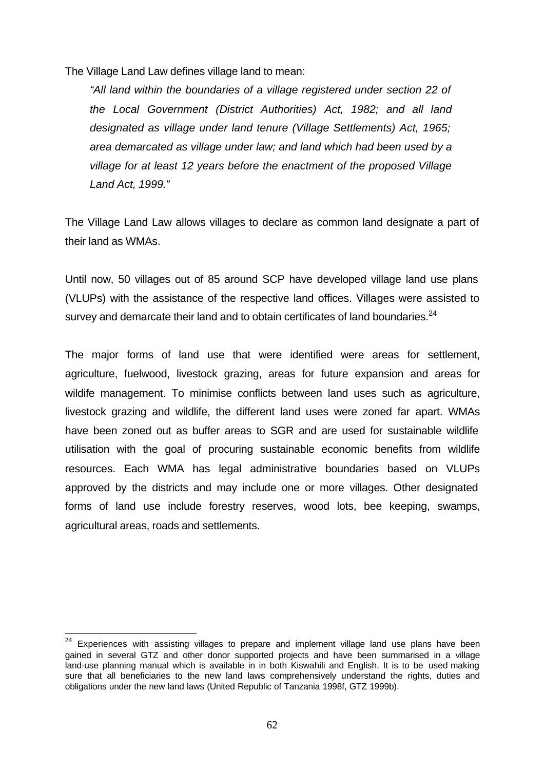The Village Land Law defines village land to mean:

*"All land within the boundaries of a village registered under section 22 of the Local Government (District Authorities) Act, 1982; and all land designated as village under land tenure (Village Settlements) Act, 1965; area demarcated as village under law; and land which had been used by a village for at least 12 years before the enactment of the proposed Village Land Act, 1999."* 

The Village Land Law allows villages to declare as common land designate a part of their land as WMAs.

Until now, 50 villages out of 85 around SCP have developed village land use plans (VLUPs) with the assistance of the respective land offices. Villages were assisted to survey and demarcate their land and to obtain certificates of land boundaries. $^{24}$ 

The major forms of land use that were identified were areas for settlement, agriculture, fuelwood, livestock grazing, areas for future expansion and areas for wildife management. To minimise conflicts between land uses such as agriculture, livestock grazing and wildlife, the different land uses were zoned far apart. WMAs have been zoned out as buffer areas to SGR and are used for sustainable wildlife utilisation with the goal of procuring sustainable economic benefits from wildlife resources. Each WMA has legal administrative boundaries based on VLUPs approved by the districts and may include one or more villages. Other designated forms of land use include forestry reserves, wood lots, bee keeping, swamps, agricultural areas, roads and settlements.

 $\overline{\phantom{a}}$ 

 $24$  Experiences with assisting villages to prepare and implement village land use plans have been gained in several GTZ and other donor supported projects and have been summarised in a village land-use planning manual which is available in in both Kiswahili and English. It is to be used making sure that all beneficiaries to the new land laws comprehensively understand the rights, duties and obligations under the new land laws (United Republic of Tanzania 1998f, GTZ 1999b).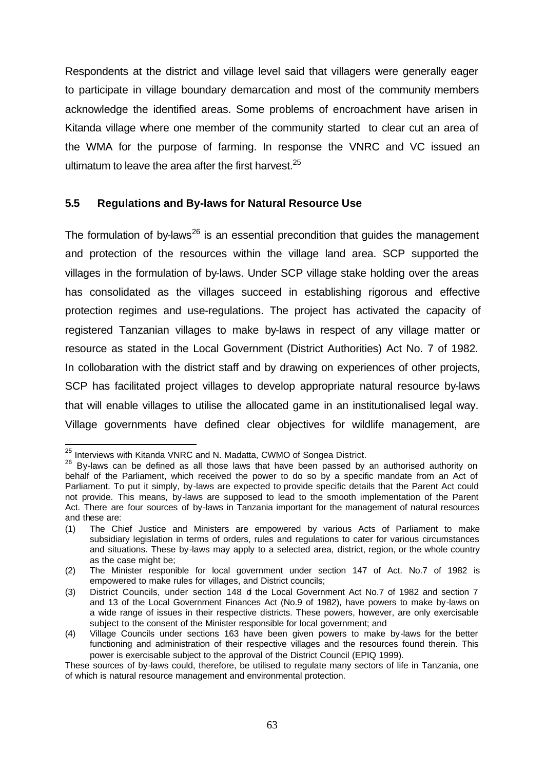Respondents at the district and village level said that villagers were generally eager to participate in village boundary demarcation and most of the community members acknowledge the identified areas. Some problems of encroachment have arisen in Kitanda village where one member of the community started to clear cut an area of the WMA for the purpose of farming. In response the VNRC and VC issued an ultimatum to leave the area after the first harvest. $25$ 

#### **5.5 Regulations and By-laws for Natural Resource Use**

The formulation of by-laws<sup>26</sup> is an essential precondition that quides the management and protection of the resources within the village land area. SCP supported the villages in the formulation of by-laws. Under SCP village stake holding over the areas has consolidated as the villages succeed in establishing rigorous and effective protection regimes and use-regulations. The project has activated the capacity of registered Tanzanian villages to make by-laws in respect of any village matter or resource as stated in the Local Government (District Authorities) Act No. 7 of 1982. In collobaration with the district staff and by drawing on experiences of other projects, SCP has facilitated project villages to develop appropriate natural resource by-laws that will enable villages to utilise the allocated game in an institutionalised legal way. Village governments have defined clear objectives for wildlife management, are

 $\overline{\phantom{a}}$  $^{25}$  Interviews with Kitanda VNRC and N. Madatta, CWMO of Songea District.

 $26$  By-laws can be defined as all those laws that have been passed by an authorised authority on behalf of the Parliament, which received the power to do so by a specific mandate from an Act of Parliament. To put it simply, by-laws are expected to provide specific details that the Parent Act could not provide. This means, by-laws are supposed to lead to the smooth implementation of the Parent Act. There are four sources of by-laws in Tanzania important for the management of natural resources and these are:

<sup>(1)</sup> The Chief Justice and Ministers are empowered by various Acts of Parliament to make subsidiary legislation in terms of orders, rules and regulations to cater for various circumstances and situations. These by-laws may apply to a selected area, district, region, or the whole country as the case might be;

<sup>(2)</sup> The Minister responible for local government under section 147 of Act. No.7 of 1982 is empowered to make rules for villages, and District councils;

<sup>(3)</sup> District Councils, under section 148 of the Local Government Act No.7 of 1982 and section 7 and 13 of the Local Government Finances Act (No.9 of 1982), have powers to make by-laws on a wide range of issues in their respective districts. These powers, however, are only exercisable subject to the consent of the Minister responsible for local government; and

<sup>(4)</sup> Village Councils under sections 163 have been given powers to make by-laws for the better functioning and administration of their respective villages and the resources found therein. This power is exercisable subject to the approval of the District Council (EPIQ 1999).

These sources of by-laws could, therefore, be utilised to regulate many sectors of life in Tanzania, one of which is natural resource management and environmental protection.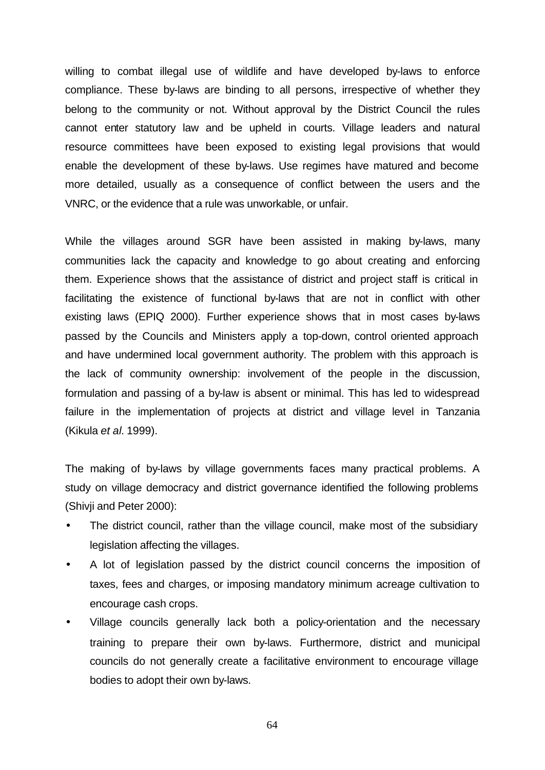willing to combat illegal use of wildlife and have developed by-laws to enforce compliance. These by-laws are binding to all persons, irrespective of whether they belong to the community or not. Without approval by the District Council the rules cannot enter statutory law and be upheld in courts. Village leaders and natural resource committees have been exposed to existing legal provisions that would enable the development of these by-laws. Use regimes have matured and become more detailed, usually as a consequence of conflict between the users and the VNRC, or the evidence that a rule was unworkable, or unfair.

While the villages around SGR have been assisted in making by-laws, many communities lack the capacity and knowledge to go about creating and enforcing them. Experience shows that the assistance of district and project staff is critical in facilitating the existence of functional by-laws that are not in conflict with other existing laws (EPIQ 2000). Further experience shows that in most cases by-laws passed by the Councils and Ministers apply a top-down, control oriented approach and have undermined local government authority. The problem with this approach is the lack of community ownership: involvement of the people in the discussion, formulation and passing of a by-law is absent or minimal. This has led to widespread failure in the implementation of projects at district and village level in Tanzania (Kikula *et al.* 1999).

The making of by-laws by village governments faces many practical problems. A study on village democracy and district governance identified the following problems (Shivji and Peter 2000):

- The district council, rather than the village council, make most of the subsidiary legislation affecting the villages.
- A lot of legislation passed by the district council concerns the imposition of taxes, fees and charges, or imposing mandatory minimum acreage cultivation to encourage cash crops.
- Village councils generally lack both a policy-orientation and the necessary training to prepare their own by-laws. Furthermore, district and municipal councils do not generally create a facilitative environment to encourage village bodies to adopt their own by-laws.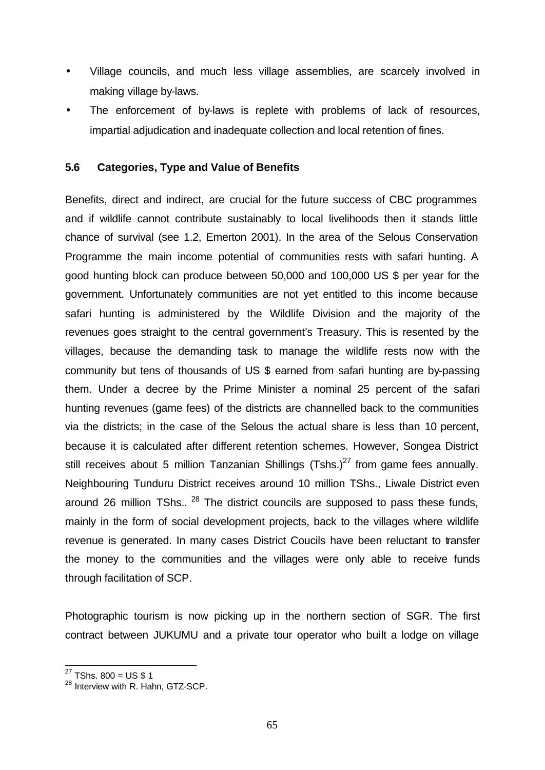- Village councils, and much less village assemblies, are scarcely involved in making village by-laws.
- The enforcement of by-laws is replete with problems of lack of resources, impartial adjudication and inadequate collection and local retention of fines.

#### **5.6 Categories, Type and Value of Benefits**

Benefits, direct and indirect, are crucial for the future success of CBC programmes and if wildlife cannot contribute sustainably to local livelihoods then it stands little chance of survival (see 1.2, Emerton 2001). In the area of the Selous Conservation Programme the main income potential of communities rests with safari hunting. A good hunting block can produce between 50,000 and 100,000 US \$ per year for the government. Unfortunately communities are not yet entitled to this income because safari hunting is administered by the Wildlife Division and the majority of the revenues goes straight to the central government's Treasury. This is resented by the villages, because the demanding task to manage the wildlife rests now with the community but tens of thousands of US \$ earned from safari hunting are by-passing them. Under a decree by the Prime Minister a nominal 25 percent of the safari hunting revenues (game fees) of the districts are channelled back to the communities via the districts; in the case of the Selous the actual share is less than 10 percent, because it is calculated after different retention schemes. However, Songea District still receives about 5 million Tanzanian Shillings (Tshs.)<sup>27</sup> from game fees annually. Neighbouring Tunduru District receives around 10 million TShs., Liwale District even around 26 million TShs..  $^{28}$  The district councils are supposed to pass these funds, mainly in the form of social development projects, back to the villages where wildlife revenue is generated. In many cases District Coucils have been reluctant to transfer the money to the communities and the villages were only able to receive funds through facilitation of SCP.

Photographic tourism is now picking up in the northern section of SGR. The first contract between JUKUMU and a private tour operator who built a lodge on village

 $\overline{\phantom{a}}$  $^{27}$  TShs. 800 = US \$ 1

<sup>28</sup> Interview with R. Hahn, GTZ-SCP.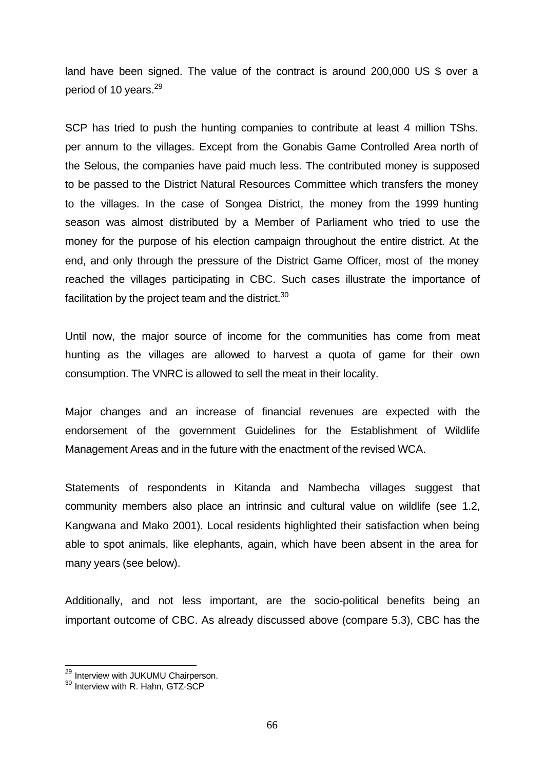land have been signed. The value of the contract is around 200,000 US \$ over a period of 10 years.<sup>29</sup>

SCP has tried to push the hunting companies to contribute at least 4 million TShs. per annum to the villages. Except from the Gonabis Game Controlled Area north of the Selous, the companies have paid much less. The contributed money is supposed to be passed to the District Natural Resources Committee which transfers the money to the villages. In the case of Songea District, the money from the 1999 hunting season was almost distributed by a Member of Parliament who tried to use the money for the purpose of his election campaign throughout the entire district. At the end, and only through the pressure of the District Game Officer, most of the money reached the villages participating in CBC. Such cases illustrate the importance of facilitation by the project team and the district. $30$ 

Until now, the major source of income for the communities has come from meat hunting as the villages are allowed to harvest a quota of game for their own consumption. The VNRC is allowed to sell the meat in their locality.

Major changes and an increase of financial revenues are expected with the endorsement of the government Guidelines for the Establishment of Wildlife Management Areas and in the future with the enactment of the revised WCA.

Statements of respondents in Kitanda and Nambecha villages suggest that community members also place an intrinsic and cultural value on wildlife (see 1.2, Kangwana and Mako 2001). Local residents highlighted their satisfaction when being able to spot animals, like elephants, again, which have been absent in the area for many years (see below).

Additionally, and not less important, are the socio-political benefits being an important outcome of CBC. As already discussed above (compare 5.3), CBC has the

 $\overline{\phantom{a}}$ <sup>29</sup> Interview with JUKUMU Chairperson.

<sup>&</sup>lt;sup>30</sup> Interview with R. Hahn, GTZ-SCP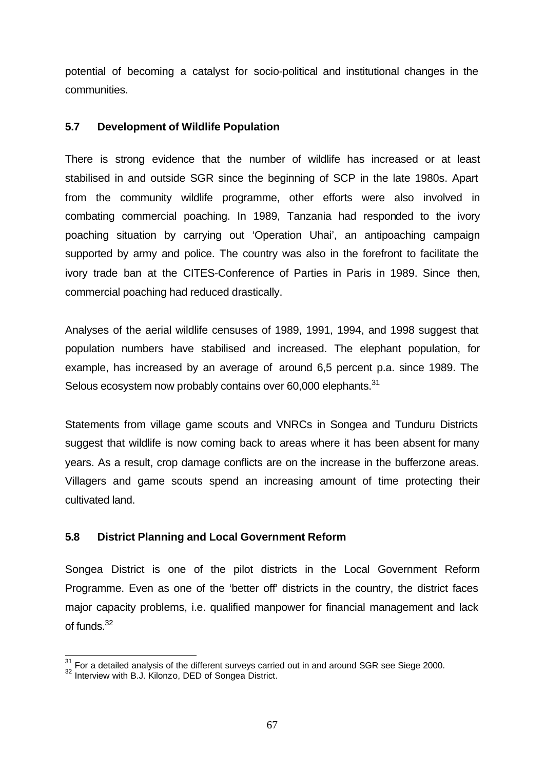potential of becoming a catalyst for socio-political and institutional changes in the communities.

#### **5.7 Development of Wildlife Population**

There is strong evidence that the number of wildlife has increased or at least stabilised in and outside SGR since the beginning of SCP in the late 1980s. Apart from the community wildlife programme, other efforts were also involved in combating commercial poaching. In 1989, Tanzania had responded to the ivory poaching situation by carrying out 'Operation Uhai', an antipoaching campaign supported by army and police. The country was also in the forefront to facilitate the ivory trade ban at the CITES-Conference of Parties in Paris in 1989. Since then, commercial poaching had reduced drastically.

Analyses of the aerial wildlife censuses of 1989, 1991, 1994, and 1998 suggest that population numbers have stabilised and increased. The elephant population, for example, has increased by an average of around 6,5 percent p.a. since 1989. The Selous ecosystem now probably contains over 60,000 elephants.<sup>31</sup>

Statements from village game scouts and VNRCs in Songea and Tunduru Districts suggest that wildlife is now coming back to areas where it has been absent for many years. As a result, crop damage conflicts are on the increase in the bufferzone areas. Villagers and game scouts spend an increasing amount of time protecting their cultivated land.

#### **5.8 District Planning and Local Government Reform**

Songea District is one of the pilot districts in the Local Government Reform Programme. Even as one of the 'better off' districts in the country, the district faces major capacity problems, i.e. qualified manpower for financial management and lack of funds. $32$ 

 $\overline{\phantom{a}}$  $\frac{31}{10}$  For a detailed analysis of the different surveys carried out in and around SGR see Siege 2000.

<sup>&</sup>lt;sup>32</sup> Interview with B.J. Kilonzo, DED of Songea District.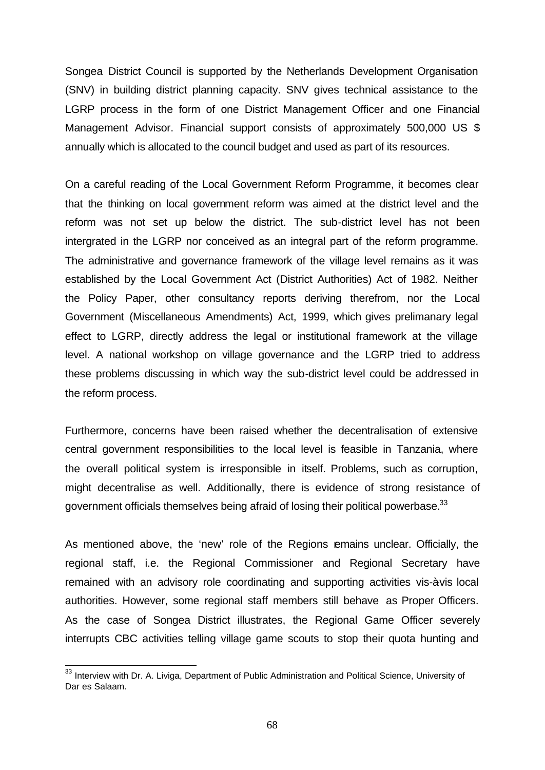Songea District Council is supported by the Netherlands Development Organisation (SNV) in building district planning capacity. SNV gives technical assistance to the LGRP process in the form of one District Management Officer and one Financial Management Advisor. Financial support consists of approximately 500,000 US \$ annually which is allocated to the council budget and used as part of its resources.

On a careful reading of the Local Government Reform Programme, it becomes clear that the thinking on local government reform was aimed at the district level and the reform was not set up below the district. The sub-district level has not been intergrated in the LGRP nor conceived as an integral part of the reform programme. The administrative and governance framework of the village level remains as it was established by the Local Government Act (District Authorities) Act of 1982. Neither the Policy Paper, other consultancy reports deriving therefrom, nor the Local Government (Miscellaneous Amendments) Act, 1999, which gives prelimanary legal effect to LGRP, directly address the legal or institutional framework at the village level. A national workshop on village governance and the LGRP tried to address these problems discussing in which way the sub-district level could be addressed in the reform process.

Furthermore, concerns have been raised whether the decentralisation of extensive central government responsibilities to the local level is feasible in Tanzania, where the overall political system is irresponsible in itself. Problems, such as corruption, might decentralise as well. Additionally, there is evidence of strong resistance of government officials themselves being afraid of losing their political powerbase.<sup>33</sup>

As mentioned above, the 'new' role of the Regions remains unclear. Officially, the regional staff, i.e. the Regional Commissioner and Regional Secretary have remained with an advisory role coordinating and supporting activities vis-àvis local authorities. However, some regional staff members still behave as Proper Officers. As the case of Songea District illustrates, the Regional Game Officer severely interrupts CBC activities telling village game scouts to stop their quota hunting and

 $\overline{\phantom{a}}$ 

 $33$  Interview with Dr. A. Liviga, Department of Public Administration and Political Science, University of Dar es Salaam.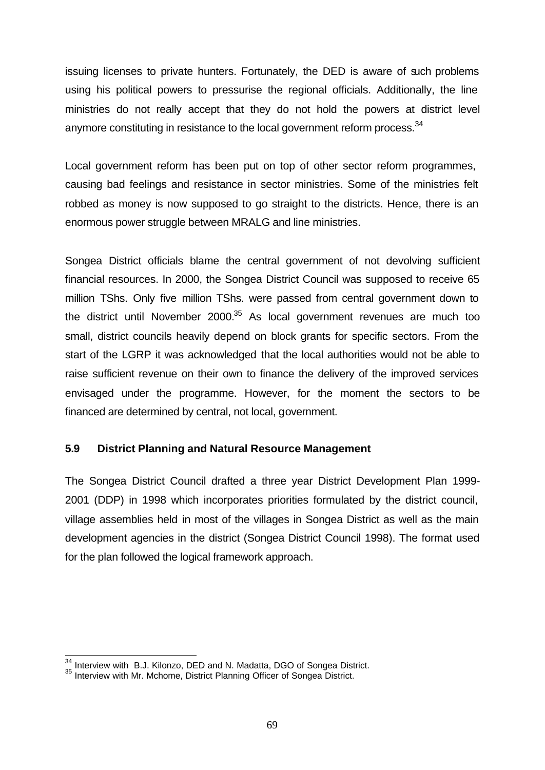issuing licenses to private hunters. Fortunately, the DED is aware of such problems using his political powers to pressurise the regional officials. Additionally, the line ministries do not really accept that they do not hold the powers at district level anymore constituting in resistance to the local government reform process. $34$ 

Local government reform has been put on top of other sector reform programmes, causing bad feelings and resistance in sector ministries. Some of the ministries felt robbed as money is now supposed to go straight to the districts. Hence, there is an enormous power struggle between MRALG and line ministries.

Songea District officials blame the central government of not devolving sufficient financial resources. In 2000, the Songea District Council was supposed to receive 65 million TShs. Only five million TShs. were passed from central government down to the district until November 2000. $35$  As local government revenues are much too small, district councils heavily depend on block grants for specific sectors. From the start of the LGRP it was acknowledged that the local authorities would not be able to raise sufficient revenue on their own to finance the delivery of the improved services envisaged under the programme. However, for the moment the sectors to be financed are determined by central, not local, government.

#### **5.9 District Planning and Natural Resource Management**

The Songea District Council drafted a three year District Development Plan 1999- 2001 (DDP) in 1998 which incorporates priorities formulated by the district council, village assemblies held in most of the villages in Songea District as well as the main development agencies in the district (Songea District Council 1998). The format used for the plan followed the logical framework approach.

 $\overline{\phantom{a}}$ 

 $^{34}_{2}$  Interview with B.J. Kilonzo, DED and N. Madatta, DGO of Songea District.

<sup>35</sup> Interview with Mr. Mchome, District Planning Officer of Songea District.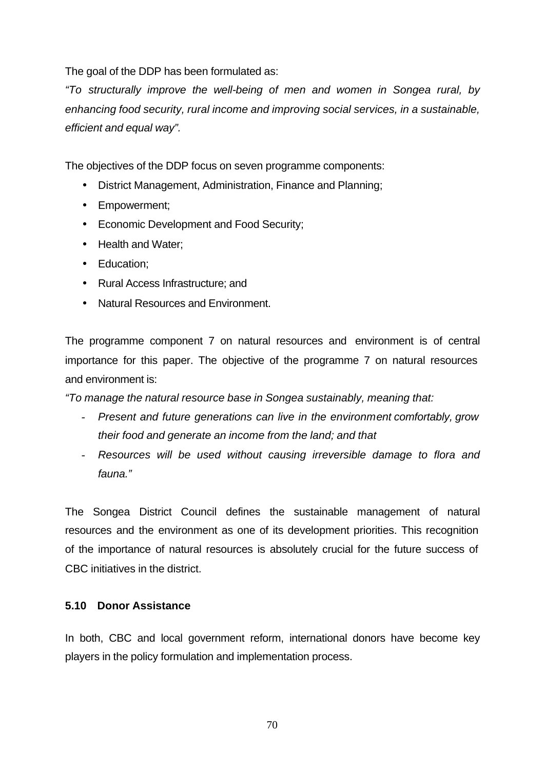The goal of the DDP has been formulated as:

*"To structurally improve the well-being of men and women in Songea rural, by enhancing food security, rural income and improving social services, in a sustainable, efficient and equal way".* 

The objectives of the DDP focus on seven programme components:

- District Management, Administration, Finance and Planning;
- Empowerment;
- Economic Development and Food Security;
- Health and Water:
- Education;
- Rural Access Infrastructure; and
- Natural Resources and Environment.

The programme component 7 on natural resources and environment is of central importance for this paper. The objective of the programme 7 on natural resources and environment is:

*"To manage the natural resource base in Songea sustainably, meaning that:*

- *Present and future generations can live in the environment comfortably, grow their food and generate an income from the land; and that*
- *Resources will be used without causing irreversible damage to flora and fauna."*

The Songea District Council defines the sustainable management of natural resources and the environment as one of its development priorities. This recognition of the importance of natural resources is absolutely crucial for the future success of CBC initiatives in the district.

#### **5.10 Donor Assistance**

In both, CBC and local government reform, international donors have become key players in the policy formulation and implementation process.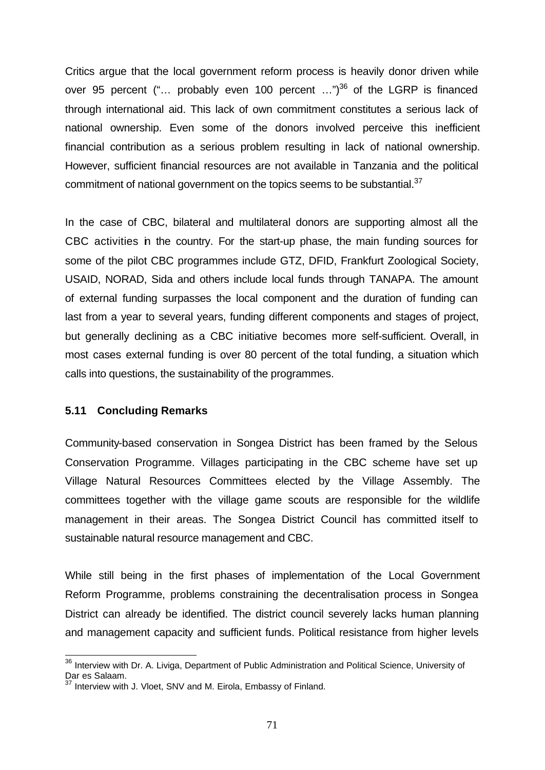Critics argue that the local government reform process is heavily donor driven while over 95 percent ("... probably even 100 percent ...")<sup>36</sup> of the LGRP is financed through international aid. This lack of own commitment constitutes a serious lack of national ownership. Even some of the donors involved perceive this inefficient financial contribution as a serious problem resulting in lack of national ownership. However, sufficient financial resources are not available in Tanzania and the political commitment of national government on the topics seems to be substantial.<sup>37</sup>

In the case of CBC, bilateral and multilateral donors are supporting almost all the CBC activities in the country. For the start-up phase, the main funding sources for some of the pilot CBC programmes include GTZ, DFID, Frankfurt Zoological Society, USAID, NORAD, Sida and others include local funds through TANAPA. The amount of external funding surpasses the local component and the duration of funding can last from a year to several years, funding different components and stages of project, but generally declining as a CBC initiative becomes more self-sufficient. Overall, in most cases external funding is over 80 percent of the total funding, a situation which calls into questions, the sustainability of the programmes.

#### **5.11 Concluding Remarks**

 $\overline{\phantom{a}}$ 

Community-based conservation in Songea District has been framed by the Selous Conservation Programme. Villages participating in the CBC scheme have set up Village Natural Resources Committees elected by the Village Assembly. The committees together with the village game scouts are responsible for the wildlife management in their areas. The Songea District Council has committed itself to sustainable natural resource management and CBC.

While still being in the first phases of implementation of the Local Government Reform Programme, problems constraining the decentralisation process in Songea District can already be identified. The district council severely lacks human planning and management capacity and sufficient funds. Political resistance from higher levels

<sup>&</sup>lt;sup>36</sup> Interview with Dr. A. Liviga, Department of Public Administration and Political Science, University of Dar es Salaam.

 $37$  Interview with J. Vloet, SNV and M. Eirola, Embassy of Finland.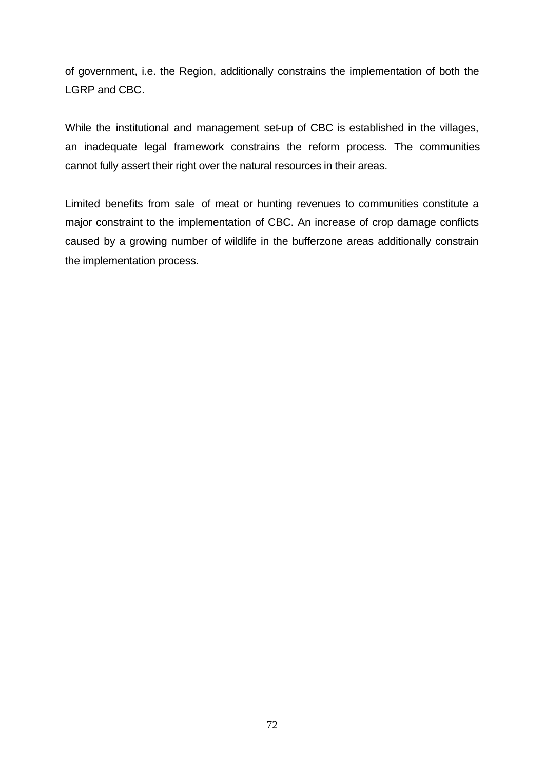of government, i.e. the Region, additionally constrains the implementation of both the LGRP and CBC.

While the institutional and management set-up of CBC is established in the villages, an inadequate legal framework constrains the reform process. The communities cannot fully assert their right over the natural resources in their areas.

Limited benefits from sale of meat or hunting revenues to communities constitute a major constraint to the implementation of CBC. An increase of crop damage conflicts caused by a growing number of wildlife in the bufferzone areas additionally constrain the implementation process.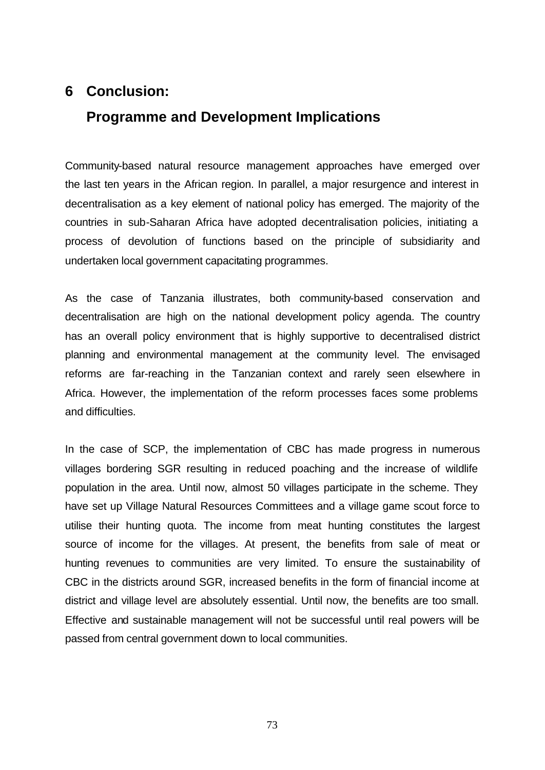# **6 Conclusion:**

# **Programme and Development Implications**

Community-based natural resource management approaches have emerged over the last ten years in the African region. In parallel, a major resurgence and interest in decentralisation as a key element of national policy has emerged. The majority of the countries in sub-Saharan Africa have adopted decentralisation policies, initiating a process of devolution of functions based on the principle of subsidiarity and undertaken local government capacitating programmes.

As the case of Tanzania illustrates, both community-based conservation and decentralisation are high on the national development policy agenda. The country has an overall policy environment that is highly supportive to decentralised district planning and environmental management at the community level. The envisaged reforms are far-reaching in the Tanzanian context and rarely seen elsewhere in Africa. However, the implementation of the reform processes faces some problems and difficulties.

In the case of SCP, the implementation of CBC has made progress in numerous villages bordering SGR resulting in reduced poaching and the increase of wildlife population in the area. Until now, almost 50 villages participate in the scheme. They have set up Village Natural Resources Committees and a village game scout force to utilise their hunting quota. The income from meat hunting constitutes the largest source of income for the villages. At present, the benefits from sale of meat or hunting revenues to communities are very limited. To ensure the sustainability of CBC in the districts around SGR, increased benefits in the form of financial income at district and village level are absolutely essential. Until now, the benefits are too small. Effective and sustainable management will not be successful until real powers will be passed from central government down to local communities.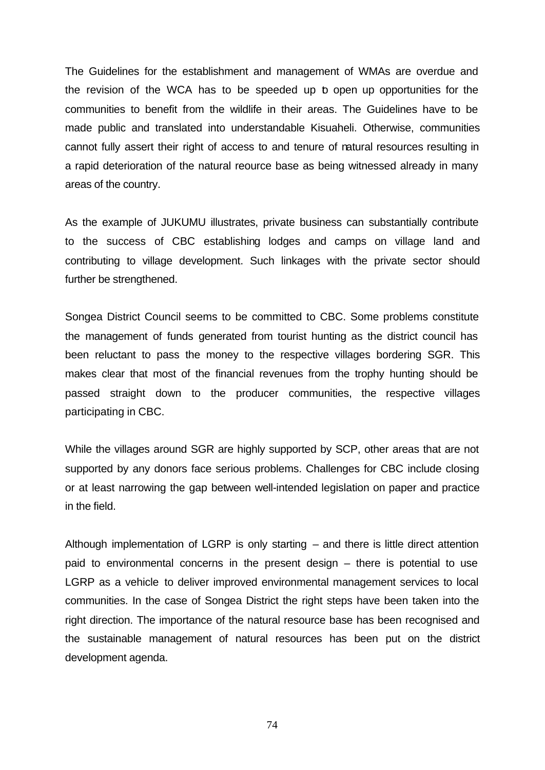The Guidelines for the establishment and management of WMAs are overdue and the revision of the WCA has to be speeded up to open up opportunities for the communities to benefit from the wildlife in their areas. The Guidelines have to be made public and translated into understandable Kisuaheli. Otherwise, communities cannot fully assert their right of access to and tenure of natural resources resulting in a rapid deterioration of the natural reource base as being witnessed already in many areas of the country.

As the example of JUKUMU illustrates, private business can substantially contribute to the success of CBC establishing lodges and camps on village land and contributing to village development. Such linkages with the private sector should further be strengthened.

Songea District Council seems to be committed to CBC. Some problems constitute the management of funds generated from tourist hunting as the district council has been reluctant to pass the money to the respective villages bordering SGR. This makes clear that most of the financial revenues from the trophy hunting should be passed straight down to the producer communities, the respective villages participating in CBC.

While the villages around SGR are highly supported by SCP, other areas that are not supported by any donors face serious problems. Challenges for CBC include closing or at least narrowing the gap between well-intended legislation on paper and practice in the field.

Although implementation of LGRP is only starting – and there is little direct attention paid to environmental concerns in the present design – there is potential to use LGRP as a vehicle to deliver improved environmental management services to local communities. In the case of Songea District the right steps have been taken into the right direction. The importance of the natural resource base has been recognised and the sustainable management of natural resources has been put on the district development agenda.

74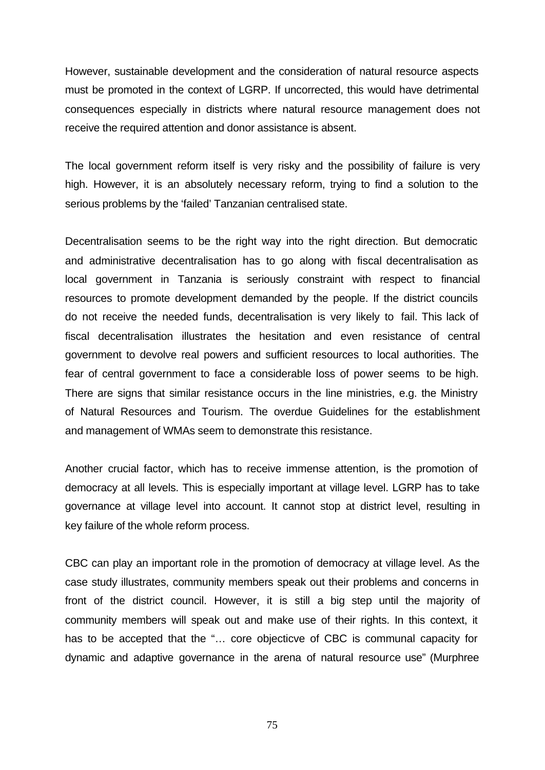However, sustainable development and the consideration of natural resource aspects must be promoted in the context of LGRP. If uncorrected, this would have detrimental consequences especially in districts where natural resource management does not receive the required attention and donor assistance is absent.

The local government reform itself is very risky and the possibility of failure is very high. However, it is an absolutely necessary reform, trying to find a solution to the serious problems by the 'failed' Tanzanian centralised state.

Decentralisation seems to be the right way into the right direction. But democratic and administrative decentralisation has to go along with fiscal decentralisation as local government in Tanzania is seriously constraint with respect to financial resources to promote development demanded by the people. If the district councils do not receive the needed funds, decentralisation is very likely to fail. This lack of fiscal decentralisation illustrates the hesitation and even resistance of central government to devolve real powers and sufficient resources to local authorities. The fear of central government to face a considerable loss of power seems to be high. There are signs that similar resistance occurs in the line ministries, e.g. the Ministry of Natural Resources and Tourism. The overdue Guidelines for the establishment and management of WMAs seem to demonstrate this resistance.

Another crucial factor, which has to receive immense attention, is the promotion of democracy at all levels. This is especially important at village level. LGRP has to take governance at village level into account. It cannot stop at district level, resulting in key failure of the whole reform process.

CBC can play an important role in the promotion of democracy at village level. As the case study illustrates, community members speak out their problems and concerns in front of the district council. However, it is still a big step until the majority of community members will speak out and make use of their rights. In this context, it has to be accepted that the "… core objecticve of CBC is communal capacity for dynamic and adaptive governance in the arena of natural resource use" (Murphree

75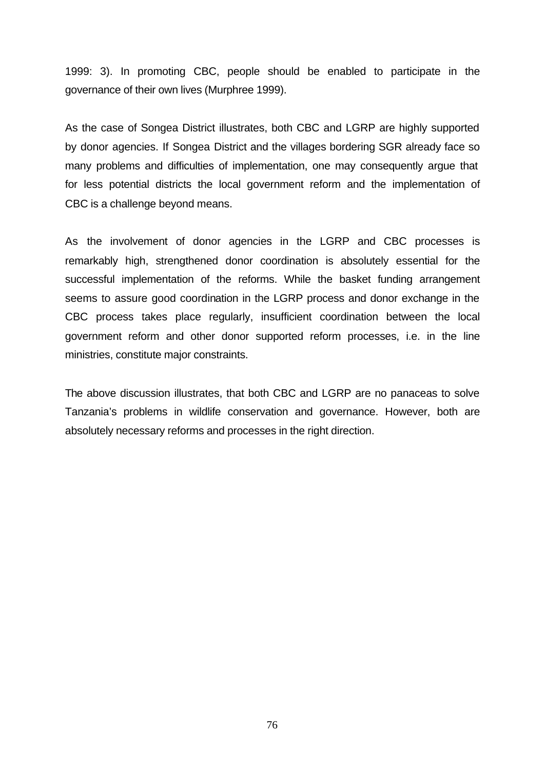1999: 3). In promoting CBC, people should be enabled to participate in the governance of their own lives (Murphree 1999).

As the case of Songea District illustrates, both CBC and LGRP are highly supported by donor agencies. If Songea District and the villages bordering SGR already face so many problems and difficulties of implementation, one may consequently argue that for less potential districts the local government reform and the implementation of CBC is a challenge beyond means.

As the involvement of donor agencies in the LGRP and CBC processes is remarkably high, strengthened donor coordination is absolutely essential for the successful implementation of the reforms. While the basket funding arrangement seems to assure good coordination in the LGRP process and donor exchange in the CBC process takes place regularly, insufficient coordination between the local government reform and other donor supported reform processes, i.e. in the line ministries, constitute major constraints.

The above discussion illustrates, that both CBC and LGRP are no panaceas to solve Tanzania's problems in wildlife conservation and governance. However, both are absolutely necessary reforms and processes in the right direction.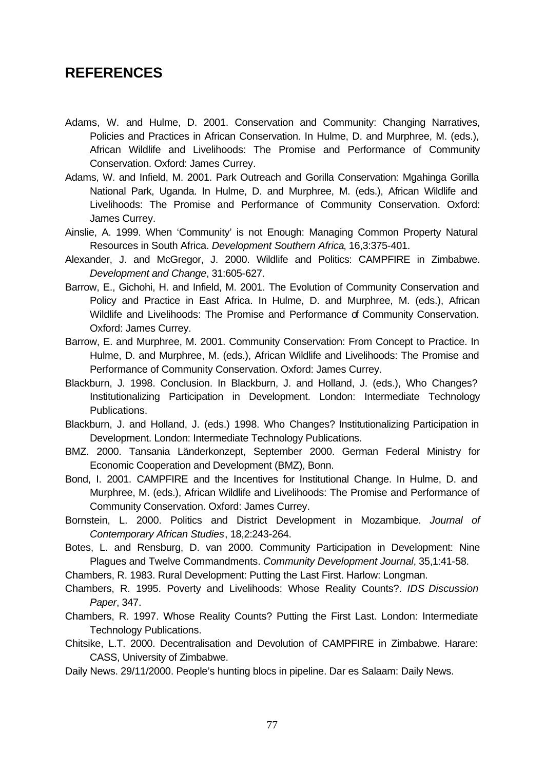# **REFERENCES**

- Adams, W. and Hulme, D. 2001. Conservation and Community: Changing Narratives, Policies and Practices in African Conservation. In Hulme, D. and Murphree, M. (eds.), African Wildlife and Livelihoods: The Promise and Performance of Community Conservation. Oxford: James Currey.
- Adams, W. and Infield, M. 2001. Park Outreach and Gorilla Conservation: Mgahinga Gorilla National Park, Uganda. In Hulme, D. and Murphree, M. (eds.), African Wildlife and Livelihoods: The Promise and Performance of Community Conservation. Oxford: James Currey.
- Ainslie, A. 1999. When 'Community' is not Enough: Managing Common Property Natural Resources in South Africa. *Development Southern Africa*, 16,3:375-401.
- Alexander, J. and McGregor, J. 2000. Wildlife and Politics: CAMPFIRE in Zimbabwe. *Development and Change*, 31:605-627.
- Barrow, E., Gichohi, H. and Infield, M. 2001. The Evolution of Community Conservation and Policy and Practice in East Africa. In Hulme, D. and Murphree, M. (eds.), African Wildlife and Livelihoods: The Promise and Performance of Community Conservation. Oxford: James Currey.
- Barrow, E. and Murphree, M. 2001. Community Conservation: From Concept to Practice. In Hulme, D. and Murphree, M. (eds.), African Wildlife and Livelihoods: The Promise and Performance of Community Conservation. Oxford: James Currey.
- Blackburn, J. 1998. Conclusion. In Blackburn, J. and Holland, J. (eds.), Who Changes? Institutionalizing Participation in Development. London: Intermediate Technology Publications.
- Blackburn, J. and Holland, J. (eds.) 1998. Who Changes? Institutionalizing Participation in Development. London: Intermediate Technology Publications.
- BMZ. 2000. Tansania Länderkonzept, September 2000. German Federal Ministry for Economic Cooperation and Development (BMZ), Bonn.
- Bond, I. 2001. CAMPFIRE and the Incentives for Institutional Change. In Hulme, D. and Murphree, M. (eds.), African Wildlife and Livelihoods: The Promise and Performance of Community Conservation. Oxford: James Currey.
- Bornstein, L. 2000. Politics and District Development in Mozambique. *Journal of Contemporary African Studies*, 18,2:243-264.
- Botes, L. and Rensburg, D. van 2000. Community Participation in Development: Nine Plagues and Twelve Commandments. *Community Development Journal*, 35,1:41-58.
- Chambers, R. 1983. Rural Development: Putting the Last First. Harlow: Longman.
- Chambers, R. 1995. Poverty and Livelihoods: Whose Reality Counts?. *IDS Discussion Paper*, 347.
- Chambers, R. 1997. Whose Reality Counts? Putting the First Last. London: Intermediate Technology Publications.
- Chitsike, L.T. 2000. Decentralisation and Devolution of CAMPFIRE in Zimbabwe. Harare: CASS, University of Zimbabwe.
- Daily News. 29/11/2000. People's hunting blocs in pipeline. Dar es Salaam: Daily News.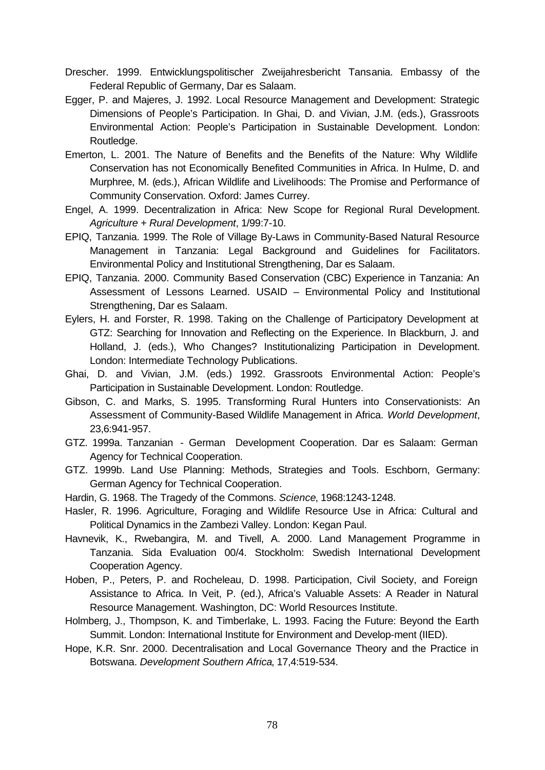- Drescher. 1999. Entwicklungspolitischer Zweijahresbericht Tansania. Embassy of the Federal Republic of Germany, Dar es Salaam.
- Egger, P. and Majeres, J. 1992. Local Resource Management and Development: Strategic Dimensions of People's Participation. In Ghai, D. and Vivian, J.M. (eds.), Grassroots Environmental Action: People's Participation in Sustainable Development. London: Routledge.
- Emerton, L. 2001. The Nature of Benefits and the Benefits of the Nature: Why Wildlife Conservation has not Economically Benefited Communities in Africa. In Hulme, D. and Murphree, M. (eds.), African Wildlife and Livelihoods: The Promise and Performance of Community Conservation. Oxford: James Currey.
- Engel, A. 1999. Decentralization in Africa: New Scope for Regional Rural Development. *Agriculture + Rural Development*, 1/99:7-10.
- EPIQ, Tanzania. 1999. The Role of Village By-Laws in Community-Based Natural Resource Management in Tanzania: Legal Background and Guidelines for Facilitators. Environmental Policy and Institutional Strengthening, Dar es Salaam.
- EPIQ, Tanzania. 2000. Community Based Conservation (CBC) Experience in Tanzania: An Assessment of Lessons Learned. USAID – Environmental Policy and Institutional Strengthening, Dar es Salaam.
- Eylers, H. and Forster, R. 1998. Taking on the Challenge of Participatory Development at GTZ: Searching for Innovation and Reflecting on the Experience. In Blackburn, J. and Holland, J. (eds.), Who Changes? Institutionalizing Participation in Development. London: Intermediate Technology Publications.
- Ghai, D. and Vivian, J.M. (eds.) 1992. Grassroots Environmental Action: People's Participation in Sustainable Development. London: Routledge.
- Gibson, C. and Marks, S. 1995. Transforming Rural Hunters into Conservationists: An Assessment of Community-Based Wildlife Management in Africa. *World Development*, 23,6:941-957.
- GTZ. 1999a. Tanzanian German Development Cooperation. Dar es Salaam: German Agency for Technical Cooperation.
- GTZ. 1999b. Land Use Planning: Methods, Strategies and Tools. Eschborn, Germany: German Agency for Technical Cooperation.
- Hardin, G. 1968. The Tragedy of the Commons. *Science*, 1968:1243-1248.
- Hasler, R. 1996. Agriculture, Foraging and Wildlife Resource Use in Africa: Cultural and Political Dynamics in the Zambezi Valley. London: Kegan Paul.
- Havnevik, K., Rwebangira, M. and Tivell, A. 2000. Land Management Programme in Tanzania. Sida Evaluation 00/4. Stockholm: Swedish International Development Cooperation Agency.
- Hoben, P., Peters, P. and Rocheleau, D. 1998. Participation, Civil Society, and Foreign Assistance to Africa. In Veit, P. (ed.), Africa's Valuable Assets: A Reader in Natural Resource Management. Washington, DC: World Resources Institute.
- Holmberg, J., Thompson, K. and Timberlake, L. 1993. Facing the Future: Beyond the Earth Summit. London: International Institute for Environment and Develop-ment (IIED).
- Hope, K.R. Snr. 2000. Decentralisation and Local Governance Theory and the Practice in Botswana. *Development Southern Africa*, 17,4:519-534.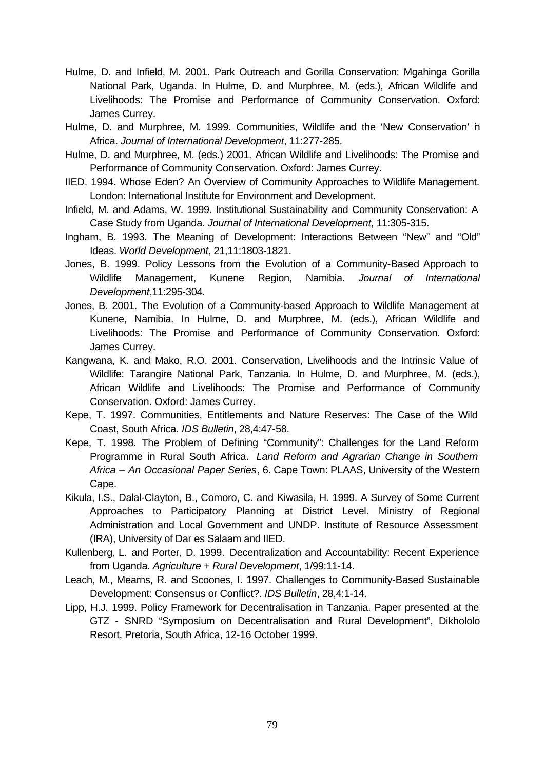- Hulme, D. and Infield, M. 2001. Park Outreach and Gorilla Conservation: Mgahinga Gorilla National Park, Uganda. In Hulme, D. and Murphree, M. (eds.), African Wildlife and Livelihoods: The Promise and Performance of Community Conservation. Oxford: James Currey.
- Hulme, D. and Murphree, M. 1999. Communities, Wildlife and the 'New Conservation' in Africa. *Journal of International Development*, 11:277-285.
- Hulme, D. and Murphree, M. (eds.) 2001. African Wildlife and Livelihoods: The Promise and Performance of Community Conservation. Oxford: James Currey.
- IIED. 1994. Whose Eden? An Overview of Community Approaches to Wildlife Management. London: International Institute for Environment and Development.
- Infield, M. and Adams, W. 1999. Institutional Sustainability and Community Conservation: A Case Study from Uganda. *Journal of International Development*, 11:305-315.
- Ingham, B. 1993. The Meaning of Development: Interactions Between "New" and "Old" Ideas. *World Development*, 21,11:1803-1821.
- Jones, B. 1999. Policy Lessons from the Evolution of a Community-Based Approach to Wildlife Management, Kunene Region, Namibia. *Journal of International Development*,11:295-304.
- Jones, B. 2001. The Evolution of a Community-based Approach to Wildlife Management at Kunene, Namibia. In Hulme, D. and Murphree, M. (eds.), African Wildlife and Livelihoods: The Promise and Performance of Community Conservation. Oxford: James Currey.
- Kangwana, K. and Mako, R.O. 2001. Conservation, Livelihoods and the Intrinsic Value of Wildlife: Tarangire National Park, Tanzania. In Hulme, D. and Murphree, M. (eds.), African Wildlife and Livelihoods: The Promise and Performance of Community Conservation. Oxford: James Currey.
- Kepe, T. 1997. Communities, Entitlements and Nature Reserves: The Case of the Wild Coast, South Africa. *IDS Bulletin*, 28,4:47-58.
- Kepe, T. 1998. The Problem of Defining "Community": Challenges for the Land Reform Programme in Rural South Africa. *Land Reform and Agrarian Change in Southern Africa – An Occasional Paper Series*, 6. Cape Town: PLAAS, University of the Western Cape.
- Kikula, I.S., Dalal-Clayton, B., Comoro, C. and Kiwasila, H. 1999. A Survey of Some Current Approaches to Participatory Planning at District Level. Ministry of Regional Administration and Local Government and UNDP. Institute of Resource Assessment (IRA), University of Dar es Salaam and IIED.
- Kullenberg, L. and Porter, D. 1999. Decentralization and Accountability: Recent Experience from Uganda. *Agriculture + Rural Development*, 1/99:11-14.
- Leach, M., Mearns, R. and Scoones, I. 1997. Challenges to Community-Based Sustainable Development: Consensus or Conflict?. *IDS Bulletin*, 28,4:1-14.
- Lipp, H.J. 1999. Policy Framework for Decentralisation in Tanzania. Paper presented at the GTZ - SNRD "Symposium on Decentralisation and Rural Development", Dikhololo Resort, Pretoria, South Africa, 12-16 October 1999.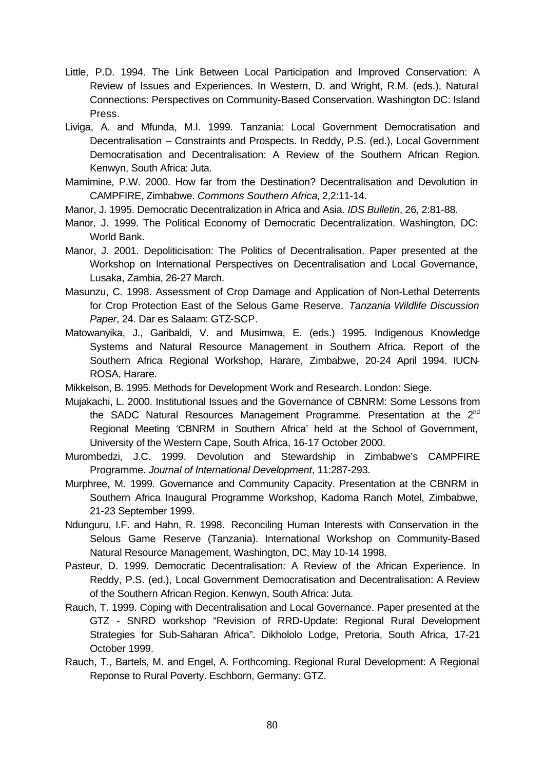- Little, P.D. 1994. The Link Between Local Participation and Improved Conservation: A Review of Issues and Experiences. In Western, D. and Wright, R.M. (eds.), Natural Connections: Perspectives on Community-Based Conservation. Washington DC: Island Press.
- Liviga, A. and Mfunda, M.I. 1999. Tanzania: Local Government Democratisation and Decentralisation – Constraints and Prospects. In Reddy, P.S. (ed.), Local Government Democratisation and Decentralisation: A Review of the Southern African Region. Kenwyn, South Africa: Juta.
- Mamimine, P.W. 2000. How far from the Destination? Decentralisation and Devolution in CAMPFIRE, Zimbabwe. *Commons Southern Africa*, 2,2:11-14.
- Manor, J. 1995. Democratic Decentralization in Africa and Asia. *IDS Bulletin*, 26, 2:81-88.
- Manor, J. 1999. The Political Economy of Democratic Decentralization. Washington, DC: World Bank.
- Manor, J. 2001. Depoliticisation: The Politics of Decentralisation. Paper presented at the Workshop on International Perspectives on Decentralisation and Local Governance, Lusaka, Zambia, 26-27 March.
- Masunzu, C. 1998. Assessment of Crop Damage and Application of Non-Lethal Deterrents for Crop Protection East of the Selous Game Reserve. *Tanzania Wildlife Discussion Paper*, 24. Dar es Salaam: GTZ-SCP.
- Matowanyika, J., Garibaldi, V. and Musimwa, E. (eds.) 1995. Indigenous Knowledge Systems and Natural Resource Management in Southern Africa. Report of the Southern Africa Regional Workshop, Harare, Zimbabwe, 20-24 April 1994. IUCN-ROSA, Harare.
- Mikkelson, B. 1995. Methods for Development Work and Research. London: Siege.
- Mujakachi, L. 2000. Institutional Issues and the Governance of CBNRM: Some Lessons from the SADC Natural Resources Management Programme. Presentation at the  $2^{nd}$ Regional Meeting 'CBNRM in Southern Africa' held at the School of Government, University of the Western Cape, South Africa, 16-17 October 2000.
- Murombedzi, J.C. 1999. Devolution and Stewardship in Zimbabwe's CAMPFIRE Programme. *Journal of International Development*, 11:287-293.
- Murphree, M. 1999. Governance and Community Capacity. Presentation at the CBNRM in Southern Africa Inaugural Programme Workshop, Kadoma Ranch Motel, Zimbabwe, 21-23 September 1999.
- Ndunguru, I.F. and Hahn, R. 1998. Reconciling Human Interests with Conservation in the Selous Game Reserve (Tanzania). International Workshop on Community-Based Natural Resource Management, Washington, DC, May 10-14 1998.
- Pasteur, D. 1999. Democratic Decentralisation: A Review of the African Experience. In Reddy, P.S. (ed.), Local Government Democratisation and Decentralisation: A Review of the Southern African Region. Kenwyn, South Africa: Juta.
- Rauch, T. 1999. Coping with Decentralisation and Local Governance. Paper presented at the GTZ - SNRD workshop "Revision of RRD-Update: Regional Rural Development Strategies for Sub-Saharan Africa". Dikhololo Lodge, Pretoria, South Africa, 17-21 October 1999.
- Rauch, T., Bartels, M. and Engel, A. Forthcoming. Regional Rural Development: A Regional Reponse to Rural Poverty. Eschborn, Germany: GTZ.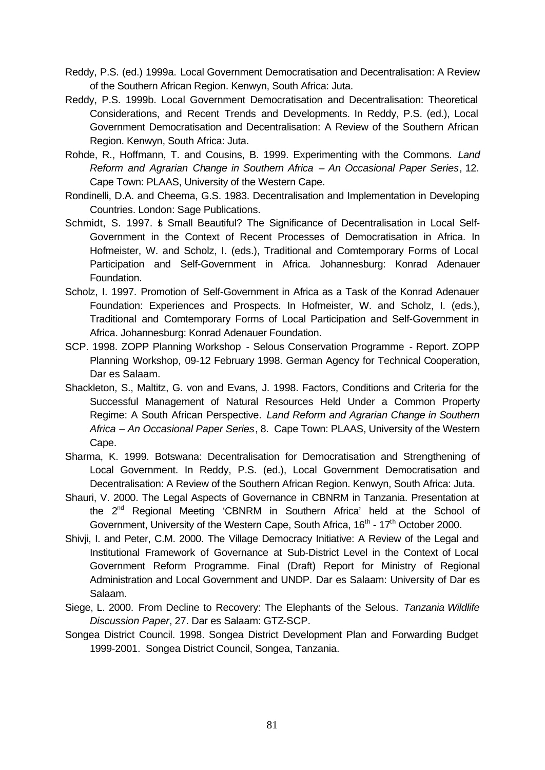- Reddy, P.S. (ed.) 1999a. Local Government Democratisation and Decentralisation: A Review of the Southern African Region. Kenwyn, South Africa: Juta.
- Reddy, P.S. 1999b. Local Government Democratisation and Decentralisation: Theoretical Considerations, and Recent Trends and Developments. In Reddy, P.S. (ed.), Local Government Democratisation and Decentralisation: A Review of the Southern African Region. Kenwyn, South Africa: Juta.
- Rohde, R., Hoffmann, T. and Cousins, B. 1999. Experimenting with the Commons. *Land Reform and Agrarian Change in Southern Africa – An Occasional Paper Series*, 12. Cape Town: PLAAS, University of the Western Cape.
- Rondinelli, D.A. and Cheema, G.S. 1983. Decentralisation and Implementation in Developing Countries. London: Sage Publications.
- Schmidt, S. 1997.  $\frac{1}{5}$  Small Beautiful? The Significance of Decentralisation in Local Self-Government in the Context of Recent Processes of Democratisation in Africa. In Hofmeister, W. and Scholz, I. (eds.), Traditional and Comtemporary Forms of Local Participation and Self-Government in Africa. Johannesburg: Konrad Adenauer Foundation.
- Scholz, I. 1997. Promotion of Self-Government in Africa as a Task of the Konrad Adenauer Foundation: Experiences and Prospects. In Hofmeister, W. and Scholz, I. (eds.), Traditional and Comtemporary Forms of Local Participation and Self-Government in Africa. Johannesburg: Konrad Adenauer Foundation.
- SCP. 1998. ZOPP Planning Workshop Selous Conservation Programme Report. ZOPP Planning Workshop, 09-12 February 1998. German Agency for Technical Cooperation, Dar es Salaam.
- Shackleton, S., Maltitz, G. von and Evans, J. 1998. Factors, Conditions and Criteria for the Successful Management of Natural Resources Held Under a Common Property Regime: A South African Perspective. *Land Reform and Agrarian Change in Southern Africa – An Occasional Paper Series*, 8. Cape Town: PLAAS, University of the Western Cape.
- Sharma, K. 1999. Botswana: Decentralisation for Democratisation and Strengthening of Local Government. In Reddy, P.S. (ed.), Local Government Democratisation and Decentralisation: A Review of the Southern African Region. Kenwyn, South Africa: Juta.
- Shauri, V. 2000. The Legal Aspects of Governance in CBNRM in Tanzania. Presentation at the 2<sup>nd</sup> Regional Meeting 'CBNRM in Southern Africa' held at the School of Government, University of the Western Cape, South Africa, 16<sup>th</sup> - 17<sup>th</sup> October 2000.
- Shivji, I. and Peter, C.M. 2000. The Village Democracy Initiative: A Review of the Legal and Institutional Framework of Governance at Sub-District Level in the Context of Local Government Reform Programme. Final (Draft) Report for Ministry of Regional Administration and Local Government and UNDP. Dar es Salaam: University of Dar es Salaam.
- Siege, L. 2000. From Decline to Recovery: The Elephants of the Selous. *Tanzania Wildlife Discussion Paper*, 27. Dar es Salaam: GTZ-SCP.
- Songea District Council. 1998. Songea District Development Plan and Forwarding Budget 1999-2001. Songea District Council, Songea, Tanzania.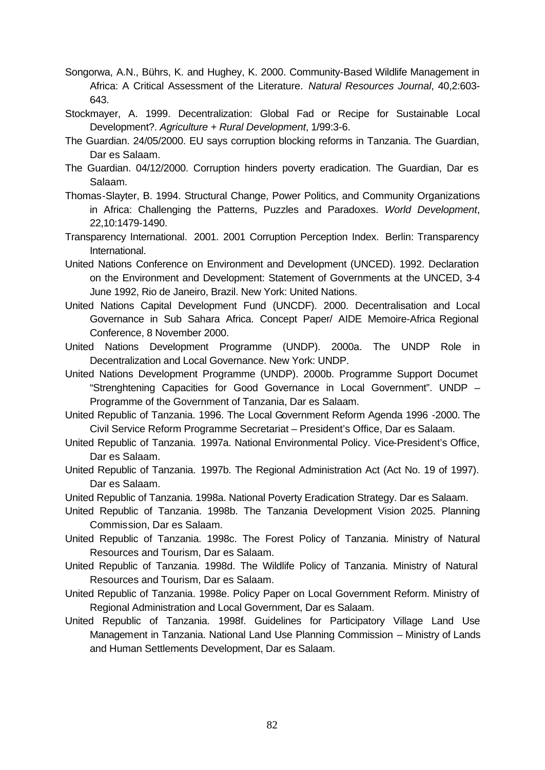- Songorwa, A.N., Bührs, K. and Hughey, K. 2000. Community-Based Wildlife Management in Africa: A Critical Assessment of the Literature. *Natural Resources Journal*, 40,2:603- 643.
- Stockmayer, A. 1999. Decentralization: Global Fad or Recipe for Sustainable Local Development?. *Agriculture + Rural Development*, 1/99:3-6.
- The Guardian. 24/05/2000. EU says corruption blocking reforms in Tanzania. The Guardian, Dar es Salaam.
- The Guardian. 04/12/2000. Corruption hinders poverty eradication. The Guardian, Dar es Salaam.
- Thomas-Slayter, B. 1994. Structural Change, Power Politics, and Community Organizations in Africa: Challenging the Patterns, Puzzles and Paradoxes. *World Development*, 22,10:1479-1490.
- Transparency International. 2001. 2001 Corruption Perception Index. Berlin: Transparency International.
- United Nations Conference on Environment and Development (UNCED). 1992. Declaration on the Environment and Development: Statement of Governments at the UNCED, 3-4 June 1992, Rio de Janeiro, Brazil. New York: United Nations.
- United Nations Capital Development Fund (UNCDF). 2000. Decentralisation and Local Governance in Sub Sahara Africa. Concept Paper/ AIDE Memoire-Africa Regional Conference, 8 November 2000.
- United Nations Development Programme (UNDP). 2000a. The UNDP Role in Decentralization and Local Governance. New York: UNDP.
- United Nations Development Programme (UNDP). 2000b. Programme Support Documet "Strenghtening Capacities for Good Governance in Local Government". UNDP – Programme of the Government of Tanzania, Dar es Salaam.
- United Republic of Tanzania. 1996. The Local Government Reform Agenda 1996 -2000. The Civil Service Reform Programme Secretariat – President's Office, Dar es Salaam.
- United Republic of Tanzania. 1997a. National Environmental Policy. Vice-President's Office, Dar es Salaam.
- United Republic of Tanzania. 1997b. The Regional Administration Act (Act No. 19 of 1997). Dar es Salaam.
- United Republic of Tanzania. 1998a. National Poverty Eradication Strategy. Dar es Salaam.
- United Republic of Tanzania. 1998b. The Tanzania Development Vision 2025. Planning Commission, Dar es Salaam.
- United Republic of Tanzania. 1998c. The Forest Policy of Tanzania. Ministry of Natural Resources and Tourism, Dar es Salaam.
- United Republic of Tanzania. 1998d. The Wildlife Policy of Tanzania. Ministry of Natural Resources and Tourism, Dar es Salaam.
- United Republic of Tanzania. 1998e. Policy Paper on Local Government Reform. Ministry of Regional Administration and Local Government, Dar es Salaam.
- United Republic of Tanzania. 1998f. Guidelines for Participatory Village Land Use Management in Tanzania. National Land Use Planning Commission – Ministry of Lands and Human Settlements Development, Dar es Salaam.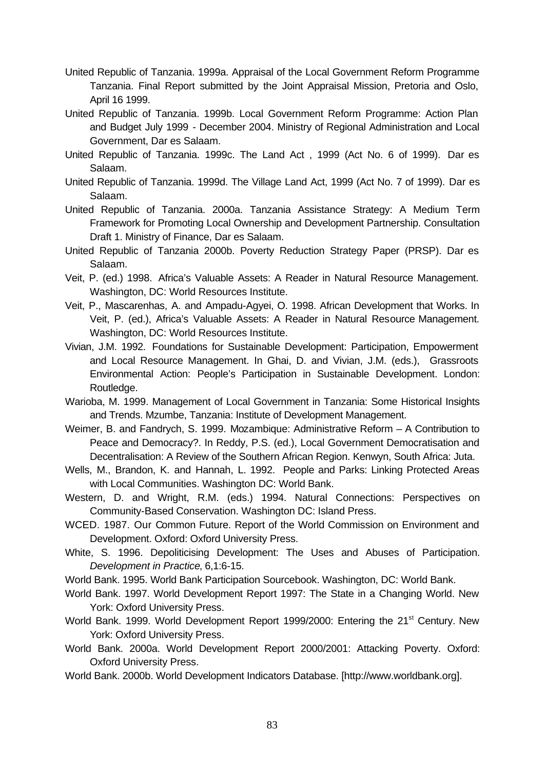- United Republic of Tanzania. 1999a. Appraisal of the Local Government Reform Programme Tanzania. Final Report submitted by the Joint Appraisal Mission, Pretoria and Oslo, April 16 1999.
- United Republic of Tanzania. 1999b. Local Government Reform Programme: Action Plan and Budget July 1999 - December 2004. Ministry of Regional Administration and Local Government, Dar es Salaam.
- United Republic of Tanzania. 1999c. The Land Act , 1999 (Act No. 6 of 1999). Dar es Salaam.
- United Republic of Tanzania. 1999d. The Village Land Act, 1999 (Act No. 7 of 1999). Dar es Salaam.
- United Republic of Tanzania. 2000a. Tanzania Assistance Strategy: A Medium Term Framework for Promoting Local Ownership and Development Partnership. Consultation Draft 1. Ministry of Finance, Dar es Salaam.
- United Republic of Tanzania 2000b. Poverty Reduction Strategy Paper (PRSP). Dar es Salaam.
- Veit, P. (ed.) 1998. Africa's Valuable Assets: A Reader in Natural Resource Management. Washington, DC: World Resources Institute.
- Veit, P., Mascarenhas, A. and Ampadu-Agyei, O. 1998. African Development that Works. In Veit, P. (ed.), Africa's Valuable Assets: A Reader in Natural Resource Management. Washington, DC: World Resources Institute.
- Vivian, J.M. 1992. Foundations for Sustainable Development: Participation, Empowerment and Local Resource Management. In Ghai, D. and Vivian, J.M. (eds.), Grassroots Environmental Action: People's Participation in Sustainable Development. London: Routledge.
- Warioba, M. 1999. Management of Local Government in Tanzania: Some Historical Insights and Trends. Mzumbe, Tanzania: Institute of Development Management.
- Weimer, B. and Fandrych, S. 1999. Mozambique: Administrative Reform A Contribution to Peace and Democracy?. In Reddy, P.S. (ed.), Local Government Democratisation and Decentralisation: A Review of the Southern African Region. Kenwyn, South Africa: Juta.
- Wells, M., Brandon, K. and Hannah, L. 1992. People and Parks: Linking Protected Areas with Local Communities. Washington DC: World Bank.
- Western, D. and Wright, R.M. (eds.) 1994. Natural Connections: Perspectives on Community-Based Conservation. Washington DC: Island Press.
- WCED. 1987. Our Common Future. Report of the World Commission on Environment and Development. Oxford: Oxford University Press.
- White, S. 1996. Depoliticising Development: The Uses and Abuses of Participation. *Development in Practice*, 6,1:6-15.
- World Bank. 1995. World Bank Participation Sourcebook. Washington, DC: World Bank.
- World Bank. 1997. World Development Report 1997: The State in a Changing World. New York: Oxford University Press.
- World Bank. 1999. World Development Report 1999/2000: Entering the 21<sup>st</sup> Century. New York: Oxford University Press.
- World Bank. 2000a. World Development Report 2000/2001: Attacking Poverty. Oxford: Oxford University Press.
- World Bank. 2000b. World Development Indicators Database. [http://www.worldbank.org].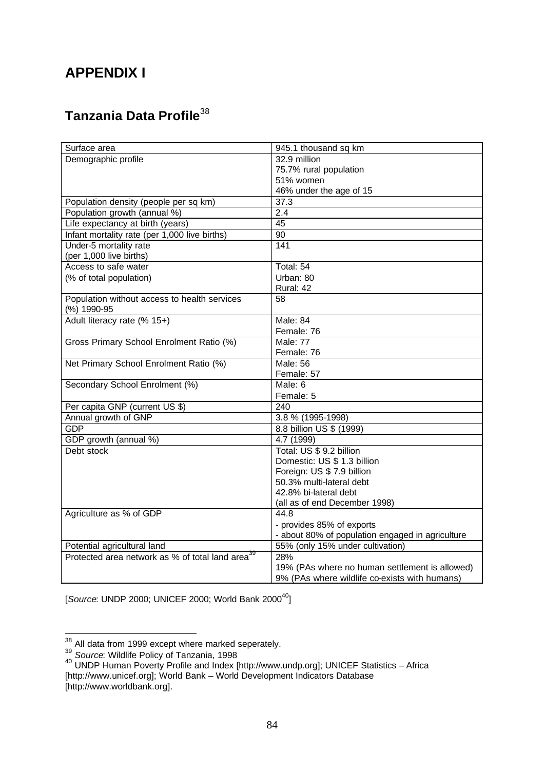# **APPENDIX I**

# **Tanzania Data Profile**<sup>38</sup>

| Surface area                                                 | 945.1 thousand sq km                             |
|--------------------------------------------------------------|--------------------------------------------------|
| Demographic profile                                          | 32.9 million                                     |
|                                                              | 75.7% rural population                           |
|                                                              | 51% women                                        |
|                                                              | 46% under the age of 15                          |
| Population density (people per sq km)                        | 37.3                                             |
| Population growth (annual %)                                 | 2.4                                              |
| Life expectancy at birth (years)                             | 45                                               |
| Infant mortality rate (per 1,000 live births)                | $\overline{90}$                                  |
| Under-5 mortality rate                                       | $\overline{141}$                                 |
| (per 1,000 live births)                                      |                                                  |
| Access to safe water                                         | Total: 54                                        |
| (% of total population)                                      | Urban: 80                                        |
|                                                              | Rural: 42                                        |
| Population without access to health services                 | 58                                               |
| (%) 1990-95                                                  | Male: 84                                         |
| Adult literacy rate (% 15+)                                  |                                                  |
|                                                              | Female: 76                                       |
| Gross Primary School Enrolment Ratio (%)                     | Male: 77                                         |
|                                                              | Female: 76                                       |
| Net Primary School Enrolment Ratio (%)                       | <b>Male: 56</b>                                  |
|                                                              | Female: 57<br>Male: 6                            |
| Secondary School Enrolment (%)                               | Female: 5                                        |
| Per capita GNP (current US \$)                               | 240                                              |
| Annual growth of GNP                                         | 3.8 % (1995-1998)                                |
| GDP                                                          | 8.8 billion US \$ (1999)                         |
| GDP growth (annual %)                                        | 4.7 (1999)                                       |
| Debt stock                                                   | Total: US \$ 9.2 billion                         |
|                                                              | Domestic: US \$ 1.3 billion                      |
|                                                              | Foreign: US \$ 7.9 billion                       |
|                                                              | 50.3% multi-lateral debt                         |
|                                                              | 42.8% bi-lateral debt                            |
|                                                              | (all as of end December 1998)                    |
| Agriculture as % of GDP                                      | 44.8                                             |
|                                                              | - provides 85% of exports                        |
|                                                              | - about 80% of population engaged in agriculture |
| Potential agricultural land                                  | 55% (only 15% under cultivation)                 |
| Protected area network as % of total land area <sup>39</sup> | 28%                                              |
|                                                              | 19% (PAs where no human settlement is allowed)   |
|                                                              | 9% (PAs where wildlife co-exists with humans)    |

[*Source*: UNDP 2000; UNICEF 2000; World Bank 2000<sup>40</sup>]

 $\overline{\phantom{a}}$  $38$  All data from 1999 except where marked seperately.

<sup>39</sup> *Source*: Wildlife Policy of Tanzania, 1998

 $40$  UNDP Human Poverty Profile and Index [http://www.undp.org]; UNICEF Statistics – Africa [http://www.unicef.org]; World Bank – World Development Indicators Database [http://www.worldbank.org].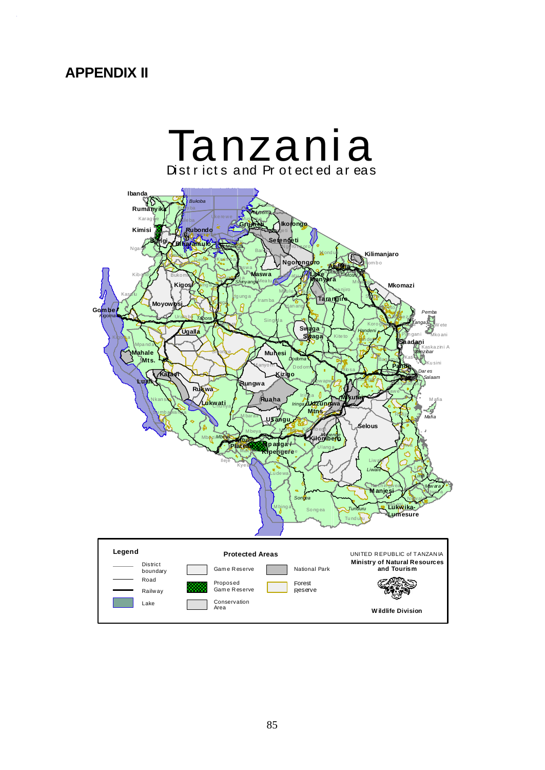# **APPENDIX II**

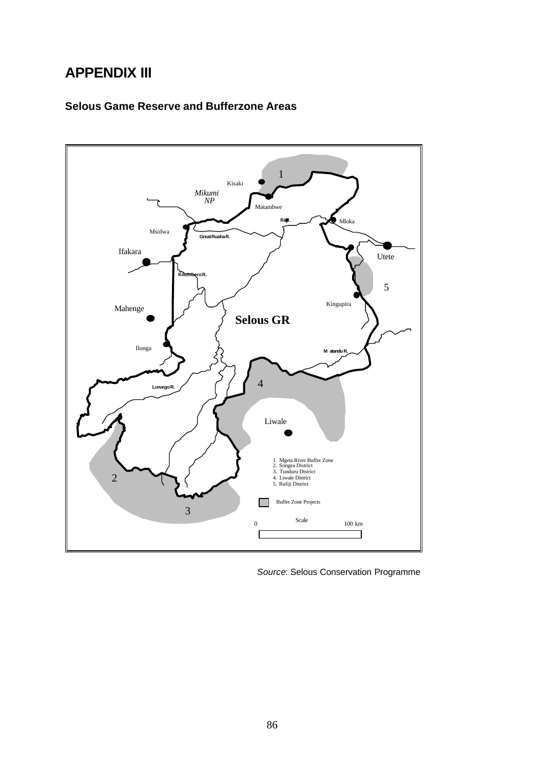# **APPENDIX III**

#### **Selous Game Reserve and Bufferzone Areas**



 *Source*: Selous Conservation Programme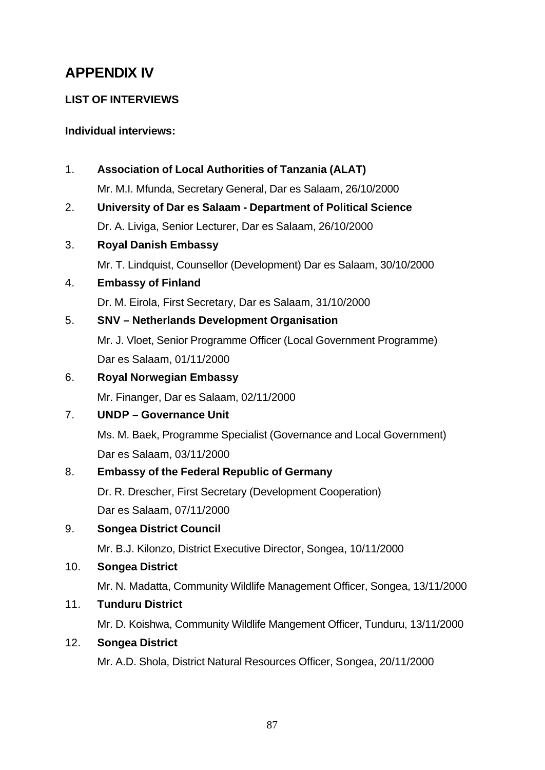# **APPENDIX IV**

# **LIST OF INTERVIEWS**

### **Individual interviews:**

1. **Association of Local Authorities of Tanzania (ALAT)**

Mr. M.I. Mfunda, Secretary General, Dar es Salaam, 26/10/2000

2. **University of Dar es Salaam - Department of Political Science** Dr. A. Liviga, Senior Lecturer, Dar es Salaam, 26/10/2000

# 3. **Royal Danish Embassy**

Mr. T. Lindquist, Counsellor (Development) Dar es Salaam, 30/10/2000

4. **Embassy of Finland**

Dr. M. Eirola, First Secretary, Dar es Salaam, 31/10/2000

# 5. **SNV – Netherlands Development Organisation**

Mr. J. Vloet, Senior Programme Officer (Local Government Programme) Dar es Salaam, 01/11/2000

# 6. **Royal Norwegian Embassy**

Mr. Finanger, Dar es Salaam, 02/11/2000

# 7. **UNDP – Governance Unit**

Ms. M. Baek, Programme Specialist (Governance and Local Government) Dar es Salaam, 03/11/2000

# 8. **Embassy of the Federal Republic of Germany**

Dr. R. Drescher, First Secretary (Development Cooperation) Dar es Salaam, 07/11/2000

# 9. **Songea District Council**

Mr. B.J. Kilonzo, District Executive Director, Songea, 10/11/2000

# 10. **Songea District**

Mr. N. Madatta, Community Wildlife Management Officer, Songea, 13/11/2000

# 11. **Tunduru District**

Mr. D. Koishwa, Community Wildlife Mangement Officer, Tunduru, 13/11/2000

#### 12. **Songea District**

Mr. A.D. Shola, District Natural Resources Officer, Songea, 20/11/2000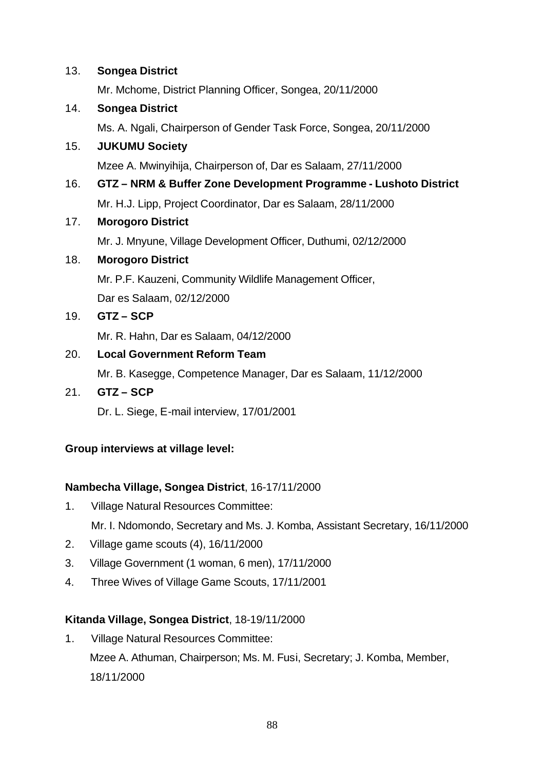#### 13. **Songea District**

Mr. Mchome, District Planning Officer, Songea, 20/11/2000

#### 14. **Songea District**

Ms. A. Ngali, Chairperson of Gender Task Force, Songea, 20/11/2000

#### 15. **JUKUMU Society**

Mzee A. Mwinyihija, Chairperson of, Dar es Salaam, 27/11/2000

# 16. **GTZ – NRM & Buffer Zone Development Programme - Lushoto District**

Mr. H.J. Lipp, Project Coordinator, Dar es Salaam, 28/11/2000

#### 17. **Morogoro District**

Mr. J. Mnyune, Village Development Officer, Duthumi, 02/12/2000

#### 18. **Morogoro District**

Mr. P.F. Kauzeni, Community Wildlife Management Officer,

Dar es Salaam, 02/12/2000

#### 19. **GTZ – SCP**

Mr. R. Hahn, Dar es Salaam, 04/12/2000

# 20. **Local Government Reform Team**

Mr. B. Kasegge, Competence Manager, Dar es Salaam, 11/12/2000

#### 21. **GTZ – SCP**

Dr. L. Siege, E-mail interview, 17/01/2001

# **Group interviews at village level:**

# **Nambecha Village, Songea District**, 16-17/11/2000

- 1. Village Natural Resources Committee: Mr. I. Ndomondo, Secretary and Ms. J. Komba, Assistant Secretary, 16/11/2000
- 2. Village game scouts (4), 16/11/2000
- 3. Village Government (1 woman, 6 men), 17/11/2000
- 4. Three Wives of Village Game Scouts, 17/11/2001

# **Kitanda Village, Songea District**, 18-19/11/2000

1. Village Natural Resources Committee: Mzee A. Athuman, Chairperson; Ms. M. Fusi, Secretary; J. Komba, Member, 18/11/2000